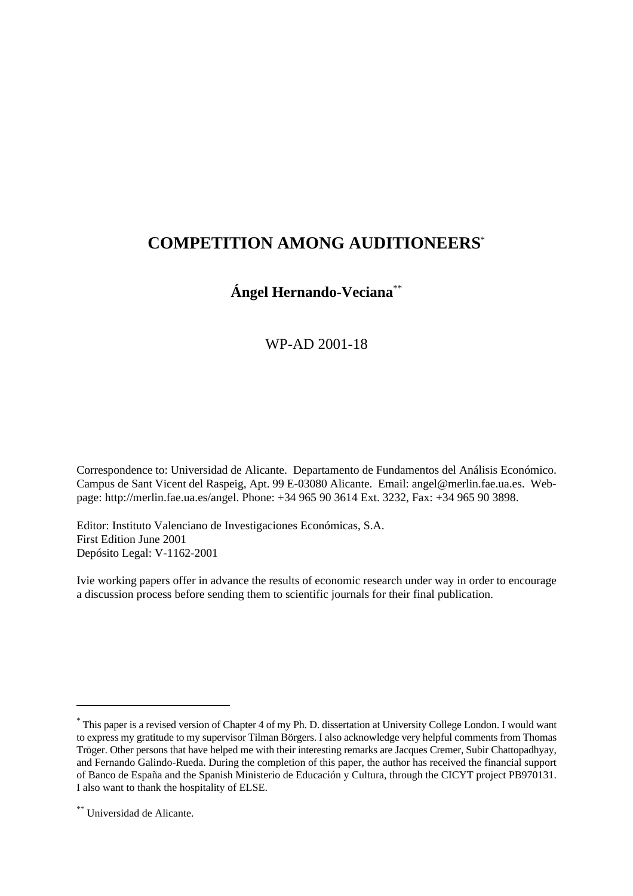# **COMPETITION AMONG AUDITIONEERS**\*

# **Ángel Hernando-Veciana**\*\*

# WP-AD 2001-18

Correspondence to: Universidad de Alicante. Departamento de Fundamentos del Análisis Económico. Campus de Sant Vicent del Raspeig, Apt. 99 E-03080 Alicante. Email: angel@merlin.fae.ua.es. Webpage: http://merlin.fae.ua.es/angel. Phone: +34 965 90 3614 Ext. 3232, Fax: +34 965 90 3898.

Editor: Instituto Valenciano de Investigaciones Económicas, S.A. First Edition June 2001 Depósito Legal: V-1162-2001

Ivie working papers offer in advance the results of economic research under way in order to encourage a discussion process before sending them to scientific journals for their final publication.

This paper is a revised version of Chapter 4 of my Ph. D. dissertation at University College London. I would want \* to express my gratitude to my supervisor Tilman Börgers. I also acknowledge very helpful comments from Thomas Tröger. Other persons that have helped me with their interesting remarks are Jacques Cremer, Subir Chattopadhyay, and Fernando Galindo-Rueda. During the completion of this paper, the author has received the financial support of Banco de España and the Spanish Ministerio de Educación y Cultura, through the CICYT project PB970131. I also want to thank the hospitality of ELSE.

Universidad de Alicante. \*\*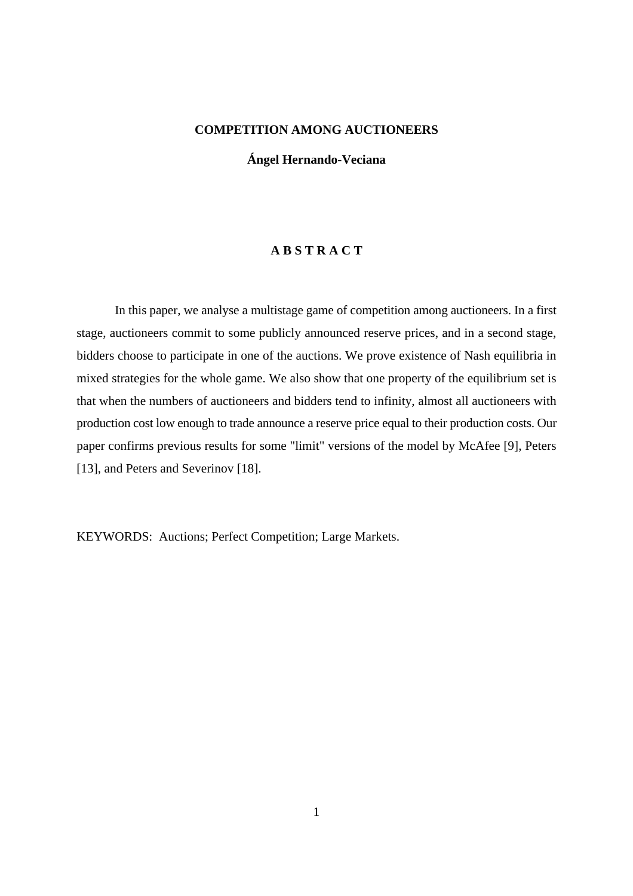## **COMPETITION AMONG AUCTIONEERS**

**Ángel Hernando-Veciana**

## **A B S T R A C T**

In this paper, we analyse a multistage game of competition among auctioneers. In a first stage, auctioneers commit to some publicly announced reserve prices, and in a second stage, bidders choose to participate in one of the auctions. We prove existence of Nash equilibria in mixed strategies for the whole game. We also show that one property of the equilibrium set is that when the numbers of auctioneers and bidders tend to infinity, almost all auctioneers with production cost low enough to trade announce a reserve price equal to their production costs. Our paper confirms previous results for some "limit" versions of the model by McAfee [9], Peters [13], and Peters and Severinov [18].

KEYWORDS: Auctions; Perfect Competition; Large Markets.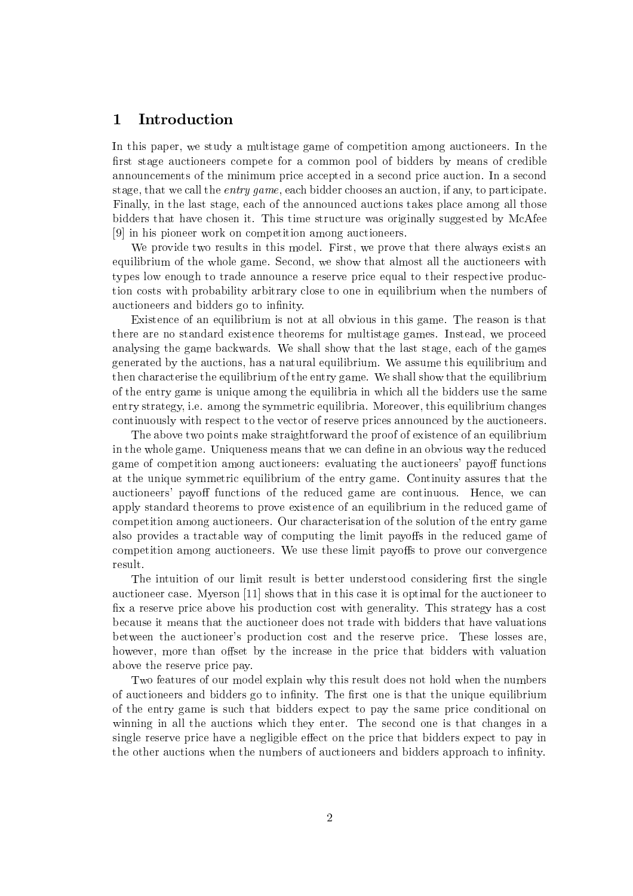#### 1 Introduction

In this paper, we study a multistage game of competition among auctioneers. In the first stage auctioneers compete for a common pool of bidders by means of credible announcements of the minimum price accepted in a second price auction. In a second stage, that we call the *entry game*, each bidder chooses an auction, if any, to participate. Finally, in the last stage, each of the announced auctions takes place among all those bidders that have chosen it. This time structure was originally suggested by McAfee [9] in his pioneer work on competition among auctioneers.

We provide two results in this model. First, we prove that there always exists an equilibrium of the whole game. Second, we show that almost all the auctioneers with types low enough to trade announce a reserve price equal to their respective production costs with probability arbitrary close to one in equilibrium when the numbers of auctioneers and bidders go to infinity.

Existence of an equilibrium is not at all obvious in this game. The reason is that there are no standard existence theorems for multistage games. Instead, we proceed analysing the game backwards. We shall show that the last stage, each of the games generated by the auctions, has a natural equilibrium. We assume this equilibrium and then characterise the equilibrium of the entry game. We shall show that the equilibrium of the entry game is unique among the equilibria in which all the bidders use the same entry strategy, i.e. among the symmetric equilibria. Moreover, this equilibrium changes continuously with respect to the vector of reserve prices announced by the auctioneers.

The above two points make straightforward the proof of existence of an equilibrium in the whole game. Uniqueness means that we can define in an obvious way the reduced game of competition among auctioneers: evaluating the auctioneers' payoff functions at the unique symmetric equilibrium of the entry game. Continuity assures that the auctioneers' payoff functions of the reduced game are continuous. Hence, we can apply standard theorems to prove existence of an equilibrium in the reduced game of competition among auctioneers. Our characterisation of the solution of the entry game also provides a tractable way of computing the limit payoffs in the reduced game of competition among auctioneers. We use these limit payoffs to prove our convergence result.

The intuition of our limit result is better understood considering first the single auctioneer case. Myerson [11] shows that in this case it is optimal for the auctioneer to fix a reserve price above his production cost with generality. This strategy has a cost because it means that the auctioneer does not trade with bidders that have valuations between the auctioneer's production cost and the reserve price. These losses are, however, more than offset by the increase in the price that bidders with valuation above the reserve price pay.

Two features of our model explain why this result does not hold when the numbers of auctioneers and bidders go to infinity. The first one is that the unique equilibrium of the entry game is such that bidders expect to pay the same price conditional on winning in all the auctions which they enter. The second one is that changes in a single reserve price have a negligible effect on the price that bidders expect to pay in the other auctions when the numbers of auctioneers and bidders approach to infinity.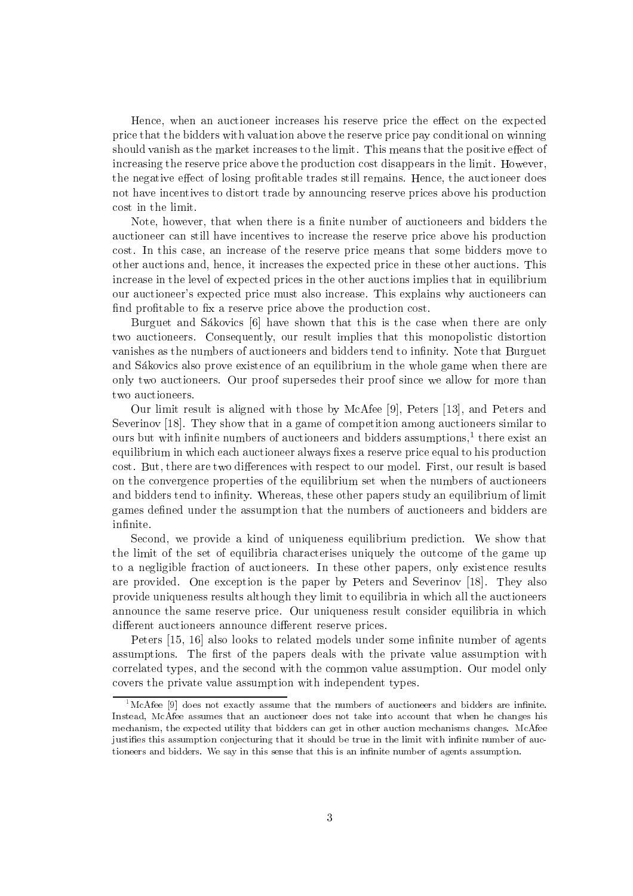Hence, when an auctioneer increases his reserve price the effect on the expected price that the bidders with valuation above the reserve price pay conditional on winning should vanish as the market increases to the limit. This means that the positive effect of increasing the reserve price above the production cost disappears in the limit. However, the negative effect of losing profitable trades still remains. Hence, the auctioneer does not have incentives to distort trade by announcing reserve prices above his production cost in the limit.

Note, however, that when there is a finite number of auctioneers and bidders the auctioneer can still have incentives to increase the reserve price above his production cost. In this case, an increase of the reserve price means that some bidders move to other auctions and, hence, it increases the expected price in these other auctions. This increase in the level of expected prices in the other auctions implies that in equilibrium our auctioneer's expected price must also increase. This explains why auctioneers can find profitable to fix a reserve price above the production cost.

Burguet and Sákovics [6] have shown that this is the case when there are only two auctioneers. Consequently, our result implies that this monopolistic distortion vanishes as the numbers of auctioneers and bidders tend to infinity. Note that Burguet and Sákovics also prove existence of an equilibrium in the whole game when there are only two auctioneers. Our proof supersedes their proof since we allow for more than two auctioneers.

Our limit result is aligned with those by McAfee [9], Peters [13], and Peters and Severinov [18]. They show that in a game of competition among auctioneers similar to ours but with infinite numbers of auctioneers and bidders assumptions,<sup>1</sup> there exist an equilibrium in which each auctioneer always fixes a reserve price equal to his production cost. But, there are two differences with respect to our model. First, our result is based on the convergence properties of the equilibrium set when the numbers of auctioneers and bidders tend to infinity. Whereas, these other papers study an equilibrium of limit games defined under the assumption that the numbers of auctioneers and bidders are infinite.

Second, we provide a kind of uniqueness equilibrium prediction. We show that the limit of the set of equilibria characterises uniquely the outcome of the game up to a negligible fraction of auctioneers. In these other papers, only existence results are provided. One exception is the paper by Peters and Severinov [18]. They also provide uniqueness results although they limit to equilibria in which all the auctioneers announce the same reserve price. Our uniqueness result consider equilibria in which different auctioneers announce different reserve prices.

Peters [15, 16] also looks to related models under some infinite number of agents assumptions. The first of the papers deals with the private value assumption with correlated types, and the second with the common value assumption. Our model only covers the private value assumption with independent types.

 ${}^{1}$ McAfee [9] does not exactly assume that the numbers of auctioneers and bidders are infinite. Instead, McAfee assumes that an auctioneer does not take into account that when he changes his mechanism, the expected utility that bidders can get in other auction mechanisms changes. McAfee justifies this assumption conjecturing that it should be true in the limit with infinite number of auctioneers and bidders. We say in this sense that this is an infinite number of agents assumption.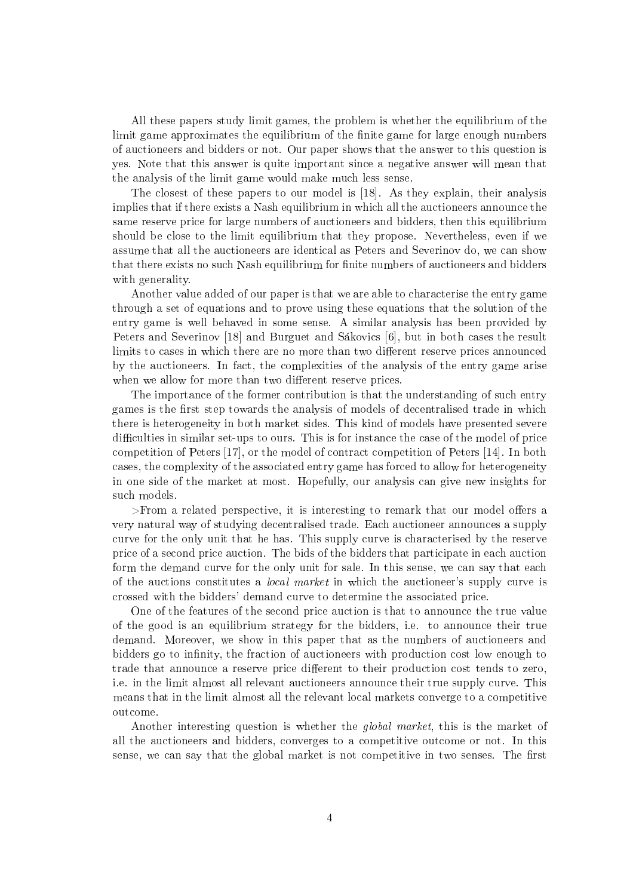All these papers study limit games, the problem is whether the equilibrium of the limit game approximates the equilibrium of the finite game for large enough numbers of auctioneers and bidders or not. Our paper shows that the answer to this question is yes. Note that this answer is quite important since a negative answer will mean that the analysis of the limit game would make much less sense.

The closest of these papers to our model is [18]. As they explain, their analysis implies that if there exists a Nash equilibrium in which all the auctioneers announce the same reserve price for large numbers of auctioneers and bidders, then this equilibrium should be close to the limit equilibrium that they propose. Nevertheless, even if we assume that all the auctioneers are identical as Peters and Severinov do, we can show that there exists no such Nash equilibrium for finite numbers of auctioneers and bidders with generality.

Another value added of our paper is that we are able to characterise the entry game through a set of equations and to prove using these equations that the solution of the entry game is well behaved in some sense. A similar analysis has been provided by Peters and Severinov [18] and Burguet and Sákovics [6], but in both cases the result limits to cases in which there are no more than two different reserve prices announced by the auctioneers. In fact, the complexities of the analysis of the entry game arise when we allow for more than two different reserve prices.

The importance of the former contribution is that the understanding of such entry games is the first step towards the analysis of models of decentralised trade in which there is heterogeneity in both market sides. This kind of models have presented severe difficulties in similar set-ups to ours. This is for instance the case of the model of price competition of Peters [17], or the model of contract competition of Peters [14]. In both cases, the complexity of the associated entry game has forced to allow for heterogeneity in one side of the market at most. Hopefully, our analysis can give new insights for such models.

 $>$ From a related perspective, it is interesting to remark that our model offers a very natural way of studying decentralised trade. Each auctioneer announces a supply curve for the only unit that he has. This supply curve is characterised by the reserve price of a second price auction. The bids of the bidders that participate in each auction form the demand curve for the only unit for sale. In this sense, we can say that each of the auctions constitutes a *local market* in which the auctioneer's supply curve is crossed with the bidders' demand curve to determine the associated price.

One of the features of the second price auction is that to announce the true value of the good is an equilibrium strategy for the bidders, i.e. to announce their true demand. Moreover, we show in this paper that as the numbers of auctioneers and bidders go to infinity, the fraction of auctioneers with production cost low enough to trade that announce a reserve price different to their production cost tends to zero, i.e. in the limit almost all relevant auctioneers announce their true supply curve. This means that in the limit almost all the relevant local markets converge to a competitive outcome.

Another interesting question is whether the *global market*, this is the market of all the auctioneers and bidders, converges to a competitive outcome or not. In this sense, we can say that the global market is not competitive in two senses. The first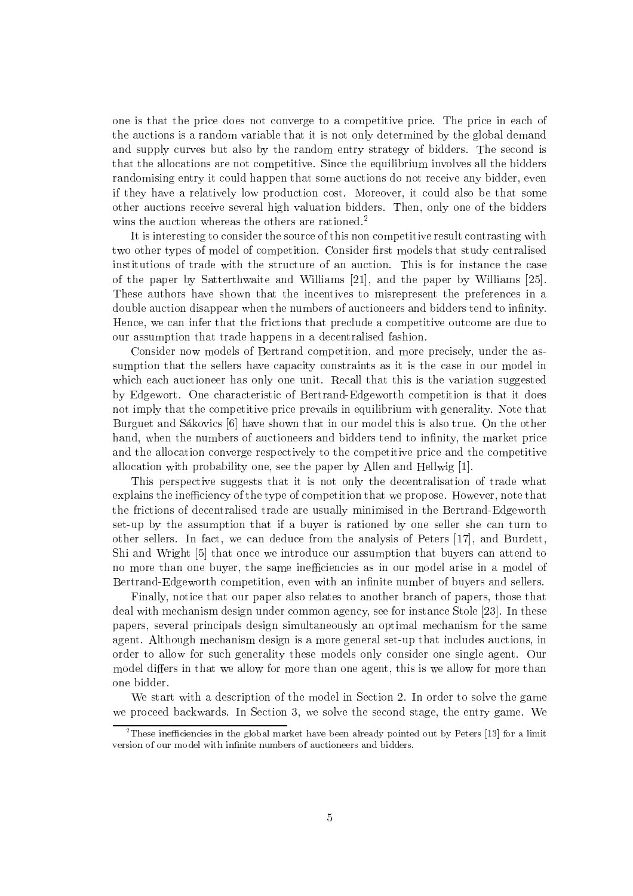one is that the price does not converge to a competitive price. The price in each of the auctions is a random variable that it is not only determined by the global demand and supply curves but also by the random entry strategy of bidders. The second is that the allocations are not competitive. Since the equilibrium involves all the bidders randomising entry it could happen that some auctions do not receive any bidder, even if they have a relatively low production cost. Moreover, it could also be that some other auctions receive several high valuation bidders. Then, only one of the bidders wins the auction whereas the others are rationed.<sup>2</sup>

It is interesting to consider the source of this non competitive result contrasting with two other types of model of competition. Consider first models that study centralised institutions of trade with the structure of an auction. This is for instance the case of the paper by Satterthwaite and Williams  $[21]$ , and the paper by Williams  $[25]$ . These authors have shown that the incentives to misrepresent the preferences in a double auction disappear when the numbers of auctioneers and bidders tend to infinity. Hence, we can infer that the frictions that preclude a competitive outcome are due to our assumption that trade happens in a decentralised fashion.

Consider now models of Bertrand competition, and more precisely, under the assumption that the sellers have capacity constraints as it is the case in our model in which each auctioneer has only one unit. Recall that this is the variation suggested by Edgewort. One characteristic of Bertrand-Edgeworth competition is that it does not imply that the competitive price prevails in equilibrium with generality. Note that Burguet and Sákovics [6] have shown that in our model this is also true. On the other hand, when the numbers of auctioneers and bidders tend to infinity, the market price and the allocation converge respectively to the competitive price and the competitive allocation with probability one, see the paper by Allen and Hellwig  $[1]$ .

This perspective suggests that it is not only the decentralisation of trade what explains the inefficiency of the type of competition that we propose. However, note that the frictions of decentralised trade are usually minimised in the Bertrand-Edgeworth set-up by the assumption that if a buyer is rationed by one seller she can turn to other sellers. In fact, we can deduce from the analysis of Peters [17], and Burdett, Shi and Wright  $[5]$  that once we introduce our assumption that buyers can attend to no more than one buyer, the same inefficiencies as in our model arise in a model of Bertrand-Edgeworth competition, even with an infinite number of buvers and sellers.

Finally, notice that our paper also relates to another branch of papers, those that deal with mechanism design under common agency, see for instance Stole [23]. In these papers, several principals design simultaneously an optimal mechanism for the same agent. Although mechanism design is a more general set-up that includes auctions, in order to allow for such generality these models only consider one single agent. Our model differs in that we allow for more than one agent, this is we allow for more than one bidder.

We start with a description of the model in Section 2. In order to solve the game we proceed backwards. In Section 3, we solve the second stage, the entry game. We

<sup>&</sup>lt;sup>2</sup>These inefficiencies in the global market have been already pointed out by Peters [13] for a limit version of our model with infinite numbers of auctioneers and bidders.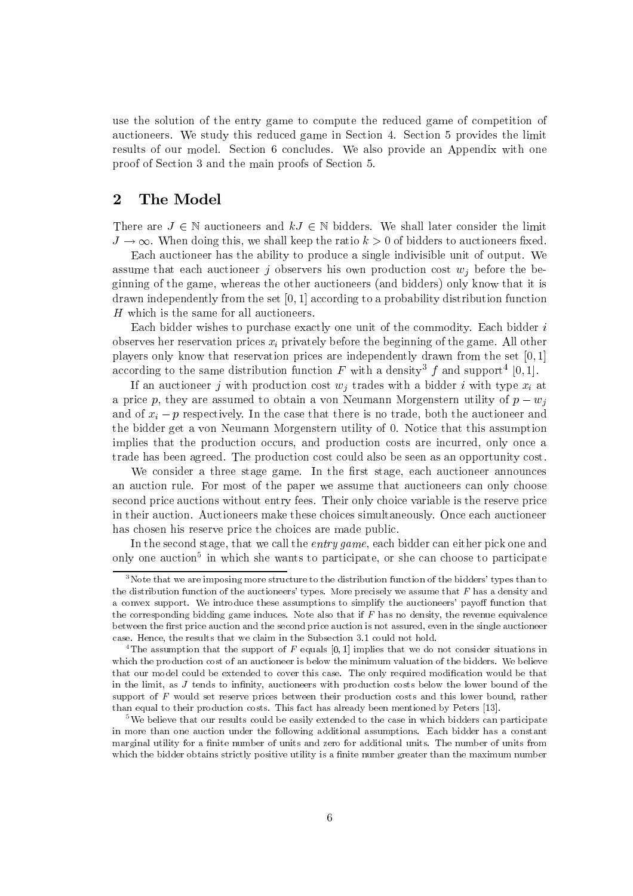use the solution of the entry game to compute the reduced game of competition of auctioneers. We study this reduced game in Section 4. Section 5 provides the limit results of our model. Section 6 concludes. We also provide an Appendix with one proof of Section 3 and the main proofs of Section 5.

#### $\overline{2}$ The Model

There are  $J \in \mathbb{N}$  auctioneers and  $kJ \in \mathbb{N}$  bidders. We shall later consider the limit  $J \to \infty$ . When doing this, we shall keep the ratio  $k > 0$  of bidders to auctioneers fixed.

Each auctioneer has the ability to produce a single indivisible unit of output. We assume that each auctioneer j observers his own production cost  $w_i$  before the beginning of the game, whereas the other auctioneers (and bidders) only know that it is drawn independently from the set  $[0, 1]$  according to a probability distribution function H which is the same for all auctioneers.

Each bidder wishes to purchase exactly one unit of the commodity. Each bidder is observes her reservation prices  $x_i$  privately before the beginning of the game. All other players only know that reservation prices are independently drawn from the set  $[0,1]$ according to the same distribution function F with a density<sup>3</sup> f and support<sup>4</sup> [0,1].

If an auctioneer j with production cost  $w_i$  trades with a bidder i with type  $x_i$  at a price p, they are assumed to obtain a von Neumann Morgenstern utility of  $p - w_i$ and of  $x_i - p$  respectively. In the case that there is no trade, both the auctioneer and the bidder get a von Neumann Morgenstern utility of 0. Notice that this assumption implies that the production occurs, and production costs are incurred, only once a trade has been agreed. The production cost could also be seen as an opportunity cost.

We consider a three stage game. In the first stage, each auctioneer announces an auction rule. For most of the paper we assume that auctioneers can only choose second price auctions without entry fees. Their only choice variable is the reserve price in their auction. Auctioneers make these choices simultaneously. Once each auctioneer has chosen his reserve price the choices are made public.

In the second stage, that we call the *entry game*, each bidder can either pick one and only one auction<sup>5</sup> in which she wants to participate, or she can choose to participate

 $3$ Note that we are imposing more structure to the distribution function of the bidders' types than to the distribution function of the auctioneers' types. More precisely we assume that  $F$  has a density and a convex support. We introduce these assumptions to simplify the auctioneers' payoff function that the corresponding bidding game induces. Note also that if  $F$  has no density, the revenue equivalence between the first price auction and the second price auction is not assured, even in the single auctioneer case. Hence, the results that we claim in the Subsection 3.1 could not hold.

<sup>&</sup>lt;sup>4</sup>The assumption that the support of  $F$  equals [0, 1] implies that we do not consider situations in which the production cost of an auctioneer is below the minimum valuation of the bidders. We believe that our model could be extended to cover this case. The only required modification would be that in the limit, as  $J$  tends to infinity, auctioneers with production costs below the lower bound of the support of  $F$  would set reserve prices between their production costs and this lower bound, rather than equal to their production costs. This fact has already been mentioned by Peters [13].

<sup>&</sup>lt;sup>5</sup>We believe that our results could be easily extended to the case in which bidders can participate in more than one auction under the following additional assumptions. Each bidder has a constant marginal utility for a finite number of units and zero for additional units. The number of units from which the bidder obtains strictly positive utility is a finite number greater than the maximum number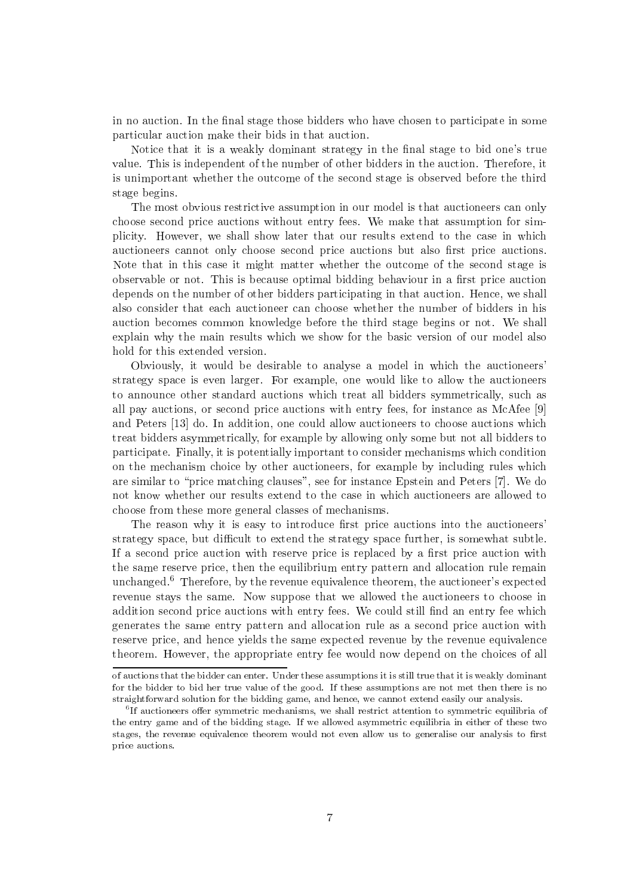in no auction. In the final stage those bidders who have chosen to participate in some particular auction make their bids in that auction.

Notice that it is a weakly dominant strategy in the final stage to bid one's true value. This is independent of the number of other bidders in the auction. Therefore, it is unimportant whether the outcome of the second stage is observed before the third stage begins.

The most obvious restrictive assumption in our model is that auctioneers can only choose second price auctions without entry fees. We make that assumption for simplicity. However, we shall show later that our results extend to the case in which auctioneers cannot only choose second price auctions but also first price auctions. Note that in this case it might matter whether the outcome of the second stage is observable or not. This is because optimal bidding behaviour in a first price auction depends on the number of other bidders participating in that auction. Hence, we shall also consider that each auctioneer can choose whether the number of bidders in his auction becomes common knowledge before the third stage begins or not. We shall explain why the main results which we show for the basic version of our model also hold for this extended version.

Obviously, it would be desirable to analyse a model in which the auctioneers' strategy space is even larger. For example, one would like to allow the auctioneers to announce other standard auctions which treat all bidders symmetrically, such as all pay auctions, or second price auctions with entry fees, for instance as McAfee [9] and Peters [13] do. In addition, one could allow auctioneers to choose auctions which treat bidders asymmetrically, for example by allowing only some but not all bidders to participate. Finally, it is potentially important to consider mechanisms which condition on the mechanism choice by other auctioneers, for example by including rules which are similar to "price matching clauses", see for instance Epstein and Peters [7]. We do not know whether our results extend to the case in which auctioneers are allowed to choose from these more general classes of mechanisms.

The reason why it is easy to introduce first price auctions into the auctioneers' strategy space, but difficult to extend the strategy space further, is somewhat subtle. If a second price auction with reserve price is replaced by a first price auction with the same reserve price, then the equilibrium entry pattern and allocation rule remain unchanged.<sup>6</sup> Therefore, by the revenue equivalence theorem, the auctioneer's expected revenue stays the same. Now suppose that we allowed the auctioneers to choose in addition second price auctions with entry fees. We could still find an entry fee which generates the same entry pattern and allocation rule as a second price auction with reserve price, and hence yields the same expected revenue by the revenue equivalence theorem. However, the appropriate entry fee would now depend on the choices of all

of auctions that the bidder can enter. Under these assumptions it is still true that it is weakly dominant for the bidder to bid her true value of the good. If these assumptions are not met then there is no straightforward solution for the bidding game, and hence, we cannot extend easily our analysis.

 ${}^{6}$ If auctioneers offer symmetric mechanisms, we shall restrict attention to symmetric equilibria of the entry game and of the bidding stage. If we allowed asymmetric equilibria in either of these two stages, the revenue equivalence theorem would not even allow us to generalise our analysis to first price auctions.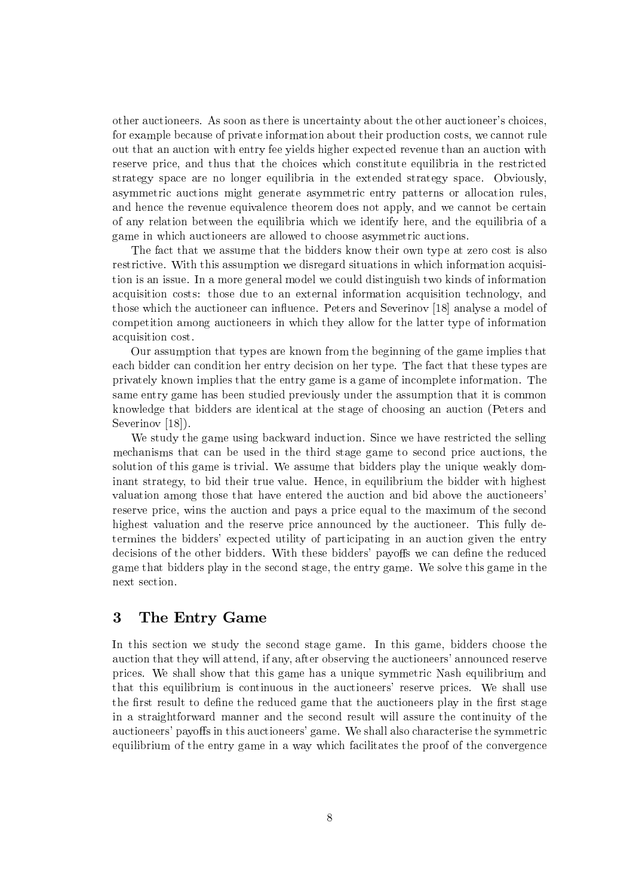other auctioneers. As soon as there is uncertainty about the other auctioneer's choices, for example because of private information about their production costs, we cannot rule out that an auction with entry fee yields higher expected revenue than an auction with reserve price, and thus that the choices which constitute equilibria in the restricted strategy space are no longer equilibria in the extended strategy space. Obviously, asymmetric auctions might generate asymmetric entry patterns or allocation rules. and hence the revenue equivalence theorem does not apply, and we cannot be certain of any relation between the equilibria which we identify here, and the equilibria of a game in which auctioneers are allowed to choose asymmetric auctions.

The fact that we assume that the bidders know their own type at zero cost is also restrictive. With this assumption we disregard situations in which information acquisition is an issue. In a more general model we could distinguish two kinds of information acquisition costs: those due to an external information acquisition technology, and those which the auctioneer can influence. Peters and Severinov [18] analyse a model of competition among auctioneers in which they allow for the latter type of information acquisition cost.

Our assumption that types are known from the beginning of the game implies that each bidder can condition her entry decision on her type. The fact that these types are privately known implies that the entry game is a game of incomplete information. The same entry game has been studied previously under the assumption that it is common knowledge that bidders are identical at the stage of choosing an auction (Peters and Severinov  $[18]$ .

We study the game using backward induction. Since we have restricted the selling mechanisms that can be used in the third stage game to second price auctions, the solution of this game is trivial. We assume that bidders play the unique weakly dominant strategy, to bid their true value. Hence, in equilibrium the bidder with highest valuation among those that have entered the auction and bid above the auctioneers' reserve price, wins the auction and pays a price equal to the maximum of the second highest valuation and the reserve price announced by the auctioneer. This fully determines the bidders' expected utility of participating in an auction given the entry decisions of the other bidders. With these bidders' payoffs we can define the reduced game that bidders play in the second stage, the entry game. We solve this game in the next section.

### 3 The Entry Game

In this section we study the second stage game. In this game, bidders choose the auction that they will attend, if any, after observing the auctioneers' announced reserve prices. We shall show that this game has a unique symmetric Nash equilibrium and that this equilibrium is continuous in the auctioneers' reserve prices. We shall use the first result to define the reduced game that the auctioneers play in the first stage in a straightforward manner and the second result will assure the continuity of the auctioneers' payoffs in this auctioneers' game. We shall also characterise the symmetric equilibrium of the entry game in a way which facilitates the proof of the convergence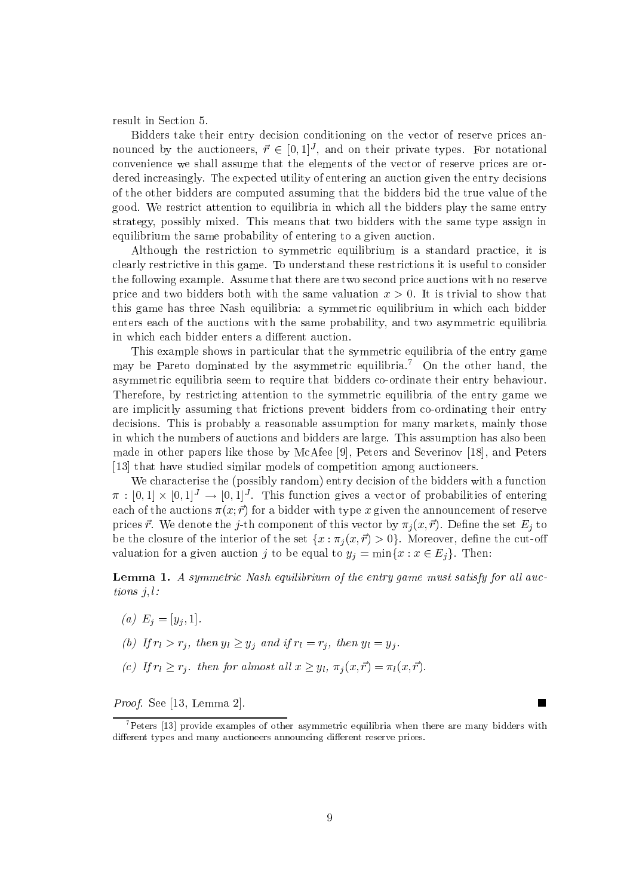result in Section 5.

Bidders take their entry decision conditioning on the vector of reserve prices announced by the auctioneers,  $\vec{r} \in [0,1]^J$ , and on their private types. For notational convenience we shall assume that the elements of the vector of reserve prices are ordered increasingly. The expected utility of entering an auction given the entry decisions of the other bidders are computed assuming that the bidders bid the true value of the good. We restrict attention to equilibria in which all the bidders play the same entry strategy, possibly mixed. This means that two bidders with the same type assign in equilibrium the same probability of entering to a given auction.

Although the restriction to symmetric equilibrium is a standard practice, it is clearly restrictive in this game. To understand these restrictions it is useful to consider the following example. Assume that there are two second price auctions with no reserve price and two bidders both with the same valuation  $x > 0$ . It is trivial to show that this game has three Nash equilibria: a symmetric equilibrium in which each bidder enters each of the auctions with the same probability, and two asymmetric equilibria in which each bidder enters a different auction.

This example shows in particular that the symmetric equilibria of the entry game may be Pareto dominated by the asymmetric equilibria.<sup>7</sup> On the other hand, the asymmetric equilibria seem to require that bidders co-ordinate their entry behaviour. Therefore, by restricting attention to the symmetric equilibria of the entry game we are implicitly assuming that frictions prevent bidders from co-ordinating their entry decisions. This is probably a reasonable assumption for many markets, mainly those in which the numbers of auctions and bidders are large. This assumption has also been made in other papers like those by McAfee [9], Peters and Severinov [18], and Peters [13] that have studied similar models of competition among auctioneers.

We characterise the (possibly random) entry decision of the bidders with a function  $\pi : [0,1] \times [0,1]^J \to [0,1]^J$ . This function gives a vector of probabilities of entering each of the auctions  $\pi(x, \vec{r})$  for a bidder with type x given the announcement of reserve prices  $\vec{r}$ . We denote the j-th component of this vector by  $\pi_j(x, \vec{r})$ . Define the set  $E_j$  to be the closure of the interior of the set  $\{x : \pi_i(x, \vec{r}) > 0\}$ . Moreover, define the cut-off valuation for a given auction j to be equal to  $y_j = \min\{x : x \in E_j\}$ . Then:

**Lemma 1.** A symmetric Nash equilibrium of the entry game must satisfy for all auctions  $i, l$ :

- (a)  $E_i = [y_i, 1].$
- (b) If  $r_l > r_j$ , then  $y_l \ge y_j$  and if  $r_l = r_j$ , then  $y_l = y_j$ .
- (c) If  $r_l \geq r_j$ , then for almost all  $x \geq y_l$ ,  $\pi_j(x, \vec{r}) = \pi_l(x, \vec{r})$ .

*Proof.* See [13, Lemma 2].

 $\overline{\phantom{a}}$ 

 $\sigma$  Peters [13] provide examples of other asymmetric equilibria when there are many bidders with different types and many auctioneers announcing different reserve prices.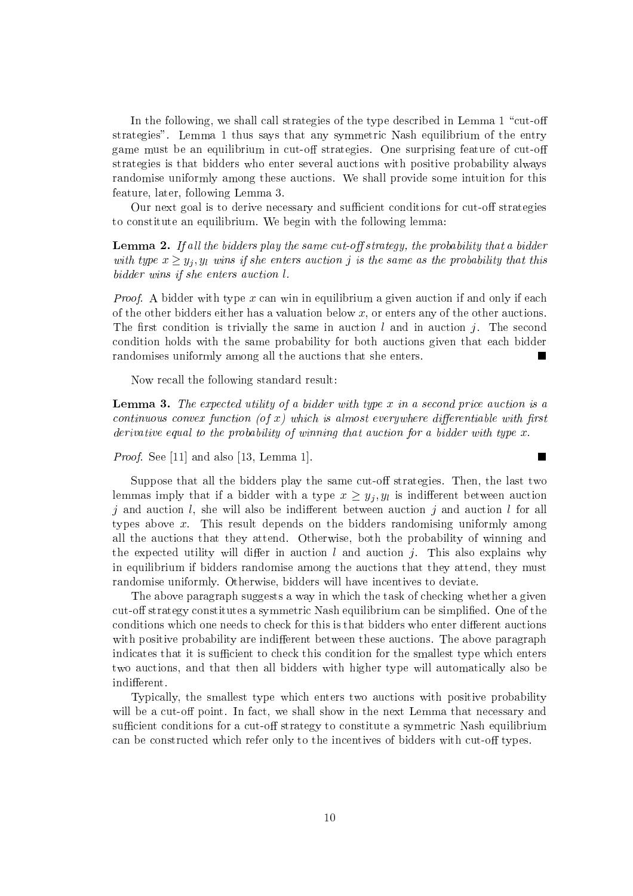In the following, we shall call strategies of the type described in Lemma 1 "cut-off" strategies". Lemma 1 thus says that any symmetric Nash equilibrium of the entry game must be an equilibrium in cut-off strategies. One surprising feature of cut-off strategies is that bidders who enter several auctions with positive probability always randomise uniformly among these auctions. We shall provide some intuition for this feature, later, following Lemma 3.

Our next goal is to derive necessary and sufficient conditions for cut-off strategies to constitute an equilibrium. We begin with the following lemma:

**Lemma 2.** If all the bidders play the same cut-off strategy, the probability that a bidder with type  $x \geq y_j, y_l$  wins if she enters auction j is the same as the probability that this bidder wins if she enters auction l.

*Proof.* A bidder with type x can win in equilibrium a given auction if and only if each of the other bidders either has a valuation below x, or enters any of the other auctions. The first condition is trivially the same in auction l and in auction j. The second condition holds with the same probability for both auctions given that each bidder randomises uniformly among all the auctions that she enters. п

Now recall the following standard result:

**Lemma 3.** The expected utility of a bidder with type x in a second price auction is a continuous convex function (of x) which is almost everywhere differentiable with first derivative equal to the probability of winning that auction for a bidder with type  $x$ .

 $\blacksquare$ 

*Proof.* See [11] and also [13, Lemma 1].

Suppose that all the bidders play the same cut-off strategies. Then, the last two lemmas imply that if a bidder with a type  $x \geq y_i, y_i$  is indifferent between auction j and auction l, she will also be indifferent between auction j and auction l for all types above x. This result depends on the bidders randomising uniformly among all the auctions that they attend. Otherwise, both the probability of winning and the expected utility will differ in auction  $l$  and auction  $j$ . This also explains why in equilibrium if bidders randomise among the auctions that they attend, they must randomise uniformly. Otherwise, bidders will have incentives to deviate.

The above paragraph suggests a way in which the task of checking whether a given cut-off strategy constitutes a symmetric Nash equilibrium can be simplified. One of the conditions which one needs to check for this is that bidders who enter different auctions with positive probability are indifferent between these auctions. The above paragraph indicates that it is sufficient to check this condition for the smallest type which enters two auctions, and that then all bidders with higher type will automatically also be indifferent.

Typically, the smallest type which enters two auctions with positive probability will be a cut-off point. In fact, we shall show in the next Lemma that necessary and sufficient conditions for a cut-off strategy to constitute a symmetric Nash equilibrium can be constructed which refer only to the incentives of bidders with cut-off types.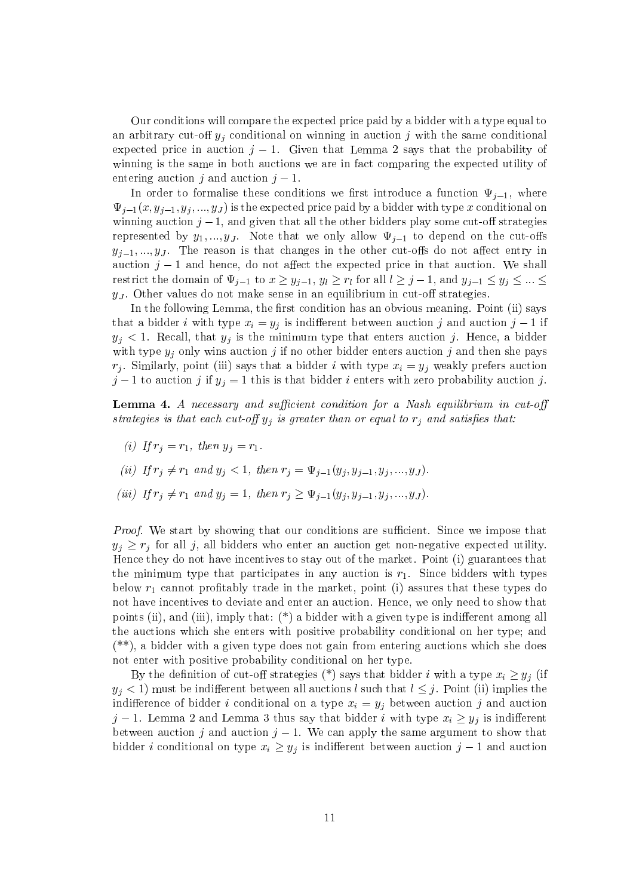Our conditions will compare the expected price paid by a bidder with a type equal to an arbitrary cut-off  $y_i$  conditional on winning in auction j with the same conditional expected price in auction  $j-1$ . Given that Lemma 2 says that the probability of winning is the same in both auctions we are in fact comparing the expected utility of entering auction  $i$  and auction  $i-1$ .

In order to formalise these conditions we first introduce a function  $\Psi_{j-1}$ , where  $\Psi_{j-1}(x, y_{j-1}, y_j, ..., y_J)$  is the expected price paid by a bidder with type x conditional on winning auction  $j-1$ , and given that all the other bidders play some cut-off strategies represented by  $y_1, ..., y_J$ . Note that we only allow  $\Psi_{j-1}$  to depend on the cut-offs  $y_{j-1},...,y_J$ . The reason is that changes in the other cut-offs do not affect entry in auction  $j-1$  and hence, do not affect the expected price in that auction. We shall restrict the domain of  $\Psi_{j-1}$  to  $x \geq y_{j-1}, y_l \geq r_l$  for all  $l \geq j-1$ , and  $y_{j-1} \leq y_j \leq ... \leq$  $y_J$ . Other values do not make sense in an equilibrium in cut-off strategies.

In the following Lemma, the first condition has an obvious meaning. Point (ii) says that a bidder *i* with type  $x_i = y_i$  is indifferent between auction *j* and auction  $j - 1$  if  $y_j$  < 1. Recall, that  $y_j$  is the minimum type that enters auction j. Hence, a bidder with type  $y_j$  only wins auction j if no other bidder enters auction j and then she pays  $r_i$ . Similarly, point (iii) says that a bidder i with type  $x_i = y_i$  weakly prefers auction  $j-1$  to auction j if  $y_j = 1$  this is that bidder i enters with zero probability auction j.

**Lemma 4.** A necessary and sufficient condition for a Nash equilibrium in cut-off strategies is that each cut-off  $y_j$  is greater than or equal to  $r_j$  and satisfies that:

- (i) If  $r_i = r_1$ , then  $y_j = r_1$ .
- (ii) If  $r_j \neq r_1$  and  $y_j < 1$ , then  $r_j = \Psi_{j-1}(y_j, y_{j-1}, y_j, ..., y_J)$ .
- (iii) If  $r_j \neq r_1$  and  $y_j = 1$ , then  $r_j \geq \Psi_{j-1}(y_j, y_{j-1}, y_j, ..., y_J)$ .

*Proof.* We start by showing that our conditions are sufficient. Since we impose that  $y_i \geq r_i$  for all j, all bidders who enter an auction get non-negative expected utility. Hence they do not have incentives to stay out of the market. Point (i) guarantees that the minimum type that participates in any auction is  $r_1$ . Since bidders with types below  $r_1$  cannot profitably trade in the market, point (i) assures that these types do not have incentives to deviate and enter an auction. Hence, we only need to show that points (ii), and (iii), imply that:  $(*)$  a bidder with a given type is indifferent among all the auctions which she enters with positive probability conditional on her type; and  $(**)$ , a bidder with a given type does not gain from entering auctions which she does not enter with positive probability conditional on her type.

By the definition of cut-off strategies (\*) says that bidder i with a type  $x_i \geq y_i$  (if  $y_i$  < 1) must be indifferent between all auctions l such that  $l \leq j$ . Point (ii) implies the indifference of bidder *i* conditional on a type  $x_i = y_i$  between auction *j* and auction  $j-1$ . Lemma 2 and Lemma 3 thus say that bidder i with type  $x_i \geq y_j$  is indifferent between auction j and auction  $j-1$ . We can apply the same argument to show that bidder *i* conditional on type  $x_i \geq y_j$  is indifferent between auction  $j-1$  and auction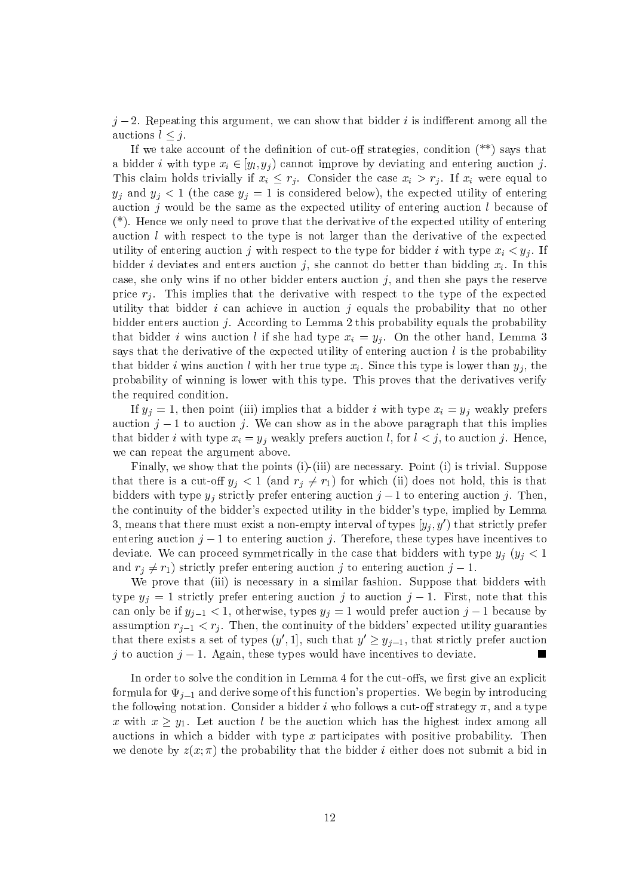$j-2$ . Repeating this argument, we can show that bidder i is indifferent among all the auctions  $l \leq i$ .

If we take account of the definition of cut-off strategies, condition  $(**)$  says that a bidder *i* with type  $x_i \in [y_i, y_j)$  cannot improve by deviating and entering auction *j*. This claim holds trivially if  $x_i \leq r_j$ . Consider the case  $x_i > r_j$ . If  $x_i$  were equal to  $y_j$  and  $y_j < 1$  (the case  $y_j = 1$  is considered below), the expected utility of entering auction  $j$  would be the same as the expected utility of entering auction  $l$  because of  $(*)$ . Hence we only need to prove that the derivative of the expected utility of entering auction  $l$  with respect to the type is not larger than the derivative of the expected utility of entering auction j with respect to the type for bidder i with type  $x_i \lt y_i$ . If bidder *i* deviates and enters auction *j*, she cannot do better than bidding  $x_i$ . In this case, she only wins if no other bidder enters auction  $j$ , and then she pays the reserve price  $r_j$ . This implies that the derivative with respect to the type of the expected utility that bidder  $i$  can achieve in auction  $j$  equals the probability that no other bidder enters auction  $j$ . According to Lemma 2 this probability equals the probability that bidder *i* wins auction *l* if she had type  $x_i = y_j$ . On the other hand, Lemma 3 says that the derivative of the expected utility of entering auction  $l$  is the probability that bidder i wins auction l with her true type  $x_i$ . Since this type is lower than  $y_i$ , the probability of winning is lower with this type. This proves that the derivatives verify the required condition.

If  $y_j = 1$ , then point (iii) implies that a bidder i with type  $x_i = y_j$  weakly prefers auction  $j-1$  to auction j. We can show as in the above paragraph that this implies that bidder i with type  $x_i = y_i$  weakly prefers auction l, for  $l \leq j$ , to auction j. Hence, we can repeat the argument above.

Finally, we show that the points (i)-(iii) are necessary. Point (i) is trivial. Suppose that there is a cut-off  $y_j < 1$  (and  $r_j \neq r_1$ ) for which (ii) does not hold, this is that bidders with type  $y_j$  strictly prefer entering auction  $j-1$  to entering auction j. Then, the continuity of the bidder's expected utility in the bidder's type, implied by Lemma 3, means that there must exist a non-empty interval of types  $[y_i, y')$  that strictly prefer entering auction  $j-1$  to entering auction j. Therefore, these types have incentives to deviate. We can proceed symmetrically in the case that bidders with type  $y_i$   $(y_i < 1$ and  $r_i \neq r_1$ ) strictly prefer entering auction j to entering auction  $j-1$ .

We prove that (iii) is necessary in a similar fashion. Suppose that bidders with type  $y_j = 1$  strictly prefer entering auction j to auction  $j - 1$ . First, note that this can only be if  $y_{j-1} < 1$ , otherwise, types  $y_j = 1$  would prefer auction  $j - 1$  because by assumption  $r_{j-1} < r_j$ . Then, the continuity of the bidders' expected utility guaranties that there exists a set of types  $(y', 1]$ , such that  $y' \geq y_{i-1}$ , that strictly prefer auction j to auction  $j-1$ . Again, these types would have incentives to deviate. ш

In order to solve the condition in Lemma 4 for the cut-offs, we first give an explicit formula for  $\Psi_{i-1}$  and derive some of this function's properties. We begin by introducing the following notation. Consider a bidder i who follows a cut-off strategy  $\pi$ , and a type x with  $x > y_1$ . Let auction l be the auction which has the highest index among all auctions in which a bidder with type  $x$  participates with positive probability. Then we denote by  $z(x; \pi)$  the probability that the bidder *i* either does not submit a bid in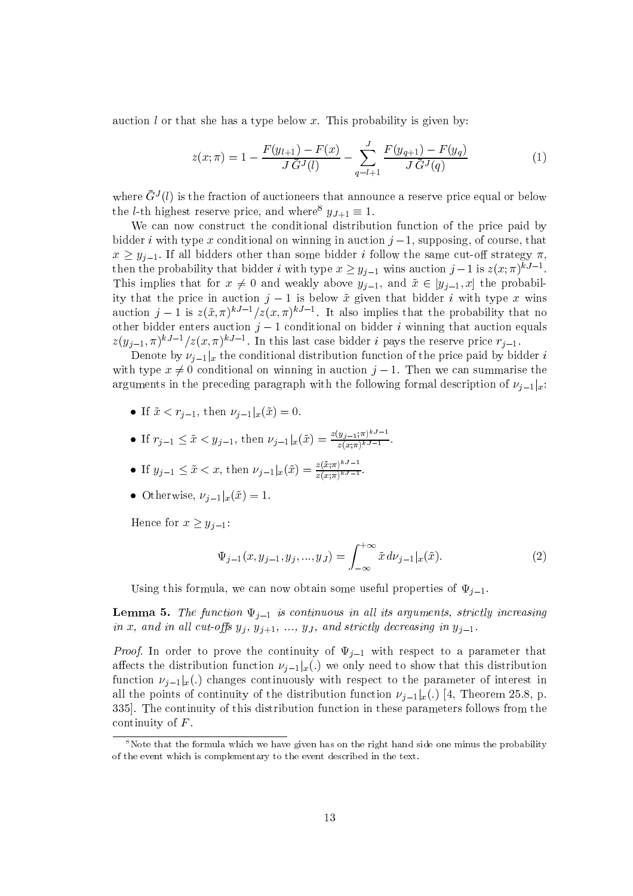auction  $l$  or that she has a type below x. This probability is given by:

$$
z(x; \pi) = 1 - \frac{F(y_{l+1}) - F(x)}{J\bar{G}^{J}(l)} - \sum_{q=l+1}^{J} \frac{F(y_{q+1}) - F(y_q)}{J\bar{G}^{J}(q)} \tag{1}
$$

where  $\bar{G}^{J}(l)$  is the fraction of auctioneers that announce a reserve price equal or below the *l*-th highest reserve price, and where<sup>8</sup>  $y_{J+1} \equiv 1$ .

We can now construct the conditional distribution function of the price paid by bidder *i* with type x conditional on winning in auction  $j-1$ , supposing, of course, that  $x > y_{i-1}$ . If all bidders other than some bidder i follow the same cut-off strategy  $\pi$ , then the probability that bidder *i* with type  $x \ge y_{j-1}$  wins auction  $j-1$  is  $z(x;\pi)^{kJ-1}$ . This implies that for  $x \neq 0$  and weakly above  $y_{j-1}$ , and  $\tilde{x} \in [y_{j-1},x]$  the probability that the price in auction  $j-1$  is below  $\tilde{x}$  given that bidder i with type x wins auction  $j-1$  is  $z(\tilde{x}, \pi)^{kJ-1}/z(x, \pi)^{kJ-1}$ . It also implies that the probability that no other bidder enters auction  $j-1$  conditional on bidder *i* winning that auction equals  $z(y_{j-1}, \pi)^{kJ-1}/z(x, \pi)^{kJ-1}$ . In this last case bidder *i* pays the reserve price  $r_{j-1}$ .

Denote by  $\nu_{i-1}|_x$  the conditional distribution function of the price paid by bidder i with type  $x \neq 0$  conditional on winning in auction  $j-1$ . Then we can summarise the arguments in the preceding paragraph with the following formal description of  $\nu_{i-1}|_x$ .

- If  $\tilde{x} < r_{j-1}$ , then  $\nu_{j-1}|_x(\tilde{x}) = 0$
- If  $r_{j-1} \leq \tilde{x} < y_{j-1}$ , then  $\nu_{j-1}|_x(\tilde{x}) = \frac{z(y_{j-1}:\pi)^{kJ-1}}{z(x:\pi)^{kJ-1}}$
- If  $y_{j-1} \leq \tilde{x} < x$ , then  $\nu_{j-1}|_x(\tilde{x}) = \frac{z(\tilde{x}; \pi)^{kJ-1}}{z(x;\pi)^{kJ-1}}$ .
- Otherwise,  $\nu_{i-1}|_x(\tilde{x})=1$ .

Hence for  $x \geq y_{i-1}$ :

$$
\Psi_{j-1}(x, y_{j-1}, y_j, ..., y_J) = \int_{-\infty}^{+\infty} \tilde{x} \, d\nu_{j-1}|_x(\tilde{x}). \tag{2}
$$

Using this formula, we can now obtain some useful properties of  $\Psi_{j-1}$ .

**Lemma 5.** The function  $\Psi_{j-1}$  is continuous in all its arguments, strictly increasing in x, and in all cut-offs  $y_j$ ,  $y_{j+1}$ , ...,  $y_j$ , and strictly decreasing in  $y_{j-1}$ .

*Proof.* In order to prove the continuity of  $\Psi_{j-1}$  with respect to a parameter that affects the distribution function  $\nu_{i-1}|_x(.)$  we only need to show that this distribution function  $\nu_{i-1}|_x(.)$  changes continuously with respect to the parameter of interest in all the points of continuity of the distribution function  $\nu_{i-1}|_x(.)$  [4, Theorem 25.8, p. 335. The continuity of this distribution function in these parameters follows from the continuity of  $F$ .

 $8$ Note that the formula which we have given has on the right hand side one minus the probability of the event which is complementary to the event described in the text.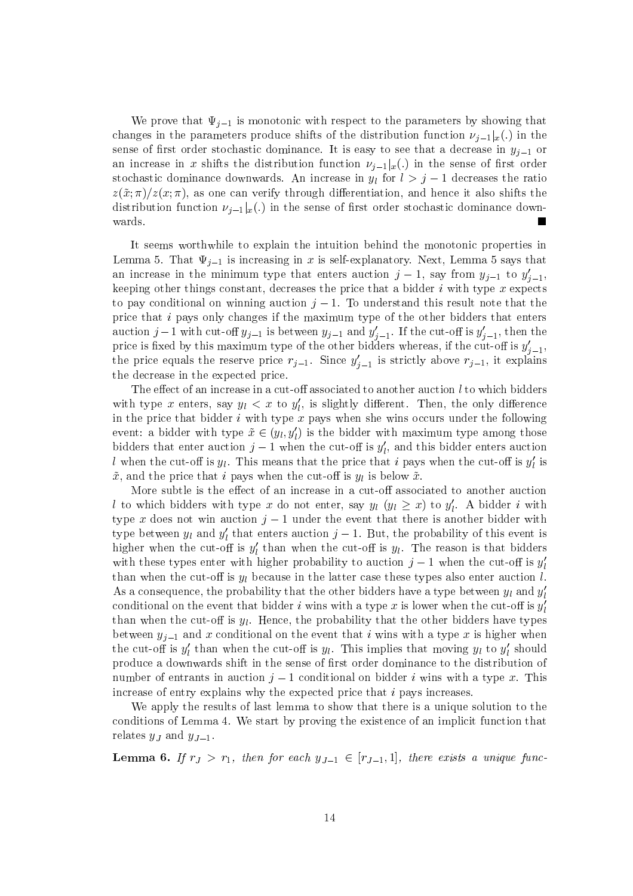We prove that  $\Psi_{i-1}$  is monotonic with respect to the parameters by showing that changes in the parameters produce shifts of the distribution function  $\nu_{i-1}|_x(.)$  in the sense of first order stochastic dominance. It is easy to see that a decrease in  $y_{i-1}$  or an increase in x shifts the distribution function  $\nu_{j-1}|_x(.)$  in the sense of first order stochastic dominance downwards. An increase in  $y_l$  for  $l > j - 1$  decreases the ratio  $z(\tilde{x}; \pi)/z(x;\pi)$ , as one can verify through differentiation, and hence it also shifts the distribution function  $\nu_{i-1} |_{x}$ . in the sense of first order stochastic dominance downwards.

It seems worthwhile to explain the intuition behind the monotonic properties in Lemma 5. That  $\Psi_{j-1}$  is increasing in x is self-explanatory. Next, Lemma 5 says that an increase in the minimum type that enters auction  $j-1$ , say from  $y_{j-1}$  to  $y'_{j-1}$ , keeping other things constant, decreases the price that a bidder i with type x expects to pay conditional on winning auction  $j-1$ . To understand this result note that the price that  $i$  pays only changes if the maximum type of the other bidders that enters auction  $j-1$  with cut-off  $y_{j-1}$  is between  $y_{j-1}$  and  $y'_{j-1}$ . If the cut-off is  $y'_{j-1}$ , then the price is fixed by this maximum type of the other bidders whereas, if the cut-off is  $y'_{j-1}$ , the price equals the reserve price  $r_{j-1}$ . Since  $y'_{j-1}$  is strictly above  $r_{j-1}$ , it explains the decrease in the expected price.

The effect of an increase in a cut-off associated to another auction  $l$  to which bidders with type x enters, say  $y_l < x$  to  $y'_l$ , is slightly different. Then, the only difference in the price that bidder  $i$  with type  $x$  pays when she wins occurs under the following event: a bidder with type  $\tilde{x} \in (y_l, y_l')$  is the bidder with maximum type among those bidders that enter auction  $j-1$  when the cut-off is  $y'_i$ , and this bidder enters auction l when the cut-off is  $y_l$ . This means that the price that i pays when the cut-off is  $y'_l$  is  ${x}$ , and the price that i pays when the cut-off is  $y_l$  is below  ${x}$ .

More subtle is the effect of an increase in a cut-off associated to another auction l to which bidders with type x do not enter, say  $y_l$   $(y_l \geq x)$  to  $y'_l$ . A bidder i with type x does not win auction  $j-1$  under the event that there is another bidder with type between  $y_l$  and  $y'_l$  that enters auction  $j-1$ . But, the probability of this event is higher when the cut-off is  $y'_l$  than when the cut-off is  $y_l$ . The reason is that bidders with these types enter with higher probability to auction  $j-1$  when the cut-off is  $y'_l$ than when the cut-off is  $y_l$  because in the latter case these types also enter auction l. As a consequence, the probability that the other bidders have a type between  $y_l$  and  $y'_l$ conditional on the event that bidder i wins with a type x is lower when the cut-off is  $y_l'$ than when the cut-off is  $y_l$ . Hence, the probability that the other bidders have types between  $y_{i-1}$  and x conditional on the event that i wins with a type x is higher when the cut-off is  $y'_l$  than when the cut-off is  $y_l$ . This implies that moving  $y_l$  to  $y'_l$  should produce a downwards shift in the sense of first order dominance to the distribution of number of entrants in auction  $j-1$  conditional on bidder i wins with a type x. This increase of entry explains why the expected price that  $i$  pays increases.

We apply the results of last lemma to show that there is a unique solution to the conditions of Lemma 4. We start by proving the existence of an implicit function that relates  $y_j$  and  $y_{j-1}$ .

**Lemma 6.** If  $r_j > r_1$ , then for each  $y_{j-1} \in [r_{j-1}, 1]$ , there exists a unique func-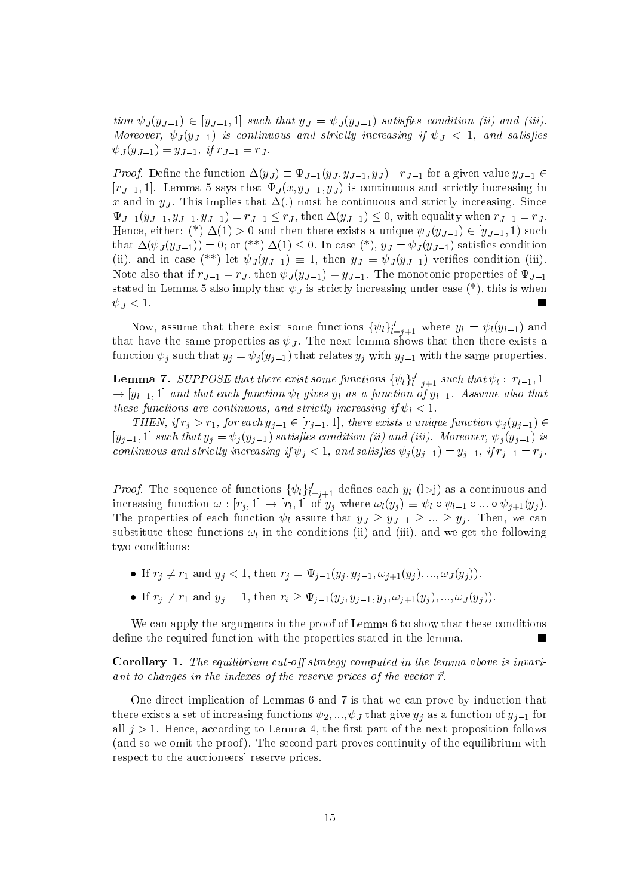tion  $\psi_J(y_{J-1}) \in [y_{J-1}, 1]$  such that  $y_J = \psi_J(y_{J-1})$  satisfies condition (ii) and (iii). Moreover,  $\psi_J(y_{J-1})$  is continuous and strictly increasing if  $\psi_J < 1$ , and satisfies  $\psi_J(y_{J-1}) = y_{J-1}, \text{ if } r_{J-1} = r_J.$ 

*Proof.* Define the function  $\Delta(y_J) \equiv \Psi_{J-1}(y_J, y_{J-1}, y_J) - r_{J-1}$  for a given value  $y_{J-1} \in$  $[r_{J-1}, 1]$ . Lemma 5 says that  $\Psi_J(x, y_{J-1}, y_J)$  is continuous and strictly increasing in x and in  $y_J$ . This implies that  $\Delta(.)$  must be continuous and strictly increasing. Since  $\Psi_{J-1}(y_{J-1}, y_{J-1}, y_{J-1}) = r_{J-1} \leq r_J$ , then  $\Delta(y_{J-1}) \leq 0$ , with equality when  $r_{J-1} = r_J$ . Hence, either: (\*)  $\Delta(1) > 0$  and then there exists a unique  $\psi_J(y_{J-1}) \in [y_{J-1}, 1)$  such that  $\Delta(\psi_J(y_{J-1})) = 0$ ; or (\*\*)  $\Delta(1) \leq 0$ . In case (\*),  $y_J = \psi_J(y_{J-1})$  satisfies condition (ii), and in case (\*\*) let  $\psi_J(y_{J-1}) \equiv 1$ , then  $y_J = \psi_J(y_{J-1})$  verifies condition (iii). Note also that if  $r_{J-1} = r_J$ , then  $\psi_J(y_{J-1}) = y_{J-1}$ . The monotonic properties of  $\Psi_{J-1}$ stated in Lemma 5 also imply that  $\psi_J$  is strictly increasing under case (\*), this is when  $\psi_J < 1.$ 

Now, assume that there exist some functions  $\{\psi_l\}_{l=j+1}^J$  where  $y_l = \psi_l(y_{l-1})$  and that have the same properties as  $\psi_J$ . The next lemma shows that then there exists a function  $\psi_j$  such that  $y_j = \psi_j(y_{j-1})$  that relates  $y_j$  with  $y_{j-1}$  with the same properties.

**Lemma 7.** SUPPOSE that there exist some functions  $\{\psi_l\}_{l=j+1}^J$  such that  $\psi_l : [r_{l-1},1]$  $\rightarrow$  [y<sub>1-1</sub>, 1] and that each function  $\psi_l$  gives y<sub>l</sub> as a function of y<sub>1-1</sub>. Assume also that these functions are continuous, and strictly increasing if  $\psi_l < 1$ .

THEN, if  $r_j > r_1$ , for each  $y_{j-1} \in [r_{j-1}, 1]$ , there exists a unique function  $\psi_j(y_{j-1}) \in$  $[y_{i-1}, 1]$  such that  $y_i = \psi_i(y_{i-1})$  satisfies condition (ii) and (iii). Moreover,  $\psi_i(y_{i-1})$  is continuous and strictly increasing if  $\psi_i < 1$ , and satisfies  $\psi_i(y_{i-1}) = y_{i-1}$ , if  $r_{i-1} = r_i$ .

*Proof.* The sequence of functions  $\{\psi_l\}_{l=j+1}^J$  defines each  $y_l$  (1>j) as a continuous and increasing function  $\omega : [r_j, 1] \to [r_l, 1]$  of  $y_j$  where  $\omega_l(y_j) \equiv \psi_l \circ \psi_{l-1} \circ ... \circ \psi_{j+1}(y_j)$ . The properties of each function  $\psi_l$  assure that  $y_j \geq y_{j-1} \geq ... \geq y_i$ . Then, we can substitute these functions  $\omega_l$  in the conditions (ii) and (iii), and we get the following two conditions:

- If  $r_j \neq r_1$  and  $y_j < 1$ , then  $r_j = \Psi_{j-1}(y_j, y_{j-1}, \omega_{j+1}(y_j), ..., \omega_J(y_j)).$
- If  $r_j \neq r_1$  and  $y_j = 1$ , then  $r_i \geq \Psi_{j-1}(y_j, y_{j-1}, y_j, \omega_{j+1}(y_j), ..., \omega_J(y_j)).$

We can apply the arguments in the proof of Lemma 6 to show that these conditions define the required function with the properties stated in the lemma.

**Corollary 1.** The equilibrium cut-off strategy computed in the lemma above is invariant to changes in the indexes of the reserve prices of the vector  $\vec{r}$ .

One direct implication of Lemmas 6 and 7 is that we can prove by induction that there exists a set of increasing functions  $\psi_2, ..., \psi_J$  that give  $y_j$  as a function of  $y_{j-1}$  for all  $j > 1$ . Hence, according to Lemma 4, the first part of the next proposition follows (and so we omit the proof). The second part proves continuity of the equilibrium with respect to the auctioneers' reserve prices.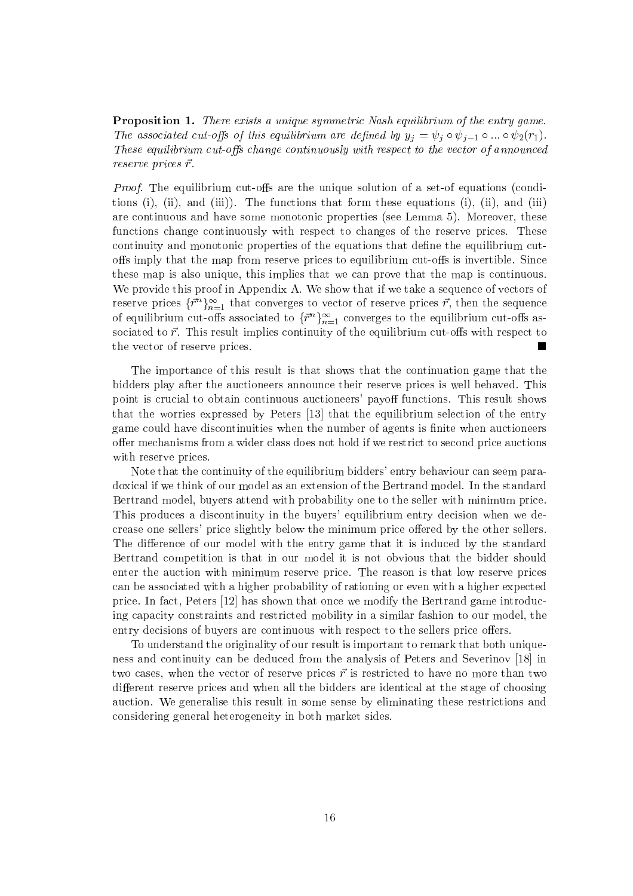**Proposition 1.** There exists a unique symmetric Nash equilibrium of the entry game. The associated cut-offs of this equilibrium are defined by  $y_i = \psi_i \circ \psi_{i-1} \circ ... \circ \psi_2(r_1)$ . These equilibrium cut-offs change continuously with respect to the vector of announced reserve prices  $\vec{r}$ .

*Proof.* The equilibrium cut-offs are the unique solution of a set-of equations (conditions (i), (ii), and (iii)). The functions that form these equations (i), (ii), and (iii) are continuous and have some monotonic properties (see Lemma 5). Moreover, these functions change continuously with respect to changes of the reserve prices. These continuity and monotonic properties of the equations that define the equilibrium cutoffs imply that the map from reserve prices to equilibrium cut-offs is invertible. Since these map is also unique, this implies that we can prove that the map is continuous. We provide this proof in Appendix A. We show that if we take a sequence of vectors of reserve prices  $\{\vec{r}^n\}_{n=1}^{\infty}$  that converges to vector of reserve prices  $\vec{r}$ , then the sequence of equilibrium cut-offs associated to  $\{\bar{r}^n\}_{n=1}^{\infty}$  converges to the equilibrium cut-offs associated to  $\vec{r}$ . This result implies continuity of the equilibrium cut-offs with respect to the vector of reserve prices.

The importance of this result is that shows that the continuation game that the bidders play after the auctioneers announce their reserve prices is well behaved. This point is crucial to obtain continuous auctioneers' payoff functions. This result shows that the worries expressed by Peters [13] that the equilibrium selection of the entry game could have discontinuities when the number of agents is finite when auctioneers offer mechanisms from a wider class does not hold if we restrict to second price auctions with reserve prices.

Note that the continuity of the equilibrium bidders' entry behaviour can seem paradoxical if we think of our model as an extension of the Bertrand model. In the standard Bertrand model, buyers attend with probability one to the seller with minimum price. This produces a discontinuity in the buyers' equilibrium entry decision when we decrease one sellers' price slightly below the minimum price offered by the other sellers. The difference of our model with the entry game that it is induced by the standard Bertrand competition is that in our model it is not obvious that the bidder should enter the auction with minimum reserve price. The reason is that low reserve prices can be associated with a higher probability of rationing or even with a higher expected price. In fact, Peters [12] has shown that once we modify the Bertrand game introducing capacity constraints and restricted mobility in a similar fashion to our model, the entry decisions of buyers are continuous with respect to the sellers price offers.

To understand the originality of our result is important to remark that both uniqueness and continuity can be deduced from the analysis of Peters and Severinov [18] in two cases, when the vector of reserve prices  $\vec{r}$  is restricted to have no more than two different reserve prices and when all the bidders are identical at the stage of choosing auction. We generalise this result in some sense by eliminating these restrictions and considering general heterogeneity in both market sides.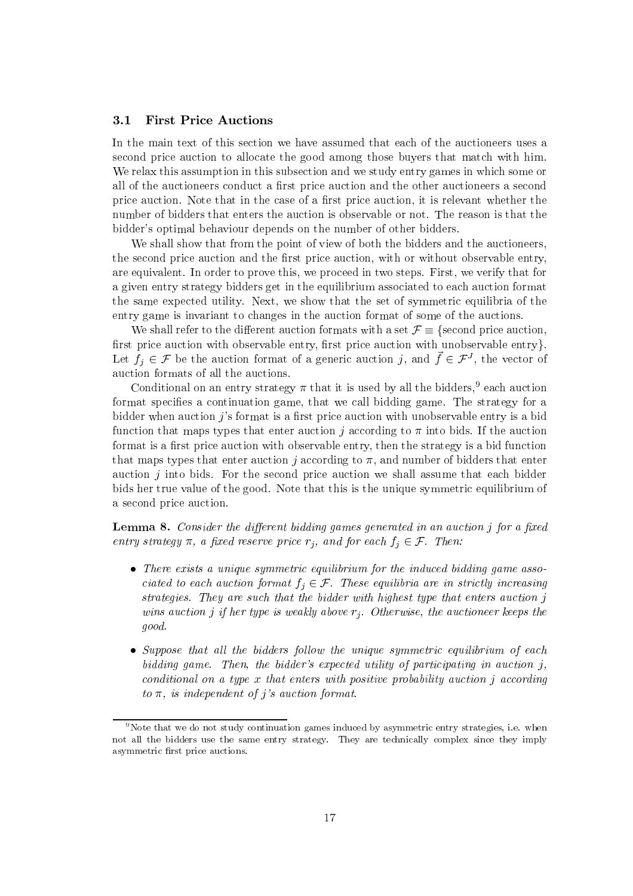#### $3.1$ **First Price Auctions**

In the main text of this section we have assumed that each of the auctioneers uses a second price auction to allocate the good among those buyers that match with him. We relax this assumption in this subsection and we study entry games in which some or all of the auctioneers conduct a first price auction and the other auctioneers a second price auction. Note that in the case of a first price auction, it is relevant whether the number of bidders that enters the auction is observable or not. The reason is that the bidder's optimal behaviour depends on the number of other bidders.

We shall show that from the point of view of both the bidders and the auctioneers, the second price auction and the first price auction, with or without observable entry, are equivalent. In order to prove this, we proceed in two steps. First, we verify that for a given entry strategy bidders get in the equilibrium associated to each auction format the same expected utility. Next, we show that the set of symmetric equilibria of the entry game is invariant to changes in the auction format of some of the auctions.

We shall refer to the different auction formats with a set  $\mathcal{F} \equiv \{$  second price auction, first price auction with observable entry, first price auction with unobservable entry. Let  $f_j \in \mathcal{F}$  be the auction format of a generic auction j, and  $\vec{f} \in \mathcal{F}^J$ , the vector of auction formats of all the auctions.

Conditional on an entry strategy  $\pi$  that it is used by all the bidders,<sup>9</sup> each auction format specifies a continuation game, that we call bidding game. The strategy for a bidder when auction  $j$ 's format is a first price auction with unobservable entry is a bid function that maps types that enter auction j according to  $\pi$  into bids. If the auction format is a first price auction with observable entry, then the strategy is a bid function that maps types that enter auction j according to  $\pi$ , and number of bidders that enter auction  $j$  into bids. For the second price auction we shall assume that each bidder bids her true value of the good. Note that this is the unique symmetric equilibrium of a second price auction.

**Lemma 8.** Consider the different bidding games generated in an auction  $\eta$  for a fixed entry strategy  $\pi$ , a fixed reserve price  $r_i$ , and for each  $f_i \in \mathcal{F}$ . Then:

- $\bullet$  There exists a unique symmetric equilibrium for the induced bidding game associated to each auction format  $f_j \in \mathcal{F}$ . These equilibria are in strictly increasing strategies. They are such that the bidder with highest type that enters auction j wins auction j if her type is weakly above  $r_i$ . Otherwise, the auctioneer keeps the good.
- Suppose that all the bidders follow the unique symmetric equilibrium of each bidding game. Then, the bidder's expected utility of participating in auction  $j$ , conditional on a type  $x$  that enters with positive probability auction j according to  $\pi$ , is independent of j's auction format.

 $\rm{P}^9$  Note that we do not study continuation games induced by asymmetric entry strategies, i.e. when not all the bidders use the same entry strategy. They are technically complex since they imply asymmetric first price auctions.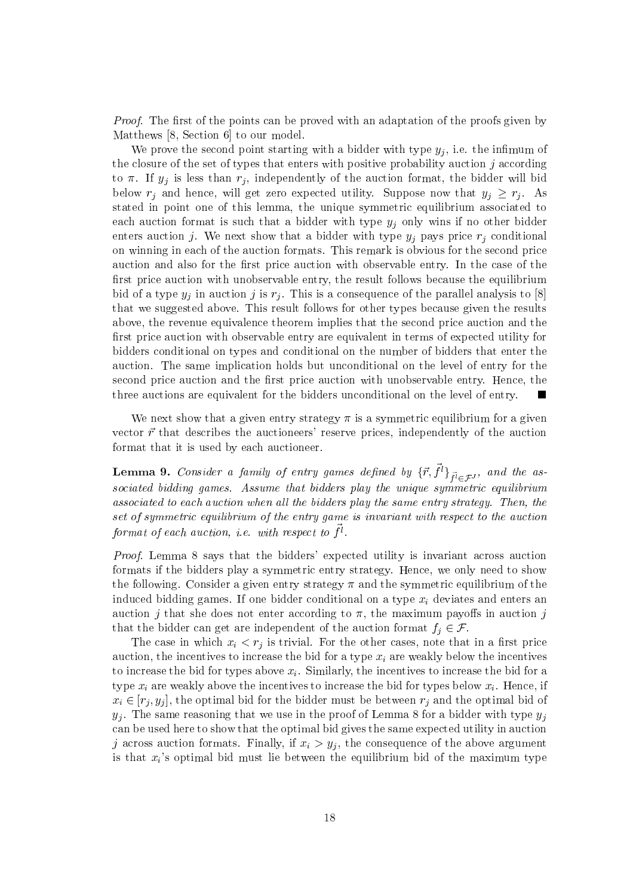*Proof.* The first of the points can be proved with an adaptation of the proofs given by Matthews  $[8, Section 6]$  to our model.

We prove the second point starting with a bidder with type  $y_i$ , i.e. the infimum of the closure of the set of types that enters with positive probability auction  $j$  according to  $\pi$ . If  $y_j$  is less than  $r_j$ , independently of the auction format, the bidder will bid below  $r_j$  and hence, will get zero expected utility. Suppose now that  $y_j \geq r_j$ . As stated in point one of this lemma, the unique symmetric equilibrium associated to each auction format is such that a bidder with type  $y_j$  only wins if no other bidder enters auction j. We next show that a bidder with type  $y_i$  pays price  $r_i$  conditional on winning in each of the auction formats. This remark is obvious for the second price auction and also for the first price auction with observable entry. In the case of the first price auction with unobservable entry, the result follows because the equilibrium bid of a type  $y_i$  in auction j is  $r_i$ . This is a consequence of the parallel analysis to [8] that we suggested above. This result follows for other types because given the results above, the revenue equivalence theorem implies that the second price auction and the first price auction with observable entry are equivalent in terms of expected utility for bidders conditional on types and conditional on the number of bidders that enter the auction. The same implication holds but unconditional on the level of entry for the second price auction and the first price auction with unobservable entry. Hence, the three auctions are equivalent for the bidders unconditional on the level of entry.

We next show that a given entry strategy  $\pi$  is a symmetric equilibrium for a given vector  $\vec{r}$  that describes the auctioneers' reserve prices, independently of the auction format that it is used by each auctioneer.

**Lemma 9.** Consider a family of entry games defined by  $\{\vec{r}, \vec{f}^l\}_{\vec{f}^l \in \mathcal{F}^J}$ , and the associated bidding games. Assume that bidders play the unique symmetric equilibrium associated to each auction when all the bidders play the same entry strategy. Then, the set of symmetric equilibrium of the entry game is invariant with respect to the auction format of each auction, *i.e.* with respect to  $\vec{f}^l$ .

*Proof.* Lemma 8 says that the bidders' expected utility is invariant across auction formats if the bidders play a symmetric entry strategy. Hence, we only need to show the following. Consider a given entry strategy  $\pi$  and the symmetric equilibrium of the induced bidding games. If one bidder conditional on a type  $x_i$  deviates and enters an auction j that she does not enter according to  $\pi$ , the maximum payoffs in auction j that the bidder can get are independent of the auction format  $f_i \in \mathcal{F}$ .

The case in which  $x_i < r_j$  is trivial. For the other cases, note that in a first price auction, the incentives to increase the bid for a type  $x_i$  are weakly below the incentives to increase the bid for types above  $x_i$ . Similarly, the incentives to increase the bid for a type  $x_i$  are weakly above the incentives to increase the bid for types below  $x_i$ . Hence, if  $x_i \in [r_i, y_i]$ , the optimal bid for the bidder must be between  $r_i$  and the optimal bid of  $y_j$ . The same reasoning that we use in the proof of Lemma 8 for a bidder with type  $y_j$ can be used here to show that the optimal bid gives the same expected utility in auction j across auction formats. Finally, if  $x_i > y_i$ , the consequence of the above argument is that  $x_i$ 's optimal bid must lie between the equilibrium bid of the maximum type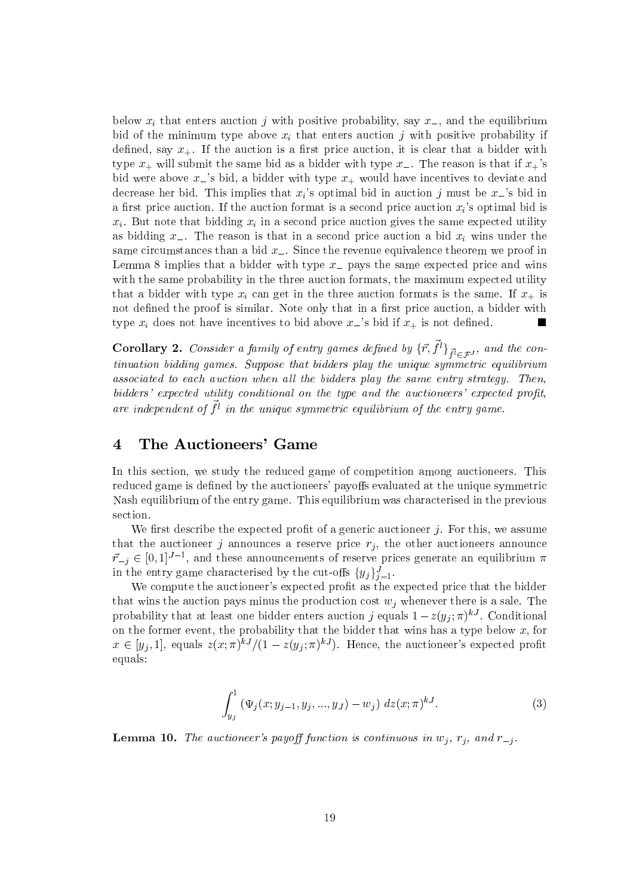below  $x_i$  that enters auction j with positive probability, say  $x_$ , and the equilibrium bid of the minimum type above  $x_i$  that enters auction j with positive probability if defined, say  $x_{+}$ . If the auction is a first price auction, it is clear that a bidder with type  $x_+$  will submit the same bid as a bidder with type  $x_-$ . The reason is that if  $x_+$ 's bid were above  $x_{-}$ 's bid, a bidder with type  $x_{+}$  would have incentives to deviate and decrease her bid. This implies that  $x_i$ 's optimal bid in auction j must be  $x_i$ 's bid in a first price auction. If the auction format is a second price auction  $x_i$ 's optimal bid is  $x_i$ . But note that bidding  $x_i$  in a second price auction gives the same expected utility as bidding  $x_{-}$ . The reason is that in a second price auction a bid  $x_i$  wins under the same circumstances than a bid  $x_{-}$ . Since the revenue equivalence theorem we proof in Lemma 8 implies that a bidder with type  $x_{-}$  pays the same expected price and wins with the same probability in the three auction formats, the maximum expected utility that a bidder with type  $x_i$  can get in the three auction formats is the same. If  $x_+$  is not defined the proof is similar. Note only that in a first price auction, a bidder with type  $x_i$  does not have incentives to bid above  $x_i$ 's bid if  $x_+$  is not defined.

**Corollary 2.** Consider a family of entry games defined by  $\{\vec{r}, \vec{f}^l\}_{\vec{f}^l \in \mathcal{F}^J}$ , and the con $tinuation$  bidding games. Suppose that bidders play the unique symmetric equilibrium associated to each auction when all the bidders play the same entry strategy. Then, bidders' expected utility conditional on the type and the auctioneers' expected profit. are independent of  $\vec{f}^l$  in the unique symmetric equilibrium of the entry game.

### The Auctioneers' Game  $\overline{\mathcal{A}}$

In this section, we study the reduced game of competition among auctioneers. This reduced game is defined by the auctioneers' payoffs evaluated at the unique symmetric Nash equilibrium of the entry game. This equilibrium was characterised in the previous section.

We first describe the expected profit of a generic auctioneer  $j$ . For this, we assume that the auctioneer j announces a reserve price  $r_i$ , the other auctioneers announce  $\vec{r}_{-j} \in [0,1]^{J-1}$ , and these announcements of reserve prices generate an equilibrium  $\pi$ in the entry game characterised by the cut-offs  $\{y_j\}_{j=1}^J$ .

We compute the auctioneer's expected profit as the expected price that the bidder that wins the auction pays minus the production cost  $w_i$  whenever there is a sale. The probability that at least one bidder enters auction j equals  $1 - z(y_j; \pi)^{kJ}$ . Conditional on the former event, the probability that the bidder that wins has a type below  $x$ , for  $x \in [y_j, 1]$ , equals  $z(x; \pi)^{kJ}/(1-z(y_j; \pi)^{kJ})$ . Hence, the auctioneer's expected profit equals:

$$
\int_{y_j}^1 (\Psi_j(x; y_{j-1}, y_j, ..., y_J) - w_j) dz(x; \pi)^{kJ}.
$$
 (3)

**Lemma 10.** The auctioneer's payoff function is continuous in  $w_j$ ,  $r_j$ , and  $r_{-j}$ .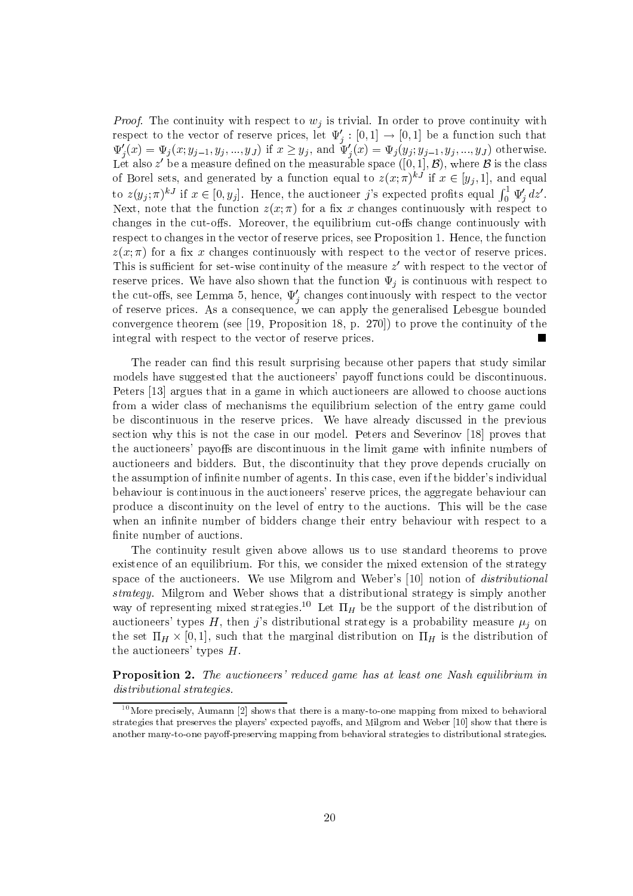*Proof.* The continuity with respect to  $w_i$  is trivial. In order to prove continuity with respect to the vector of reserve prices, let  $\Psi'_j : [0,1] \to [0,1]$  be a function such that  $\Psi'_j(x) = \Psi_j(x; y_{j-1}, y_j, ..., y_J)$  if  $x \ge y_j$ , and  $\Psi'_j(x) = \Psi_j(y_j; y_{j-1}, y_j, ..., y_J)$  otherwise.<br>Let also z' be a measure defined on the measurab of Borel sets, and generated by a function equal to  $z(x;\pi)^{kJ}$  if  $x \in [y_j,1]$ , and equal to  $z(y_j; \pi)^{kJ}$  if  $x \in [0, y_j]$ . Hence, the auctioneer j's expected profits equal  $\int_0^1 \Psi'_j dz'$ .<br>Next, note that the function  $z(x; \pi)$  for a fix x changes continuously with respect to changes in the cut-offs. Moreover, the equilibrium cut-offs change continuously with respect to changes in the vector of reserve prices, see Proposition 1. Hence, the function  $z(x;\pi)$  for a fix x changes continuously with respect to the vector of reserve prices. This is sufficient for set-wise continuity of the measure  $z'$  with respect to the vector of reserve prices. We have also shown that the function  $\Psi_i$  is continuous with respect to the cut-offs, see Lemma 5, hence,  $\Psi'_{i}$  changes continuously with respect to the vector of reserve prices. As a consequence, we can apply the generalised Lebesgue bounded convergence theorem (see [19, Proposition 18, p. 270]) to prove the continuity of the integral with respect to the vector of reserve prices. П

The reader can find this result surprising because other papers that study similar models have suggested that the auctioneers' payoff functions could be discontinuous. Peters [13] argues that in a game in which auctioneers are allowed to choose auctions from a wider class of mechanisms the equilibrium selection of the entry game could be discontinuous in the reserve prices. We have already discussed in the previous section why this is not the case in our model. Peters and Severinov [18] proves that the auctioneers' payoffs are discontinuous in the limit game with infinite numbers of auctioneers and bidders. But, the discontinuity that they prove depends crucially on the assumption of infinite number of agents. In this case, even if the bidder's individual behaviour is continuous in the auctioneers' reserve prices, the aggregate behaviour can produce a discontinuity on the level of entry to the auctions. This will be the case when an infinite number of bidders change their entry behaviour with respect to a finite number of auctions.

The continuity result given above allows us to use standard theorems to prove existence of an equilibrium. For this, we consider the mixed extension of the strategy space of the auctioneers. We use Milgrom and Weber's [10] notion of *distributional* strategy. Milgrom and Weber shows that a distributional strategy is simply another way of representing mixed strategies.<sup>10</sup> Let  $\Pi_H$  be the support of the distribution of auctioneers' types H, then j's distributional strategy is a probability measure  $\mu_i$  on the set  $\Pi_H \times [0,1]$ , such that the marginal distribution on  $\Pi_H$  is the distribution of the auctioneers' types  $H$ .

**Proposition 2.** The auctioneers' reduced game has at least one Nash equilibrium in distributional strategies.

 $10$  More precisely, Aumann [2] shows that there is a many-to-one mapping from mixed to behavioral strategies that preserves the players' expected payoffs, and Milgrom and Weber [10] show that there is another many-to-one payoff-preserving mapping from behavioral strategies to distributional strategies.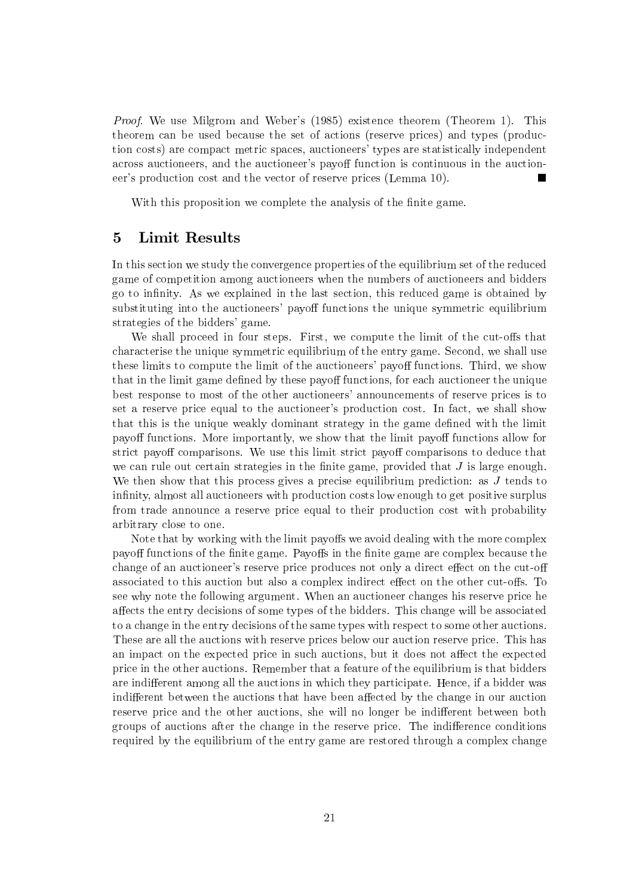*Proof.* We use Milgrom and Weber's (1985) existence theorem (Theorem 1). This theorem can be used because the set of actions (reserve prices) and types (production costs) are compact metric spaces, auctioneers' types are statistically independent across auctioneers, and the auctioneer's payoff function is continuous in the auctioneer's production cost and the vector of reserve prices (Lemma 10). П

With this proposition we complete the analysis of the finite game.

#### 5 Limit Results

In this section we study the convergence properties of the equilibrium set of the reduced game of competition among auctioneers when the numbers of auctioneers and bidders go to infinity. As we explained in the last section, this reduced game is obtained by substituting into the auctioneers' payoff functions the unique symmetric equilibrium strategies of the bidders' game.

We shall proceed in four steps. First, we compute the limit of the cut-offs that characterise the unique symmetric equilibrium of the entry game. Second, we shall use these limits to compute the limit of the auctioneers' payoff functions. Third, we show that in the limit game defined by these payoff functions, for each auctioneer the unique best response to most of the other auctioneers' announcements of reserve prices is to set a reserve price equal to the auctioneer's production cost. In fact, we shall show that this is the unique weakly dominant strategy in the game defined with the limit payoff functions. More importantly, we show that the limit payoff functions allow for strict payoff comparisons. We use this limit strict payoff comparisons to deduce that we can rule out certain strategies in the finite game, provided that  $J$  is large enough. We then show that this process gives a precise equilibrium prediction: as  $J$  tends to infinity, almost all auctioneers with production costs low enough to get positive surplus from trade announce a reserve price equal to their production cost with probability arbitrary close to one.

Note that by working with the limit payoffs we avoid dealing with the more complex payoff functions of the finite game. Payoffs in the finite game are complex because the change of an auctioneer's reserve price produces not only a direct effect on the cut-off associated to this auction but also a complex indirect effect on the other cut-offs. To see why note the following argument. When an auctioneer changes his reserve price he affects the entry decisions of some types of the bidders. This change will be associated to a change in the entry decisions of the same types with respect to some other auctions. These are all the auctions with reserve prices below our auction reserve price. This has an impact on the expected price in such auctions, but it does not affect the expected price in the other auctions. Remember that a feature of the equilibrium is that bidders are indifferent among all the auctions in which they participate. Hence, if a bidder was indifferent between the auctions that have been affected by the change in our auction reserve price and the other auctions, she will no longer be indifferent between both groups of auctions after the change in the reserve price. The indifference conditions required by the equilibrium of the entry game are restored through a complex change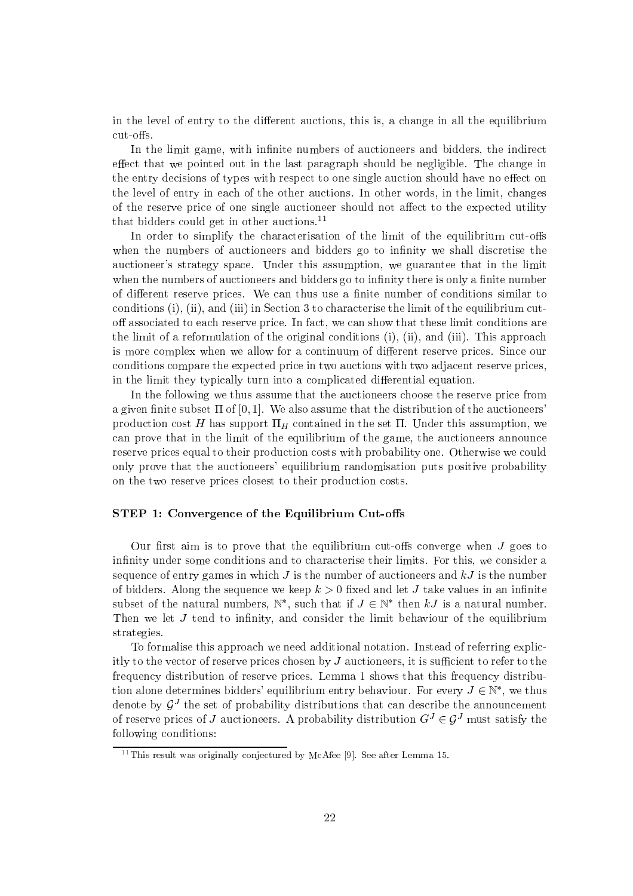in the level of entry to the different auctions, this is, a change in all the equilibrium  $cut-offs.$ 

In the limit game, with infinite numbers of auctioneers and bidders, the indirect effect that we pointed out in the last paragraph should be negligible. The change in the entry decisions of types with respect to one single auction should have no effect on the level of entry in each of the other auctions. In other words, in the limit, changes of the reserve price of one single auctioneer should not affect to the expected utility that bidders could get in other auctions.<sup>11</sup>

In order to simplify the characterisation of the limit of the equilibrium cut-offs when the numbers of auctioneers and bidders go to infinity we shall discretise the auctioneer's strategy space. Under this assumption, we guarantee that in the limit when the numbers of auctioneers and bidders go to infinity there is only a finite number of different reserve prices. We can thus use a finite number of conditions similar to conditions (i), (ii), and (iii) in Section 3 to characterise the limit of the equilibrium cutoff associated to each reserve price. In fact, we can show that these limit conditions are the limit of a reformulation of the original conditions (i), (ii), and (iii). This approach is more complex when we allow for a continuum of different reserve prices. Since our conditions compare the expected price in two auctions with two adjacent reserve prices, in the limit they typically turn into a complicated differential equation.

In the following we thus assume that the auctioneers choose the reserve price from a given finite subset  $\Pi$  of  $[0, 1]$ . We also assume that the distribution of the auctioneers production cost H has support  $\Pi_H$  contained in the set  $\Pi$ . Under this assumption, we can prove that in the limit of the equilibrium of the game, the auctioneers announce reserve prices equal to their production costs with probability one. Otherwise we could only prove that the auctioneers' equilibrium randomisation puts positive probability on the two reserve prices closest to their production costs.

### STEP 1: Convergence of the Equilibrium Cut-offs

Our first aim is to prove that the equilibrium cut-offs converge when  $J$  goes to infinity under some conditions and to characterise their limits. For this, we consider a sequence of entry games in which  $J$  is the number of auctioneers and  $kJ$  is the number of bidders. Along the sequence we keep  $k > 0$  fixed and let J take values in an infinite subset of the natural numbers,  $\mathbb{N}^*$ , such that if  $J \in \mathbb{N}^*$  then kJ is a natural number. Then we let  $J$  tend to infinity, and consider the limit behaviour of the equilibrium strategies.

To formalise this approach we need additional notation. Instead of referring explicitly to the vector of reserve prices chosen by  $J$  auctioneers, it is sufficient to refer to the frequency distribution of reserve prices. Lemma 1 shows that this frequency distribution alone determines bidders' equilibrium entry behaviour. For every  $J \in \mathbb{N}^*$ , we thus denote by  $G<sup>J</sup>$  the set of probability distributions that can describe the announcement of reserve prices of J auctioneers. A probability distribution  $G^{J} \in \mathcal{G}^{J}$  must satisfy the following conditions:

 $^{11}$ This result was originally conjectured by McAfee [9]. See after Lemma 15.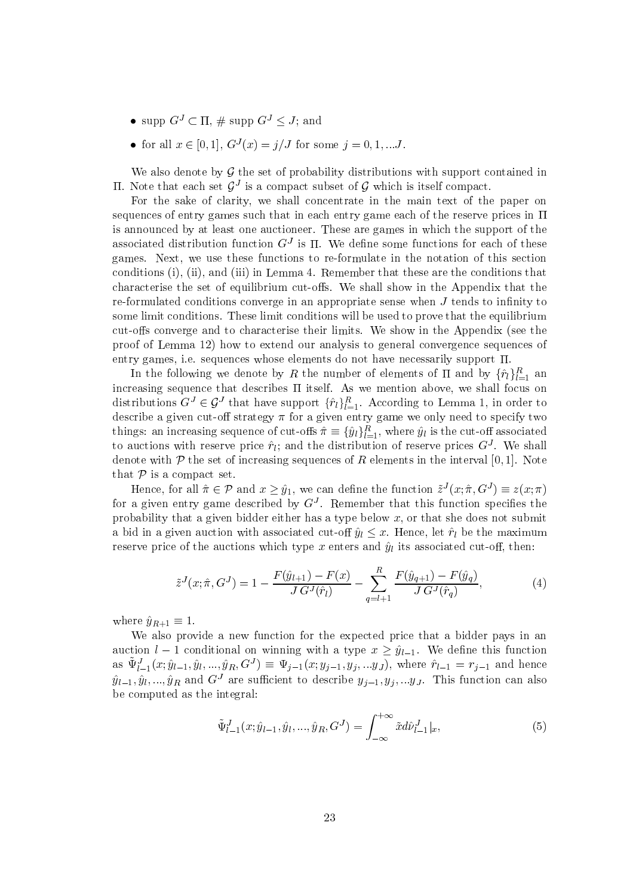- supp  $G^J \subset \Pi$ , # supp  $G^J \leq J$ ; and
- for all  $x \in [0,1], G^{J}(x) = j/J$  for some  $j = 0,1,...J$ .

We also denote by  $\mathcal G$  the set of probability distributions with support contained in II. Note that each set  $\mathcal{G}^{J}$  is a compact subset of  $\mathcal G$  which is itself compact.

For the sake of clarity, we shall concentrate in the main text of the paper on sequences of entry games such that in each entry game each of the reserve prices in  $\Pi$ is announced by at least one auctioneer. These are games in which the support of the associated distribution function  $G<sup>J</sup>$  is  $\Pi$ . We define some functions for each of these games. Next, we use these functions to re-formulate in the notation of this section conditions (i), (ii), and (iii) in Lemma 4. Remember that these are the conditions that characterise the set of equilibrium cut-offs. We shall show in the Appendix that the re-formulated conditions converge in an appropriate sense when  $J$  tends to infinity to some limit conditions. These limit conditions will be used to prove that the equilibrium cut-offs converge and to characterise their limits. We show in the Appendix (see the proof of Lemma 12) how to extend our analysis to general convergence sequences of entry games, i.e. sequences whose elements do not have necessarily support  $\Pi$ .

In the following we denote by R the number of elements of  $\Pi$  and by  $\{\hat{r}_l\}_{l=1}^R$  and increasing sequence that describes  $\Pi$  itself. As we mention above, we shall focus on distributions  $G^J \in \mathcal{G}^J$  that have support  $\{\hat{r}_l\}_{l=1}^R$ . According to Lemma 1, in order to describe a given cut-off strategy  $\pi$  for a given entry game we only need to specify two things: an increasing sequence of cut-offs  $\hat{\pi} \equiv {\hat{y}_l}_{l=1}^R$ , where  $\hat{y}_l$  is the cut-off associated to auctions with reserve price  $\hat{\mathbf{r}}_l$ ; and the distribution of reserve prices  $G^J$ . We shall denote with  $P$  the set of increasing sequences of R elements in the interval [0, 1]. Note that  $P$  is a compact set.

Hence, for all  $\hat{\pi} \in \mathcal{P}$  and  $x \geq \hat{y}_1$ , we can define the function  $\tilde{z}^J(x; \hat{\pi}, G^J) \equiv z(x; \pi)$ for a given entry game described by  $G<sup>J</sup>$ . Remember that this function specifies the probability that a given bidder either has a type below  $x$ , or that she does not submit a bid in a given auction with associated cut-off  $\hat{y}_l \leq x$ . Hence, let  $\hat{r}_l$  be the maximum reserve price of the auctions which type x enters and  $\hat{y}_l$  its associated cut-off, then:

$$
\tilde{z}^{J}(x; \hat{\pi}, G^{J}) = 1 - \frac{F(\hat{y}_{l+1}) - F(x)}{J G^{J}(\hat{r}_{l})} - \sum_{q=l+1}^{R} \frac{F(\hat{y}_{q+1}) - F(\hat{y}_{q})}{J G^{J}(\hat{r}_{q})},
$$
\n(4)

where  $\hat{y}_{R+1} \equiv 1$ .

We also provide a new function for the expected price that a bidder pays in an auction  $l-1$  conditional on winning with a type  $x \geq \hat{y}_{l-1}$ . We define this function as  $\tilde{\Psi}_{l-1}^J(x; \hat{y}_{l-1}, \hat{y}_l, ..., \hat{y}_R, G^J) \equiv \Psi_{j-1}(x; y_{j-1}, y_j, ..., y_J)$ , where  $\hat{r}_{l-1} = r_{j-1}$  and hence  $\hat{y}_{l-1}, \hat{y}_l, ..., \hat{y}_R$  and  $G^J$  are sufficient to describe  $y_{j-1}, y_j, ..., y_J$ . This function can also be computed as the integral:

$$
\tilde{\Psi}_{l-1}^{J}(x;\hat{y}_{l-1},\hat{y}_{l},...,\hat{y}_{R},G^{J}) = \int_{-\infty}^{+\infty} \tilde{x}d\hat{\nu}_{l-1}^{J}|_{x},
$$
\n(5)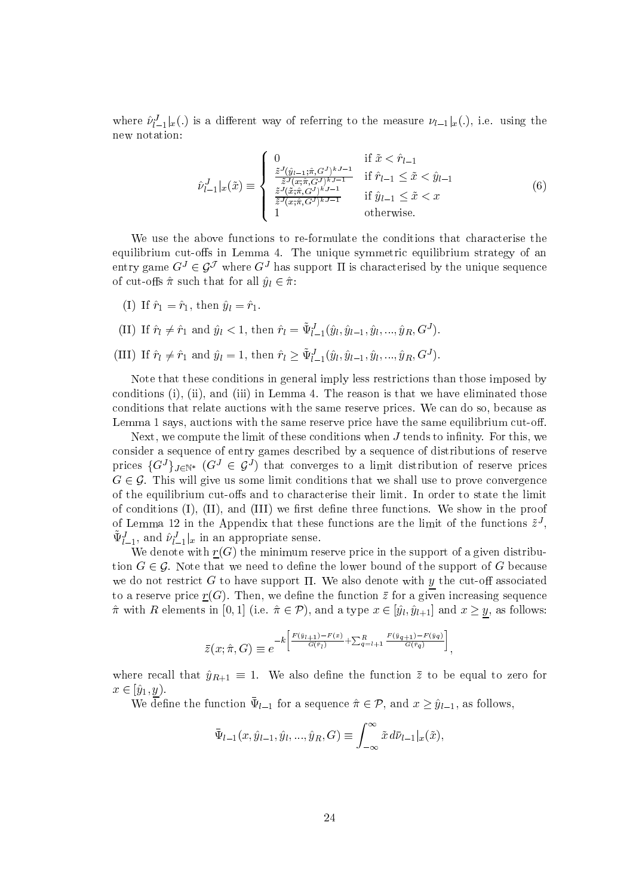where  $\hat{\nu}_{l-1}^J|x(.)$  is a different way of referring to the measure  $\nu_{l-1}|x(.)$ , i.e. using the new notation:

$$
\hat{\nu}_{l-1}^{J}|_{x}(\tilde{x}) \equiv \begin{cases}\n0 & \text{if } \tilde{x} < \hat{r}_{l-1} \\
\frac{\tilde{z}^{J}(\hat{y}_{l-1};\hat{\pi},G^{J})^{kJ-1}}{\tilde{z}^{J}(\tilde{x};\hat{\pi},G^{J})^{kJ-1}} & \text{if } \hat{r}_{l-1} \le \tilde{x} < \hat{y}_{l-1} \\
\frac{\tilde{z}^{J}(\tilde{x};\hat{\pi},G^{J})^{kJ-1}}{\tilde{z}^{J}(\tilde{x};\hat{\pi},G^{J})^{kJ-1}} & \text{if } \hat{y}_{l-1} \le \tilde{x} < x \\
1 & \text{otherwise.} \n\end{cases}
$$
\n(6)

We use the above functions to re-formulate the conditions that characterise the equilibrium cut-offs in Lemma 4. The unique symmetric equilibrium strategy of an entry game  $G^J \in \mathcal{G}^J$  where  $G^J$  has support  $\Pi$  is characterised by the unique sequence of cut-offs  $\hat{\pi}$  such that for all  $\hat{y}_l \in \hat{\pi}$ :

(I) If  $\hat{r}_1 = \hat{r}_1$ , then  $\hat{y}_l = \hat{r}_1$ .

(II) If 
$$
\hat{r}_l \neq \hat{r}_1
$$
 and  $\hat{y}_l < 1$ , then  $\hat{r}_l = \Psi_{l-1}^J(\hat{y}_l, \hat{y}_{l-1}, \hat{y}_l, ..., \hat{y}_R, G^J)$ .

(III) If  $\hat{r}_l \neq \hat{r}_1$  and  $\hat{y}_l = 1$ , then  $\hat{r}_l > \tilde{\Psi}_{l-1}^J(\hat{y}_l, \hat{y}_{l-1}, \hat{y}_l, ..., \hat{y}_R, G^J)$ .

Note that these conditions in general imply less restrictions than those imposed by conditions (i), (ii), and (iii) in Lemma 4. The reason is that we have eliminated those conditions that relate auctions with the same reserve prices. We can do so, because as Lemma 1 says, auctions with the same reserve price have the same equilibrium cut-off.

Next, we compute the limit of these conditions when  $J$  tends to infinity. For this, we consider a sequence of entry games described by a sequence of distributions of reserve prices  $\{G^{J}\}_{J\in\mathbb{N}^*}$   $(G^{J} \in \mathcal{G}^{J})$  that converges to a limit distribution of reserve prices  $G \in \mathcal{G}$ . This will give us some limit conditions that we shall use to prove convergence of the equilibrium cut-offs and to characterise their limit. In order to state the limit of conditions  $(I)$ ,  $(II)$ , and  $(III)$  we first define three functions. We show in the proof of Lemma 12 in the Appendix that these functions are the limit of the functions  $\tilde{z}^{J}$ ,  $\tilde{\Psi}_{l-1}^{J}$ , and  $\hat{\nu}_{l-1}^{J}|_{x}$  in an appropriate sense.

We denote with  $\underline{r}(G)$  the minimum reserve price in the support of a given distribution  $G \in \mathcal{G}$ . Note that we need to define the lower bound of the support of G because we do not restrict  $G$  to have support  $\Pi$ . We also denote with  $y$  the cut-off associated to a reserve price  $\underline{r}(G)$ . Then, we define the function  $\overline{z}$  for a given increasing sequence  $\hat{\pi}$  with R elements in [0, 1] (i.e.  $\hat{\pi} \in \mathcal{P}$ ), and a type  $x \in [\hat{y}_l, \hat{y}_{l+1}]$  and  $x \geq y$ , as follows:

$$
\bar{z}(x;\hat{\pi},G) \equiv e^{-k\left[\frac{F(\hat{y}_{l+1}) - F(x)}{G(\hat{r}_l)} + \sum_{q=l+1}^R \frac{F(\hat{y}_{q+1}) - F(\hat{y}_q)}{G(\hat{r}_q)}\right]}
$$

where recall that  $\hat{y}_{R+1} \equiv 1$ . We also define the function  $\bar{z}$  to be equal to zero for  $x\in[\hat{y}_1,y).$ 

We define the function  $\bar{\Psi}_{l-1}$  for a sequence  $\hat{\pi} \in \mathcal{P}$ , and  $x \geq \hat{y}_{l-1}$ , as follows,

$$
\bar{\Psi}_{l-1}(x,\hat{y}_{l-1},\hat{y}_l,...,\hat{y}_R,G) \equiv \int_{-\infty}^{\infty} \tilde{x} \, d\bar{\nu}_{l-1} |_{x}(\tilde{x}),
$$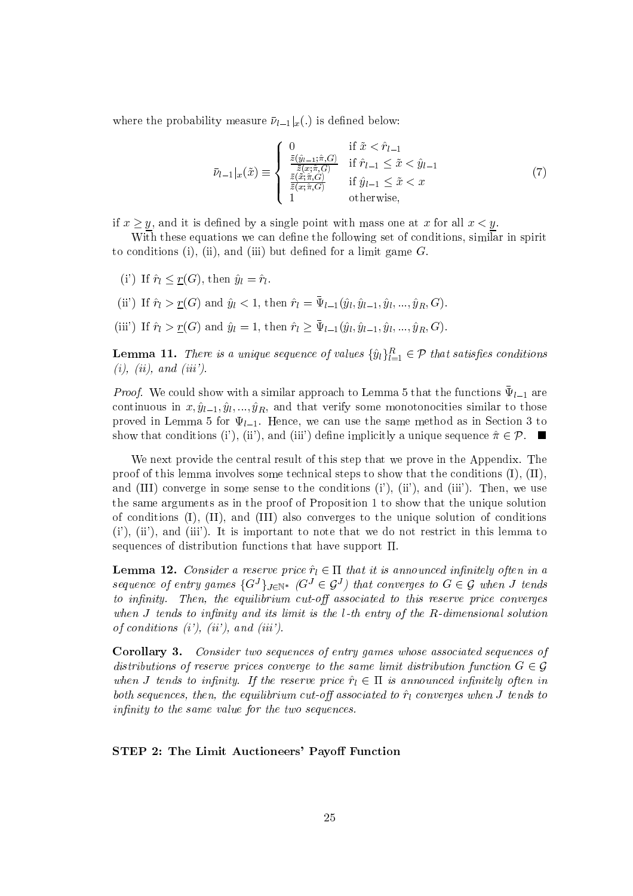where the probability measure  $\bar{\nu}_{l-1}|_x(.)$  is defined below:

$$
\bar{\nu}_{l-1}|_x(\tilde{x}) \equiv \begin{cases}\n0 & \text{if } \tilde{x} < \hat{r}_{l-1} \\
\frac{\bar{z}(\hat{y}_{l-1}; \hat{\pi}, G)}{\bar{z}(x; \hat{\pi}, G)} & \text{if } \hat{r}_{l-1} \le \tilde{x} < \hat{y}_{l-1} \\
\frac{\bar{z}(\tilde{x}; \hat{\pi}, G)}{\bar{z}(x; \hat{\pi}, G)} & \text{if } \hat{y}_{l-1} \le \tilde{x} < x \\
1 & \text{otherwise,} \n\end{cases} \tag{7}
$$

if  $x \ge y$ , and it is defined by a single point with mass one at x for all  $x < y$ .

With these equations we can define the following set of conditions, similar in spirit to conditions (i), (ii), and (iii) but defined for a limit game  $G$ .

- (i') If  $\hat{r}_l \leq \underline{r}(G)$ , then  $\hat{y}_l = \hat{r}_l$ .
- (ii) If  $\hat{r}_l > \underline{r}(G)$  and  $\hat{y}_l < 1$ , then  $\hat{r}_l = \bar{\Psi}_{l-1}(\hat{y}_l, \hat{y}_{l-1}, \hat{y}_l, ..., \hat{y}_R, G)$ .
- (iii) If  $\hat{r}_l > \underline{r}(G)$  and  $\hat{y}_l = 1$ , then  $\hat{r}_l \ge \bar{\Psi}_{l-1}(\hat{y}_l, \hat{y}_{l-1}, \hat{y}_l, ..., \hat{y}_R, G)$ .

**Lemma 11.** There is a unique sequence of values  $\{\hat{y}_l\}_{l=1}^R \in \mathcal{P}$  that satisfies conditions  $(i)$ ,  $(ii)$ , and  $(iii')$ .

*Proof.* We could show with a similar approach to Lemma 5 that the functions  $\bar{\Psi}_{l-1}$  are continuous in  $x, \hat{y}_{l-1}, \hat{y}_l, ..., \hat{y}_R$ , and that verify some monotonocities similar to those proved in Lemma 5 for  $\Psi_{l-1}$ . Hence, we can use the same method as in Section 3 to show that conditions (i'), (ii'), and (iii') define implicitly a unique sequence  $\hat{\pi} \in \mathcal{P}$ .

We next provide the central result of this step that we prove in the Appendix. The proof of this lemma involves some technical steps to show that the conditions  $(I)$ ,  $(II)$ , and (III) converge in some sense to the conditions  $(i')$ ,  $(ii')$ , and  $(iii')$ . Then, we use the same arguments as in the proof of Proposition 1 to show that the unique solution of conditions (I), (II), and (III) also converges to the unique solution of conditions  $(i')$ ,  $(ii')$ , and  $(iii')$ . It is important to note that we do not restrict in this lemma to sequences of distribution functions that have support  $\Pi$ .

**Lemma 12.** Consider a reserve price  $\hat{r}_l \in \Pi$  that it is announced infinitely often in a sequence of entry games  $\{G^J\}_{J \in \mathbb{N}^*}$   $(G^J \in \mathcal{G}^J)$  that converges to  $G \in \mathcal{G}$  when J tends to infinity. Then, the equilibrium cut-off associated to this reserve price converges when  $J$  tends to infinity and its limit is the l-th entry of the R-dimensional solution of conditions  $(i')$ ,  $(ii')$ , and  $(iii')$ .

**Corollary 3.** Consider two sequences of entry games whose associated sequences of distributions of reserve prices converge to the same limit distribution function  $G \in \mathcal{G}$ when J tends to infinity. If the reserve price  $\hat{r}_l \in \Pi$  is announced infinitely often in both sequences, then, the equilibrium cut-off associated to  $\hat{r}_l$  converges when J tends to infinity to the same value for the two sequences.

### STEP 2: The Limit Auctioneers' Payoff Function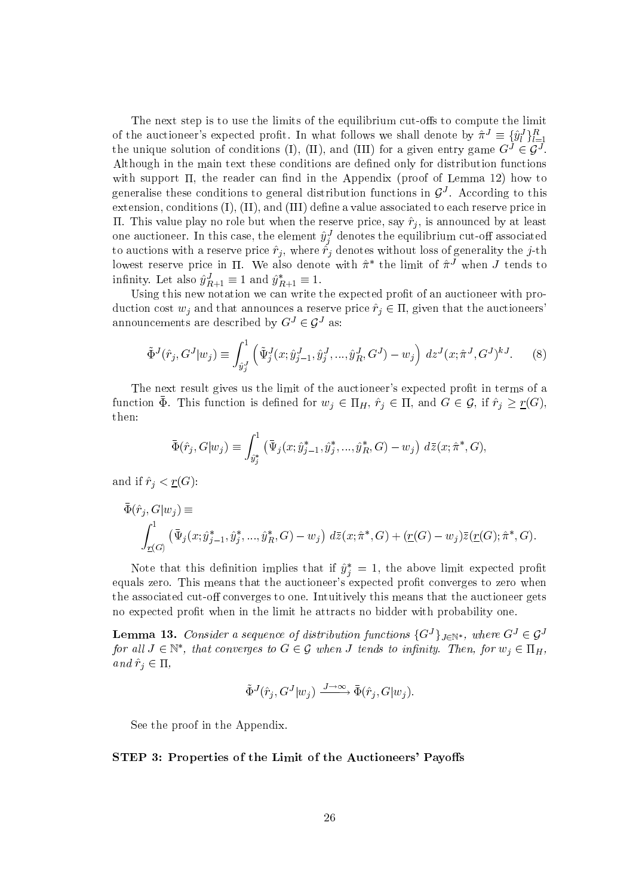The next step is to use the limits of the equilibrium cut-offs to compute the limit of the auctioneer's expected profit. In what follows we shall denote by  $\hat{\pi}^J \equiv {\{\hat{y}_l^J\}_{l=1}^R}$ the unique solution of conditions (I), (II), and (III) for a given entry game  $G^J \in \mathcal{G}^J$ . Although in the main text these conditions are defined only for distribution functions with support  $\Pi$ , the reader can find in the Appendix (proof of Lemma 12) how to generalise these conditions to general distribution functions in  $G<sup>J</sup>$ . According to this extension, conditions (I), (II), and (III) define a value associated to each reserve price in II. This value play no role but when the reserve price, say  $\hat{r}_j$ , is announced by at least one auctioneer. In this case, the element  $\hat{y}_j^J$  denotes the equilibrium cut-off associated<br>to auctions with a reserve price  $\hat{r}_j$ , where  $\hat{r}_j$  denotes without loss of generality the j-th lowest reserve price in  $\Pi$ . We also denote with  $\hat{\pi}^*$  the limit of  $\hat{\pi}^J$  when  $J$  tends to infinity. Let also  $\hat{y}^J_{R+1} \equiv 1$  and  $\hat{y}^*_{R+1} \equiv 1.$ 

Using this new notation we can write the expected profit of an auctioneer with production cost  $w_j$  and that announces a reserve price  $\hat{r}_j \in \Pi$ , given that the auctioneers announcements are described by  $G^J \in \mathcal{G}^J$  as:

$$
\tilde{\Phi}^{J}(\hat{r}_{j}, G^{J}|w_{j}) \equiv \int_{\hat{y}_{j}^{J}}^{1} \left( \tilde{\Psi}_{j}^{J}(x; \hat{y}_{j-1}^{J}, \hat{y}_{j}^{J}, ..., \hat{y}_{R}^{J}, G^{J}) - w_{j} \right) dz^{J}(x; \hat{\pi}^{J}, G^{J})^{kJ}.
$$
 (8)

The next result gives us the limit of the auctioneer's expected profit in terms of a function  $\bar{\Phi}$ . This function is defined for  $w_j \in \Pi_H$ ,  $\hat{r}_j \in \Pi$ , and  $G \in \mathcal{G}$ , if  $\hat{r}_j \geq \underline{r}(G)$ , then:

$$
\bar{\Phi}(\hat{r}_j, G|w_j) \equiv \int_{\hat{y}_j^*}^1 (\bar{\Psi}_j(x; \hat{y}_{j-1}^*, \hat{y}_j^*, ..., \hat{y}_R^*, G) - w_j) \ d\bar{z}(x; \hat{\pi}^*, G).
$$

and if  $\hat{r}_j < \underline{r}(G)$ :

$$
\bar{\Phi}(\hat{r}_j, G|w_j) \equiv
$$
\n
$$
\int_{\underline{r}(G)}^1 (\bar{\Psi}_j(x; \hat{y}_{j-1}^*, \hat{y}_j^*, ..., \hat{y}_R^*, G) - w_j) \ d\bar{z}(x; \hat{\pi}^*, G) + (\underline{r}(G) - w_j) \bar{z}(\underline{r}(G); \hat{\pi}^*, G).
$$

Note that this definition implies that if  $\hat{y}_i^* = 1$ , the above limit expected profit equals zero. This means that the auctioneer's expected profit converges to zero when the associated cut-off converges to one. Intuitively this means that the auctioneer gets no expected profit when in the limit he attracts no bidder with probability one.

**Lemma 13.** Consider a sequence of distribution functions  $\{G^J\}_{J \in \mathbb{N}^*}$ , where  $G^J \in \mathcal{G}^J$ for all  $J \in \mathbb{N}^*$ , that converges to  $G \in \mathcal{G}$  when J tends to infinity. Then, for  $w_j \in \Pi_H$ , and  $\hat{r}_j \in \Pi$ ,

$$
\tilde{\Phi}^{J}(\hat{r}_j, G^{J}|w_j) \xrightarrow{J \to \infty} \bar{\Phi}(\hat{r}_j, G|w_j).
$$

See the proof in the Appendix.

STEP 3: Properties of the Limit of the Auctioneers' Payoffs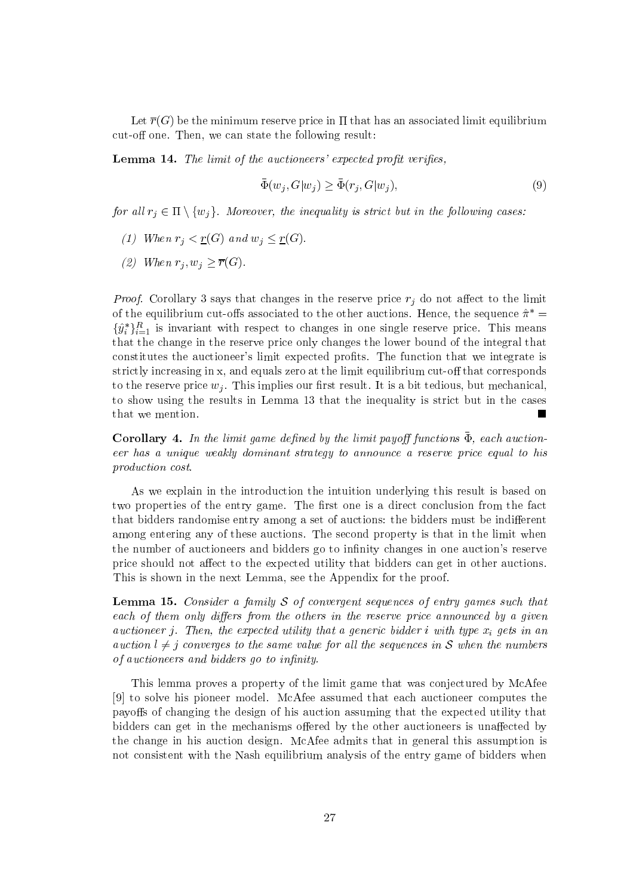Let  $\overline{r}(G)$  be the minimum reserve price in  $\Pi$  that has an associated limit equilibrium cut-off one. Then, we can state the following result:

**Lemma 14.** The limit of the auctioneers' expected profit verifies.

$$
\bar{\Phi}(w_j, G|w_j) \ge \bar{\Phi}(r_j, G|w_j),\tag{9}
$$

for all  $r_j \in \Pi \setminus \{w_j\}$ . Moreover, the inequality is strict but in the following cases:

- (1) When  $r_i < \underline{r}(G)$  and  $w_i \leq \underline{r}(G)$ .
- (2) When  $r_i, w_i \geq \overline{r}(G)$ .

*Proof.* Corollary 3 says that changes in the reserve price  $r_j$  do not affect to the limit of the equilibrium cut-offs associated to the other auctions. Hence, the sequence  $\hat{\pi}^*$  =  $\{\hat{y}_i^*\}_{i=1}^R$  is invariant with respect to changes in one single reserve price. This means that the change in the reserve price only changes the lower bound of the integral that constitutes the auctioneer's limit expected profits. The function that we integrate is strictly increasing in x, and equals zero at the limit equilibrium cut-off that corresponds to the reserve price  $w_i$ . This implies our first result. It is a bit tedious, but mechanical, to show using the results in Lemma 13 that the inequality is strict but in the cases that we mention. Г

**Corollary 4.** In the limit game defined by the limit payoff functions  $\bar{\Phi}$ , each auctioneer has a unique weakly dominant strategy to announce a reserve price equal to his production cost.

As we explain in the introduction the intuition underlying this result is based on two properties of the entry game. The first one is a direct conclusion from the fact that bidders randomise entry among a set of auctions: the bidders must be indifferent among entering any of these auctions. The second property is that in the limit when the number of auctioneers and bidders go to infinity changes in one auction's reserve price should not affect to the expected utility that bidders can get in other auctions. This is shown in the next Lemma, see the Appendix for the proof.

**Lemma 15.** Consider a family S of convergent sequences of entry games such that each of them only differs from the others in the reserve price announced by a given auctioneer j. Then, the expected utility that a generic bidder i with type  $x_i$  gets in an auction  $l \neq j$  converges to the same value for all the sequences in S when the numbers of auctioneers and bidders go to infinity.

This lemma proves a property of the limit game that was conjectured by McAfee [9] to solve his pioneer model. McAfee assumed that each auctioneer computes the payoffs of changing the design of his auction assuming that the expected utility that bidders can get in the mechanisms offered by the other auctioneers is unaffected by the change in his auction design. McAfee admits that in general this assumption is not consistent with the Nash equilibrium analysis of the entry game of bidders when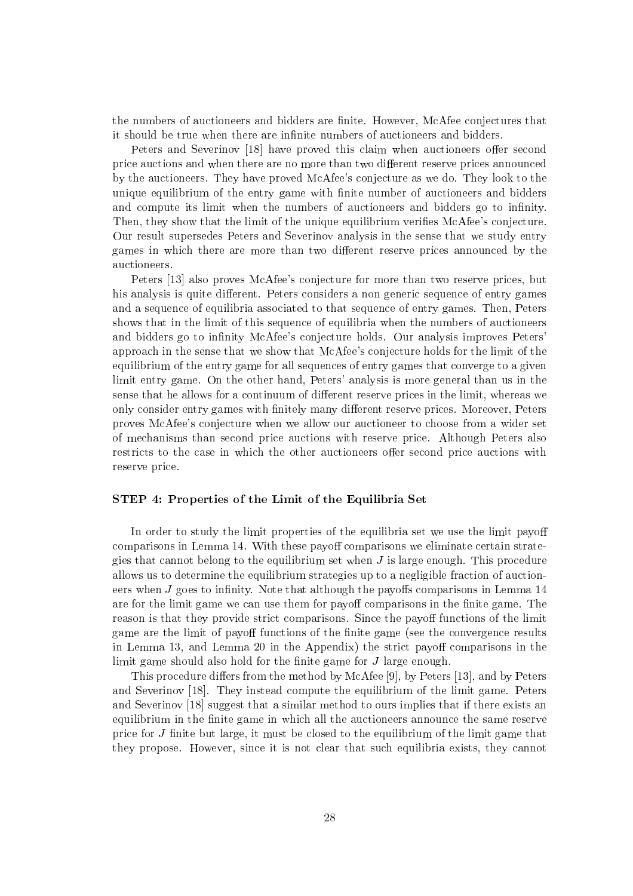the numbers of auctioneers and bidders are finite. However, McAfee conjectures that it should be true when there are infinite numbers of auctioneers and bidders.

Peters and Severinov [18] have proved this claim when auctioneers offer second price auctions and when there are no more than two different reserve prices announced by the auctioneers. They have proved McAfee's conjecture as we do. They look to the unique equilibrium of the entry game with finite number of auctioneers and bidders and compute its limit when the numbers of auctioneers and bidders go to infinity. Then, they show that the limit of the unique equilibrium verifies McAfee's conjecture. Our result supersedes Peters and Severinov analysis in the sense that we study entry games in which there are more than two different reserve prices announced by the auctioneers.

Peters [13] also proves McAfee's conjecture for more than two reserve prices, but his analysis is quite different. Peters considers a non generic sequence of entry games and a sequence of equilibria associated to that sequence of entry games. Then, Peters shows that in the limit of this sequence of equilibria when the numbers of auctioneers and bidders go to infinity McAfee's conjecture holds. Our analysis improves Peters' approach in the sense that we show that McAfee's conjecture holds for the limit of the equilibrium of the entry game for all sequences of entry games that converge to a given limit entry game. On the other hand, Peters' analysis is more general than us in the sense that he allows for a continuum of different reserve prices in the limit, whereas we only consider entry games with finitely many different reserve prices. Moreover, Peters proves McAfee's conjecture when we allow our auctioneer to choose from a wider set of mechanisms than second price auctions with reserve price. Although Peters also restricts to the case in which the other auctioneers offer second price auctions with reserve price.

### STEP 4: Properties of the Limit of the Equilibria Set

In order to study the limit properties of the equilibria set we use the limit payoff comparisons in Lemma 14. With these payoff comparisons we eliminate certain strategies that cannot belong to the equilibrium set when  $J$  is large enough. This procedure allows us to determine the equilibrium strategies up to a negligible fraction of auctioneers when  $J$  goes to infinity. Note that although the payoffs comparisons in Lemma 14 are for the limit game we can use them for payoff comparisons in the finite game. The reason is that they provide strict comparisons. Since the payoff functions of the limit game are the limit of payoff functions of the finite game (see the convergence results in Lemma 13, and Lemma 20 in the Appendix) the strict payoff comparisons in the limit game should also hold for the finite game for  $J$  large enough.

This procedure differs from the method by McAfee [9], by Peters [13], and by Peters and Severinov  $[18]$ . They instead compute the equilibrium of the limit game. Peters and Severinov [18] suggest that a similar method to ours implies that if there exists an equilibrium in the finite game in which all the auctioneers announce the same reserve price for  $J$  finite but large, it must be closed to the equilibrium of the limit game that they propose. However, since it is not clear that such equilibria exists, they cannot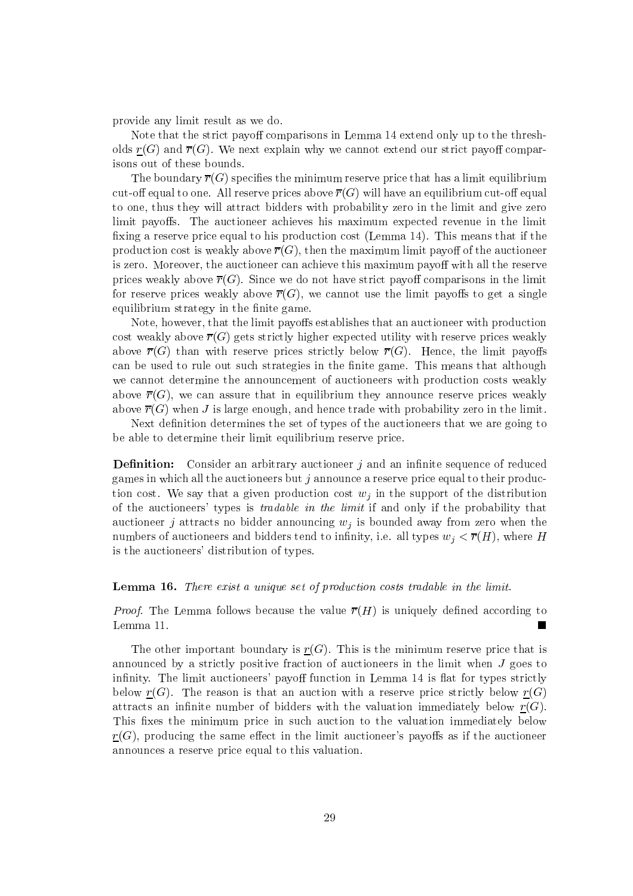provide any limit result as we do.

Note that the strict payoff comparisons in Lemma 14 extend only up to the thresholds  $\underline{r}(G)$  and  $\overline{r}(G)$ . We next explain why we cannot extend our strict payoff comparisons out of these bounds.

The boundary  $\overline{r}(G)$  specifies the minimum reserve price that has a limit equilibrium cut-off equal to one. All reserve prices above  $\overline{r}(G)$  will have an equilibrium cut-off equal to one, thus they will attract bidders with probability zero in the limit and give zero limit payoffs. The auctioneer achieves his maximum expected revenue in the limit fixing a reserve price equal to his production cost (Lemma 14). This means that if the production cost is weakly above  $\overline{r}(G)$ , then the maximum limit payoff of the auctioneer is zero. Moreover, the auctioneer can achieve this maximum payoff with all the reserve prices weakly above  $\overline{r}(G)$ . Since we do not have strict payoff comparisons in the limit for reserve prices weakly above  $\overline{r}(G)$ , we cannot use the limit payoffs to get a single equilibrium strategy in the finite game.

Note, however, that the limit payoffs establishes that an auctioneer with production cost weakly above  $\overline{r}(G)$  gets strictly higher expected utility with reserve prices weakly above  $\overline{r}(G)$  than with reserve prices strictly below  $\overline{r}(G)$ . Hence, the limit payoffs can be used to rule out such strategies in the finite game. This means that although we cannot determine the announcement of auctioneers with production costs weakly above  $\overline{r}(G)$ , we can assure that in equilibrium they announce reserve prices weakly above  $\overline{r}(G)$  when J is large enough, and hence trade with probability zero in the limit.

Next definition determines the set of types of the auctioneers that we are going to be able to determine their limit equilibrium reserve price.

**Definition:** Consider an arbitrary auctioneer j and an infinite sequence of reduced games in which all the auctioneers but  $j$  announce a reserve price equal to their production cost. We say that a given production cost  $w_j$  in the support of the distribution of the auctioneers' types is *tradable in the limit* if and only if the probability that auctioneer j attracts no bidder announcing  $w_j$  is bounded away from zero when the numbers of auctioneers and bidders tend to infinity, i.e. all types  $w_i < \overline{r}(H)$ , where H is the auctioneers' distribution of types.

### Lemma 16. There exist a unique set of production costs tradable in the limit.

*Proof.* The Lemma follows because the value  $\overline{r}(H)$  is uniquely defined according to Lemma 11. п

The other important boundary is  $\underline{r}(G)$ . This is the minimum reserve price that is announced by a strictly positive fraction of auctioneers in the limit when  $J$  goes to infinity. The limit auctioneers' payoff function in Lemma 14 is flat for types strictly below  $\underline{r}(G)$ . The reason is that an auction with a reserve price strictly below  $\underline{r}(G)$ attracts an infinite number of bidders with the valuation immediately below  $r(G)$ . This fixes the minimum price in such auction to the valuation immediately below  $r(G)$ , producing the same effect in the limit auctioneer's payoffs as if the auctioneer announces a reserve price equal to this valuation.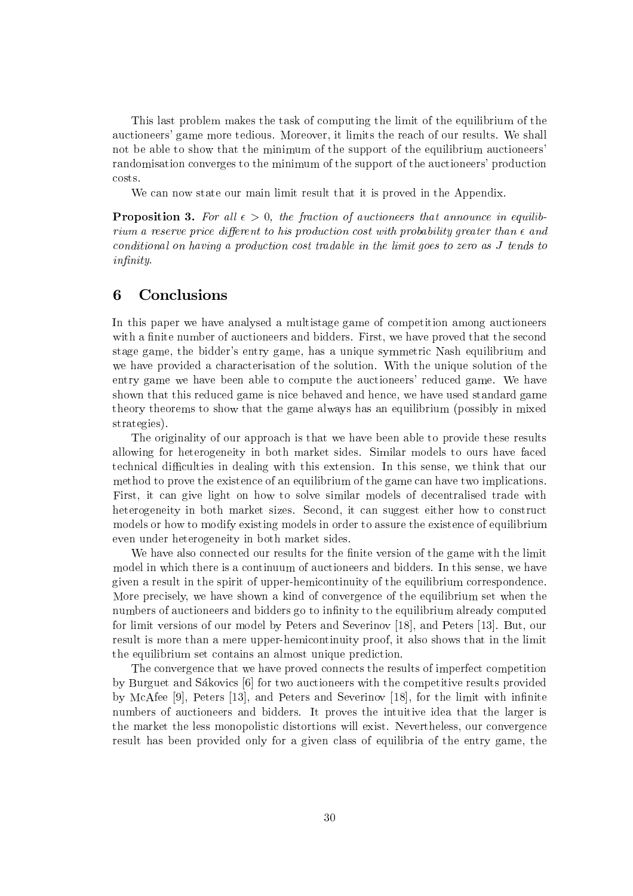This last problem makes the task of computing the limit of the equilibrium of the auctioneers' game more tedious. Moreover, it limits the reach of our results. We shall not be able to show that the minimum of the support of the equilibrium auctioneers' randomisation converges to the minimum of the support of the auctioneers' production costs.

We can now state our main limit result that it is proved in the Appendix.

**Proposition 3.** For all  $\epsilon > 0$ , the fraction of auctioneers that announce in equilibrium a reserve price different to his production cost with probability greater than  $\epsilon$  and conditional on having a production cost tradable in the limit goes to zero as J tends to *infinity.* 

### 6 Conclusions

In this paper we have analysed a multistage game of competition among auctioneers with a finite number of auctioneers and bidders. First, we have proved that the second stage game, the bidder's entry game, has a unique symmetric Nash equilibrium and we have provided a characterisation of the solution. With the unique solution of the entry game we have been able to compute the auctioneers' reduced game. We have shown that this reduced game is nice behaved and hence, we have used standard game theory theorems to show that the game always has an equilibrium (possibly in mixed strategies).

The originality of our approach is that we have been able to provide these results allowing for heterogeneity in both market sides. Similar models to ours have faced technical difficulties in dealing with this extension. In this sense, we think that our method to prove the existence of an equilibrium of the game can have two implications. First, it can give light on how to solve similar models of decentralised trade with heterogeneity in both market sizes. Second, it can suggest either how to construct models or how to modify existing models in order to assure the existence of equilibrium even under heterogeneity in both market sides.

We have also connected our results for the finite version of the game with the limit model in which there is a continuum of auctioneers and bidders. In this sense, we have given a result in the spirit of upper-hemicontinuity of the equilibrium correspondence. More precisely, we have shown a kind of convergence of the equilibrium set when the numbers of auctioneers and bidders go to infinity to the equilibrium already computed for limit versions of our model by Peters and Severinov [18], and Peters [13]. But, our result is more than a mere upper-hemicontinuity proof, it also shows that in the limit the equilibrium set contains an almost unique prediction.

The convergence that we have proved connects the results of imperfect competition by Burguet and Sákovics [6] for two auctioneers with the competitive results provided by McAfee [9], Peters [13], and Peters and Severinov [18], for the limit with infinite numbers of auctioneers and bidders. It proves the intuitive idea that the larger is the market the less monopolistic distortions will exist. Nevertheless, our convergence result has been provided only for a given class of equilibria of the entry game, the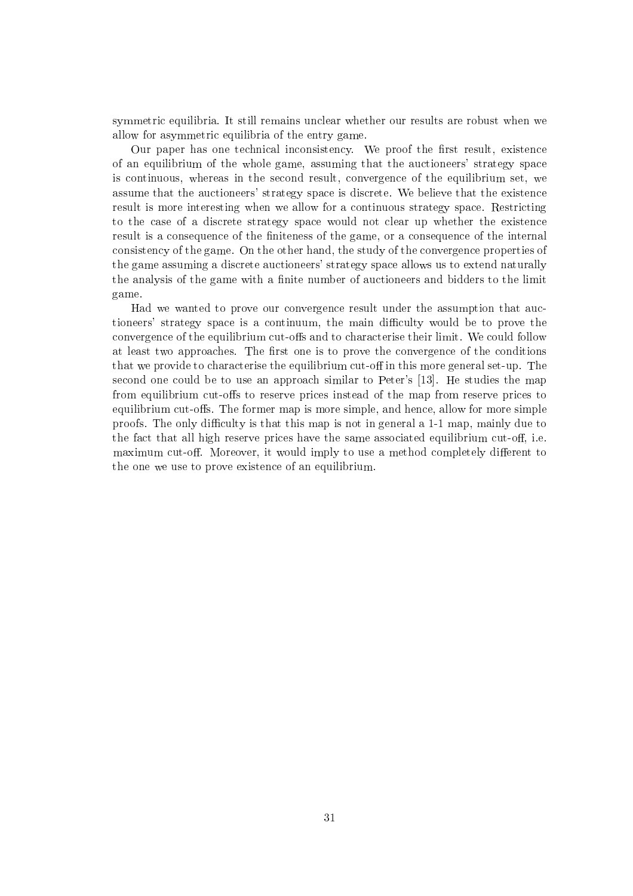symmetric equilibria. It still remains unclear whether our results are robust when we allow for asymmetric equilibria of the entry game.

Our paper has one technical inconsistency. We proof the first result, existence of an equilibrium of the whole game, assuming that the auctioneers' strategy space is continuous, whereas in the second result, convergence of the equilibrium set, we assume that the auctioneers' strategy space is discrete. We believe that the existence result is more interesting when we allow for a continuous strategy space. Restricting to the case of a discrete strategy space would not clear up whether the existence result is a consequence of the finiteness of the game, or a consequence of the internal consistency of the game. On the other hand, the study of the convergence properties of the game assuming a discrete auctioneers' strategy space allows us to extend naturally the analysis of the game with a finite number of auctioneers and bidders to the limit game.

Had we wanted to prove our convergence result under the assumption that auctioneers' strategy space is a continuum, the main difficulty would be to prove the convergence of the equilibrium cut-offs and to characterise their limit. We could follow at least two approaches. The first one is to prove the convergence of the conditions that we provide to characterise the equilibrium cut-off in this more general set-up. The second one could be to use an approach similar to Peter's [13]. He studies the map from equilibrium cut-offs to reserve prices instead of the map from reserve prices to equilibrium cut-offs. The former map is more simple, and hence, allow for more simple proofs. The only difficulty is that this map is not in general a 1-1 map, mainly due to the fact that all high reserve prices have the same associated equilibrium cut-off, i.e. maximum cut-off. Moreover, it would imply to use a method completely different to the one we use to prove existence of an equilibrium.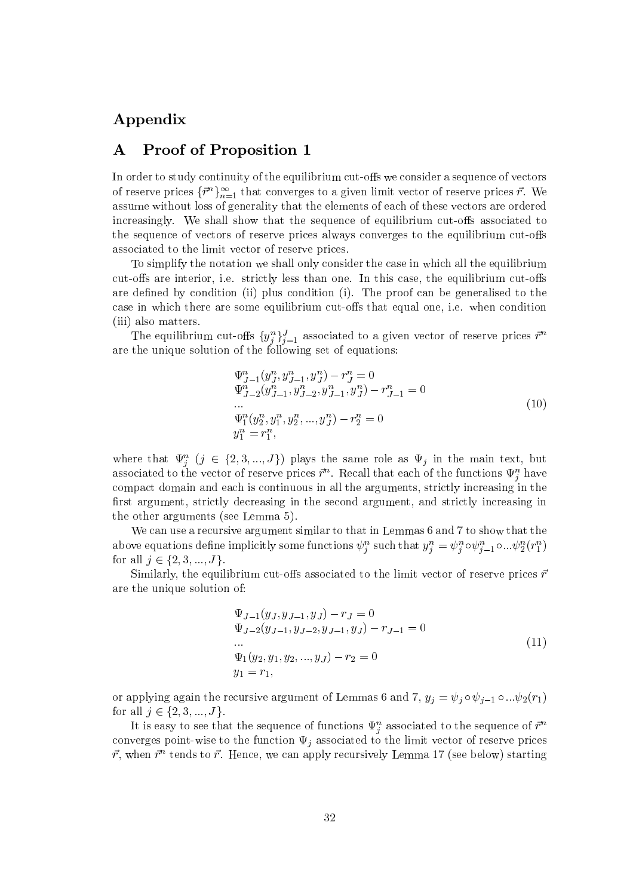# Appendix

### **Proof of Proposition 1**  $\mathbf A$

In order to study continuity of the equilibrium cut-offs we consider a sequence of vectors of reserve prices  $\{\vec{r}^n\}_{n=1}^{\infty}$  that converges to a given limit vector of reserve prices  $\vec{r}$ . We assume without loss of generality that the elements of each of these vectors are ordered increasingly. We shall show that the sequence of equilibrium cut-offs associated to the sequence of vectors of reserve prices always converges to the equilibrium cut-offs associated to the limit vector of reserve prices.

To simplify the notation we shall only consider the case in which all the equilibrium cut-offs are interior, i.e. strictly less than one. In this case, the equilibrium cut-offs are defined by condition (ii) plus condition (i). The proof can be generalised to the case in which there are some equilibrium cut-offs that equal one, i.e. when condition (iii) also matters.

The equilibrium cut-offs  $\{y_j^n\}_{j=1}^J$  associated to a given vector of reserve prices  $\vec{r}^n$ are the unique solution of the following set of equations:

$$
\Psi_{J-1}^{n}(y_{J}^{n}, y_{J-1}^{n}, y_{J}^{n}) - r_{J}^{n} = 0
$$
\n
$$
\Psi_{J-2}^{n}(y_{J-1}^{n}, y_{J-2}^{n}, y_{J-1}^{n}, y_{J}^{n}) - r_{J-1}^{n} = 0
$$
\n...\n
$$
\Psi_{1}^{n}(y_{2}^{n}, y_{1}^{n}, y_{2}^{n}, ..., y_{J}^{n}) - r_{2}^{n} = 0
$$
\n
$$
y_{1}^{n} = r_{1}^{n},
$$
\n(10)

where that  $\Psi_j^n$   $(j \in \{2,3,...,J\})$  plays the same role as  $\Psi_j$  in the main text, but associated to the vector of reserve prices  $\vec{r}^n$ . Recall that each of the functions  $\Psi_i^n$  have compact domain and each is continuous in all the arguments, strictly increasing in the first argument, strictly decreasing in the second argument, and strictly increasing in the other arguments (see Lemma 5).

We can use a recursive argument similar to that in Lemmas 6 and 7 to show that the above equations define implicitly some functions  $\psi_j^n$  such that  $y_j^n = \psi_j^n \circ \psi_{j-1}^n \circ ... \psi_2^n(r_1^n)$ for all  $j \in \{2, 3, ..., J\}$ .

Similarly, the equilibrium cut-offs associated to the limit vector of reserve prices  $\vec{r}$ are the unique solution of:

$$
\Psi_{J-1}(y_J, y_{J-1}, y_J) - r_J = 0
$$
  
\n
$$
\Psi_{J-2}(y_{J-1}, y_{J-2}, y_{J-1}, y_J) - r_{J-1} = 0
$$
  
\n...  
\n
$$
\Psi_1(y_2, y_1, y_2, ..., y_J) - r_2 = 0
$$
  
\n
$$
y_1 = r_1,
$$
\n(11)

or applying again the recursive argument of Lemmas 6 and 7,  $y_j = \psi_j \circ \psi_{j-1} \circ ... \psi_2(r_1)$ for all  $j \in \{2, 3, ..., J\}$ .

It is easy to see that the sequence of functions  $\Psi_j^n$  associated to the sequence of  $\vec{r}^n$ converges point-wise to the function  $\Psi_j$  associated to the limit vector of reserve prices  $\vec{r}$ , when  $\vec{r}^n$  tends to  $\vec{r}$ . Hence, we can apply recursively Lemma 17 (see below) starting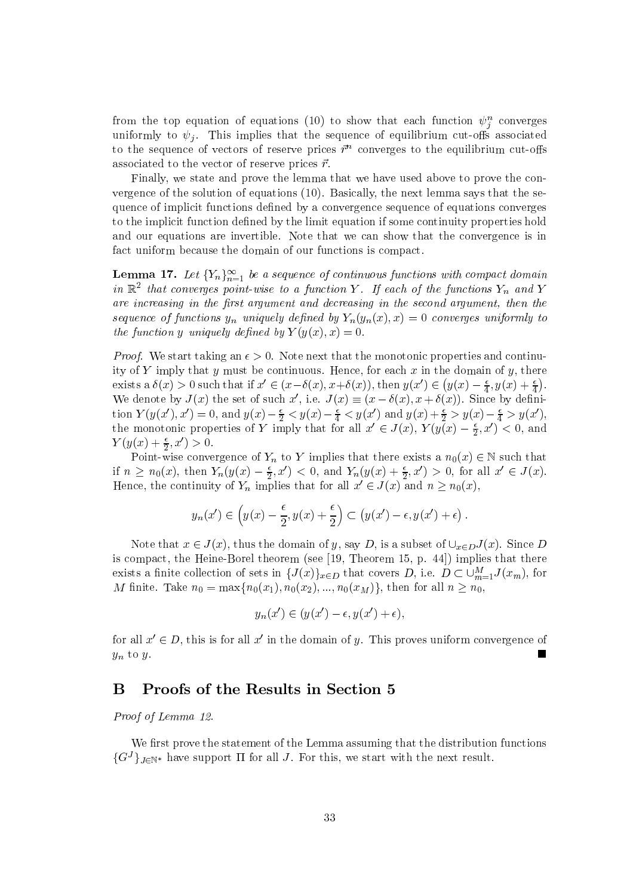from the top equation of equations (10) to show that each function  $\psi_i^n$  converges uniformly to  $\psi_i$ . This implies that the sequence of equilibrium cut-offs associated to the sequence of vectors of reserve prices  $\vec{r}^n$  converges to the equilibrium cut-offs associated to the vector of reserve prices  $\vec{r}$ .

Finally, we state and prove the lemma that we have used above to prove the convergence of the solution of equations (10). Basically, the next lemma says that the sequence of implicit functions defined by a convergence sequence of equations converges to the implicit function defined by the limit equation if some continuity properties hold and our equations are invertible. Note that we can show that the convergence is in fact uniform because the domain of our functions is compact.

**Lemma 17.** Let  ${Y_n}_{n=1}^{\infty}$  be a sequence of continuous functions with compact domain in  $\mathbb{R}^2$  that converges point-wise to a function Y. If each of the functions  $Y_n$  and Y are increasing in the first argument and decreasing in the second argument, then the sequence of functions  $y_n$  uniquely defined by  $Y_n(y_n(x),x) = 0$  converges uniformly to the function y uniquely defined by  $Y(y(x), x) = 0$ .

*Proof.* We start taking an  $\epsilon > 0$ . Note next that the monotonic properties and continuity of Y imply that y must be continuous. Hence, for each x in the domain of y, there exists a  $\delta(x) > 0$  such that if  $x' \in (x - \delta(x), x + \delta(x))$ , then  $y(x') \in (y(x) - \frac{\epsilon}{4}, y(x) + \frac{\epsilon}{4})$ . We denote by  $J(x)$  the set of such x', i.e.  $J(x) \equiv (x - \delta(x), x + \delta(x))$ . Since by definition  $Y(y(x'), x') = 0$ , and  $y(x) - \frac{\epsilon}{2} < y(x) - \frac{\epsilon}{4} < y(x')$  and  $y(x) + \frac{\epsilon}{2} > y(x) - \frac{\epsilon}{4} > y(x')$ , the monotonic properties of Y imply that for all  $x' \in J(x)$ ,  $Y(y(x) - \frac{\epsilon}{2}, x')^2 < 0$ , and  $Y(y(x) + \frac{\epsilon}{2}, x') > 0.$ 

Point-wise convergence of  $Y_n$  to Y implies that there exists a  $n_0(x) \in \mathbb{N}$  such that if  $n \geq n_0(x)$ , then  $Y_n(y(x) - \frac{\epsilon}{2}, x') < 0$ , and  $Y_n(y(x) + \frac{\epsilon}{2}, x') > 0$ , for all  $x' \in J(x)$ . Hence, the continuity of  $Y_n$  implies that for all  $x' \in J(x)$  and  $n \geq n_0(x)$ ,

$$
y_n(x') \in \left(y(x) - \frac{\epsilon}{2}, y(x) + \frac{\epsilon}{2}\right) \subset \left(y(x') - \epsilon, y(x') + \epsilon\right).
$$

Note that  $x \in J(x)$ , thus the domain of y, say D, is a subset of  $\bigcup_{x \in D} J(x)$ . Since D is compact, the Heine-Borel theorem (see [19, Theorem 15, p. 44]) implies that there exists a finite collection of sets in  $\{J(x)\}_{x\in D}$  that covers D, i.e.  $D \subset \bigcup_{m=1}^{M} J(x_m)$ , for M finite. Take  $n_0 = \max\{n_0(x_1), n_0(x_2), ..., n_0(x_M)\}\$ , then for all  $n \ge n_0$ ,

$$
y_n(x') \in (y(x') - \epsilon, y(x') + \epsilon),
$$

for all  $x' \in D$ , this is for all  $x'$  in the domain of y. This proves uniform convergence of  $y_n$  to  $y$ .

#### Proofs of the Results in Section 5 B

Proof of Lemma 12.

We first prove the statement of the Lemma assuming that the distribution functions  $\{G^{J}\}_{J\in\mathbb{N}^*}$  have support  $\Pi$  for all J. For this, we start with the next result.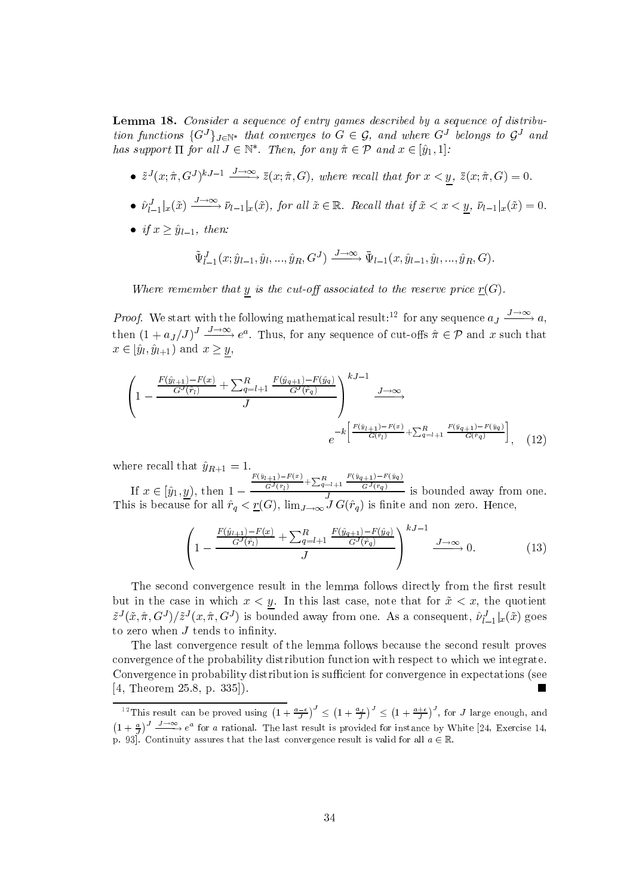**Lemma 18.** Consider a sequence of entry games described by a sequence of distribution functions  $\{G^J\}_{J\in\mathbb{N}^*}$  that converges to  $G\in\mathcal{G}$ , and where  $G^J$  belongs to  $\mathcal{G}^J$  and has support  $\Pi$  for all  $J \in \mathbb{N}^*$ . Then, for any  $\hat{\pi} \in \mathcal{P}$  and  $x \in [\hat{y}_1, 1]$ :

- $\tilde{z}^{J}(x;\hat{\pi},G^{J})^{kJ-1} \xrightarrow{J\to\infty} \bar{z}(x;\hat{\pi},G)$ , where recall that for  $x < y$ ,  $\bar{z}(x;\hat{\pi},G) = 0$ .
- $\hat{\nu}_{l-1}^J|_x(\tilde{x}) \xrightarrow{J \to \infty} \bar{\nu}_{l-1}|_x(\tilde{x})$ , for all  $\tilde{x} \in \mathbb{R}$ . Recall that if  $\tilde{x} < x < \underline{y}$ ,  $\bar{\nu}_{l-1}|_x(\tilde{x}) = 0$ .
- if  $x > \hat{y}_{l-1}$ , then:

$$
\tilde{\Psi}_{l-1}^J(x;\hat{y}_{l-1},\hat{y}_l,...,\hat{y}_R,G^J) \xrightarrow{J\to\infty} \bar{\Psi}_{l-1}(x,\hat{y}_{l-1},\hat{y}_l,...,\hat{y}_R,G).
$$

Where remember that y is the cut-off associated to the reserve price  $\underline{r}(G)$ .

*Proof.* We start with the following mathematical result:<sup>12</sup> for any sequence  $a_J \xrightarrow{J \to \infty} a$ , then  $(1 + a_J/J)^J \xrightarrow{J \to \infty} e^a$ . Thus, for any sequence of cut-offs  $\hat{\pi} \in \mathcal{P}$  and x such that  $x \in [\hat{y}_l, \hat{y}_{l+1})$  and  $x \geq y$ .

$$
\left(1 - \frac{\frac{F(\hat{y}_{l+1}) - F(x)}{G^J(\hat{r}_l)} + \sum_{q=l+1}^R \frac{F(\hat{y}_{q+1}) - F(\hat{y}_q)}{G^J(\hat{r}_q)}}{J}\right)^{kJ-1} \xrightarrow{J \to \infty} \frac{J \to \infty}{\longrightarrow}
$$
\n
$$
e^{-k \left[ \frac{F(\hat{y}_{l+1}) - F(x)}{G(\hat{r}_l)} + \sum_{q=l+1}^R \frac{F(\hat{y}_{q+1}) - F(\hat{y}_q)}{G(\hat{r}_q)} \right]}, \quad (12)
$$

where recall that  $\hat{y}_{R+1} = 1$ .<br>
If  $x \in [\hat{y}_1, \underline{y})$ , then  $1 - \frac{\frac{F(\hat{y}_{l+1}) - F(x)}{G^J(\hat{r}_l)} + \sum_{q=l+1}^R \frac{F(\hat{y}_{q+1}) - F(\hat{y}_q)}{G^J(\hat{r}_q)}}{J}$  is bounded away from one.<br>
This is because for all  $\hat{r}_q < \underline{r}(G)$ ,  $\lim_{J \to \$ 

$$
\left(1 - \frac{\frac{F(\hat{y}_{l+1}) - F(x)}{G^J(\hat{r}_l)} + \sum_{q=l+1}^R \frac{F(\hat{y}_{q+1}) - F(\hat{y}_q)}{G^J(\hat{r}_q)}}{J}\right)^{kJ-1} \xrightarrow{J \to \infty} 0.
$$
 (13)

The second convergence result in the lemma follows directly from the first result but in the case in which  $x < y$ . In this last case, note that for  $\tilde{x} < x$ , the quotient  $\tilde{z}^{J}(\tilde{x},\hat{\pi},G^{J})/\tilde{z}^{J}(x,\hat{\pi},G^{J})$  is bounded away from one. As a consequent,  $\hat{\nu}_{l-1}^{J}|_{x}(\tilde{x})$  goes to zero when  $J$  tends to infinity.

The last convergence result of the lemma follows because the second result proves convergence of the probability distribution function with respect to which we integrate. Convergence in probability distribution is sufficient for convergence in expectations (see [4, Theorem 25.8, p. 335]). ш

<sup>&</sup>lt;sup>12</sup>This result can be proved using  $\left(1+\frac{a-\epsilon}{l}\right)^J \leq \left(1+\frac{a}{l}\right)^J \leq \left(1+\frac{a+\epsilon}{l}\right)^J$ , for J large enough, and  $\left(1+\frac{a}{I}\right)^J \xrightarrow{J\to\infty} e^a$  for a rational. The last result is provided for instance by White [24, Exercise 14, p. 93]. Continuity assures that the last convergence result is valid for all  $a \in \mathbb{R}$ .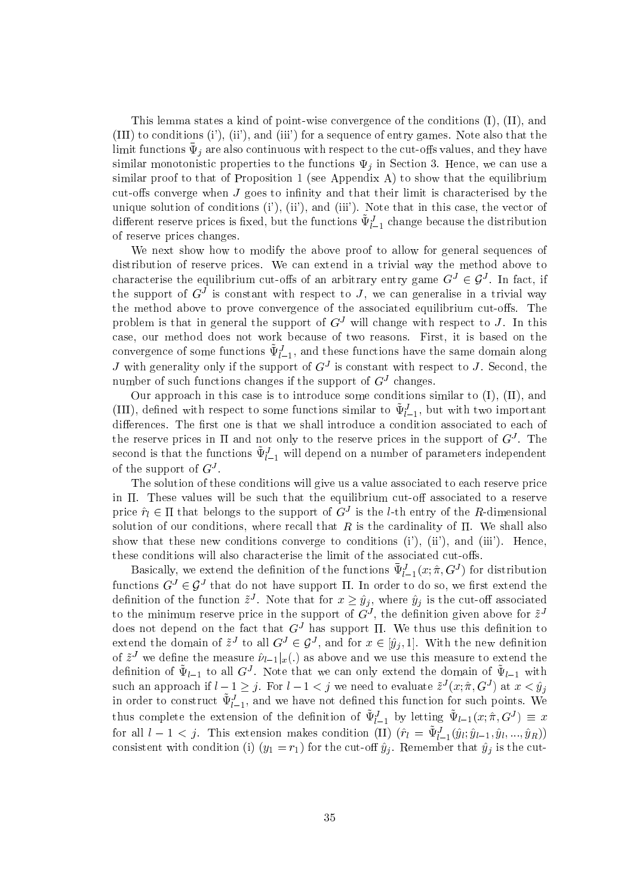This lemma states a kind of point-wise convergence of the conditions  $(I), (II),$  and (III) to conditions (i'), (ii'), and (iii') for a sequence of entry games. Note also that the limit functions  $\bar{\Psi}_j$  are also continuous with respect to the cut-offs values, and they have similar monotonistic properties to the functions  $\Psi_i$  in Section 3. Hence, we can use a similar proof to that of Proposition 1 (see Appendix A) to show that the equilibrium cut-offs converge when J goes to infinity and that their limit is characterised by the unique solution of conditions  $(i')$ ,  $(ii')$ , and  $(iii')$ . Note that in this case, the vector of different reserve prices is fixed, but the functions  $\tilde{\Psi}_{l-1}^{J}$  change because the distribution of reserve prices changes.

We next show how to modify the above proof to allow for general sequences of distribution of reserve prices. We can extend in a trivial way the method above to characterise the equilibrium cut-offs of an arbitrary entry game  $G^J \in \mathcal{G}^J$ . In fact, if the support of  $G<sup>J</sup>$  is constant with respect to J, we can generalise in a trivial way the method above to prove convergence of the associated equilibrium cut-offs. The problem is that in general the support of  $G<sup>J</sup>$  will change with respect to J. In this case, our method does not work because of two reasons. First, it is based on the convergence of some functions  $\tilde{\Psi}_{l-1}^{J}$ , and these functions have the same domain along J with generality only if the support of  $G<sup>J</sup>$  is constant with respect to J. Second, the number of such functions changes if the support of  $G<sup>J</sup>$  changes.

Our approach in this case is to introduce some conditions similar to  $(I)$ ,  $(II)$ , and (III), defined with respect to some functions similar to  $\tilde{\Psi}_{l-1}^{J}$ , but with two important differences. The first one is that we shall introduce a condition associated to each of the reserve prices in  $\Pi$  and not only to the reserve prices in the support of  $G<sup>J</sup>$ . The second is that the functions  $\tilde{\Psi}_{l-1}^{J}$  will depend on a number of parameters independent of the support of  $G^J$ .

The solution of these conditions will give us a value associated to each reserve price in  $\Pi$ . These values will be such that the equilibrium cut-off associated to a reserve price  $\hat{r}_l \in \Pi$  that belongs to the support of  $G^J$  is the *l*-th entry of the *R*-dimensional solution of our conditions, where recall that  $R$  is the cardinality of  $\Pi$ . We shall also show that these new conditions converge to conditions  $(i')$ ,  $(ii')$ , and  $(iii')$ . Hence, these conditions will also characterise the limit of the associated cut-offs.

Basically, we extend the definition of the functions  $\bar{\Psi}_{l-1}^J(x; \hat{\pi}, G^J)$  for distribution functions  $G^J \in \mathcal{G}^J$  that do not have support  $\Pi$ . In order to do so, we first extend the definition of the function  $\tilde{z}^J$ . Note that for  $x \geq \hat{y}_j$ , where  $\hat{y}_j$  is the cut-off associated to the minimum reserve price in the support of  $G<sup>J</sup>$ , the definition given above for  $\tilde{z}<sup>J</sup>$ does not depend on the fact that  $G<sup>J</sup>$  has support II. We thus use this definition to extend the domain of  $\tilde{z}^J$  to all  $G^J \in \mathcal{G}^J$ , and for  $x \in [\hat{y}_j, 1]$ . With the new definition of  $\tilde{z}^J$  we define the measure  $\hat{\nu}_{l-1}|_x(.)$  as above and we use this measure to extend the definition of  $\tilde{\Psi}_{l-1}$  to all  $G^J$ . Note that we can only extend the domain of  $\tilde{\Psi}_{l-1}$  with such an approach if  $l-1 \geq j$ . For  $l-1 < j$  we need to evaluate  $\tilde{z}^{J}(x; \hat{\pi}, G^{J})$  at  $x < \hat{y}_{j}$  in order to construct  $\tilde{\Psi}_{l-1}^{J}$ , and we have not defined this function for such points. We thus complete the extension of the definition of  $\tilde{\Psi}_{l-1}^J$  by letting  $\tilde{\Psi}_{l-1}(x; \hat{\pi}, G^J) \equiv x$ for all  $l-1 < j$ . This extension makes condition (II)  $(\hat{r}_l = \tilde{\Psi}_{l-1}^J(\hat{y}_l; \hat{y}_{l-1}, \hat{y}_l, ..., \hat{y}_R))$ <br>consistent with condition (i)  $(y_1 = r_1)$  for the cut-off  $\hat{y}_j$ . Remember that  $\hat{y}_j$  is the cut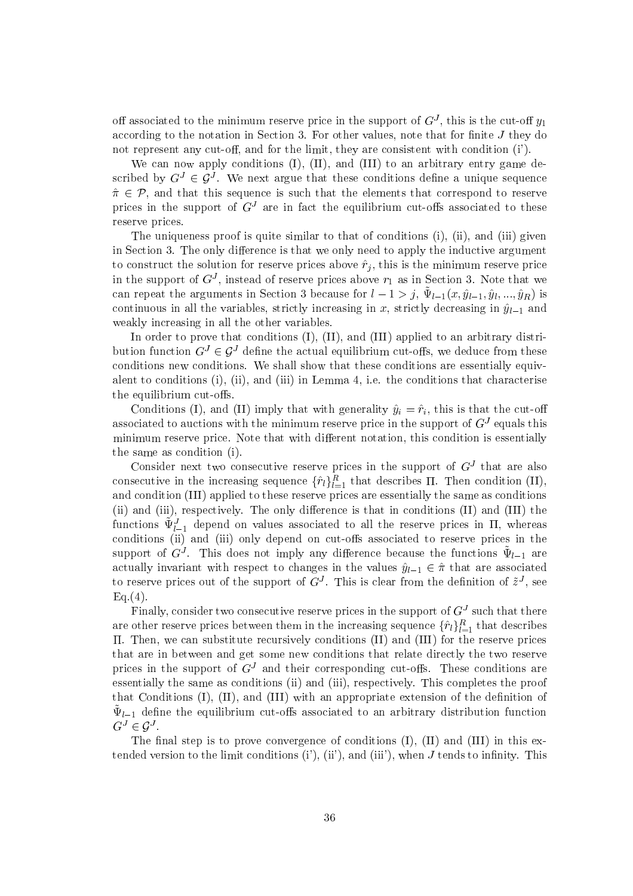off associated to the minimum reserve price in the support of  $G<sup>J</sup>$ , this is the cut-off  $y_1$ according to the notation in Section 3. For other values, note that for finite J they do not represent any cut-off, and for the limit, they are consistent with condition (i').

We can now apply conditions (I), (II), and (III) to an arbitrary entry game described by  $G^J \in \mathcal{G}^J$ . We next argue that these conditions define a unique sequence  $\hat{\pi} \in \mathcal{P}$ , and that this sequence is such that the elements that correspond to reserve prices in the support of  $G<sup>J</sup>$  are in fact the equilibrium cut-offs associated to these reserve prices.

The uniqueness proof is quite similar to that of conditions (i), (ii), and (iii) given in Section 3. The only difference is that we only need to apply the inductive argument to construct the solution for reserve prices above  $\hat{r}_j$ , this is the minimum reserve price in the support of  $G<sup>J</sup>$ , instead of reserve prices above  $r_1$  as in Section 3. Note that we can repeat the arguments in Section 3 because for  $l-1 > j$ ,  $\tilde{\Psi}_{l-1}(x, \hat{y}_{l-1}, \hat{y}_l, ..., \hat{y}_R)$  is continuous in all the variables, strictly increasing in x, strictly decreasing in  $\hat{y}_{l-1}$  and weakly increasing in all the other variables.

In order to prove that conditions  $(I)$ ,  $(II)$ , and  $(III)$  applied to an arbitrary distribution function  $G^J \in \mathcal{G}^J$  define the actual equilibrium cut-offs, we deduce from these conditions new conditions. We shall show that these conditions are essentially equivalent to conditions  $(i)$ ,  $(ii)$ , and  $(iii)$  in Lemma 4, i.e. the conditions that characterise the equilibrium cut-offs.

Conditions (I), and (II) imply that with generality  $\hat{y}_i = \hat{r}_i$ , this is that the cut-off associated to auctions with the minimum reserve price in the support of  $G<sup>J</sup>$  equals this minimum reserve price. Note that with different notation, this condition is essentially the same as condition (i).

Consider next two consecutive reserve prices in the support of  $G<sup>J</sup>$  that are also consecutive in the increasing sequence  $\{\hat{r}_l\}_{l=1}^R$  that describes  $\Pi$ . Then condition (II), and condition (III) applied to these reserve prices are essentially the same as conditions (ii) and (iii), respectively. The only difference is that in conditions (II) and (III) the functions  $\tilde{\Psi}_{l-1}^{J}$  depend on values associated to all the reserve prices in  $\Pi$ , whereas conditions (ii) and (iii) only depend on cut-offs associated to reserve prices in the support of  $G<sup>J</sup>$ . This does not imply any difference because the functions  $\tilde{\Psi}_{l-1}$  are actually invariant with respect to changes in the values  $\hat{y}_{l-1} \in \hat{\pi}$  that are associated to reserve prices out of the support of  $G^J$ . This is clear from the definition of  $\tilde{z}^J$ , see  $Eq.(4).$ 

Finally, consider two consecutive reserve prices in the support of  $G<sup>J</sup>$  such that there are other reserve prices between them in the increasing sequence  $\{\hat{r}_l\}_{l=1}^R$  that describes II. Then, we can substitute recursively conditions (II) and (III) for the reserve prices that are in between and get some new conditions that relate directly the two reserve prices in the support of  $G<sup>J</sup>$  and their corresponding cut-offs. These conditions are essentially the same as conditions (ii) and (iii), respectively. This completes the proof that Conditions  $(I)$ ,  $(II)$ , and  $(III)$  with an appropriate extension of the definition of  $\Psi_{l-1}$  define the equilibrium cut-offs associated to an arbitrary distribution function  $G^J \in \mathcal{G}^J$ .

The final step is to prove convergence of conditions  $(I)$ ,  $(II)$  and  $(III)$  in this extended version to the limit conditions  $(i')$ ,  $(ii')$ , and  $(iii')$ , when J tends to infinity. This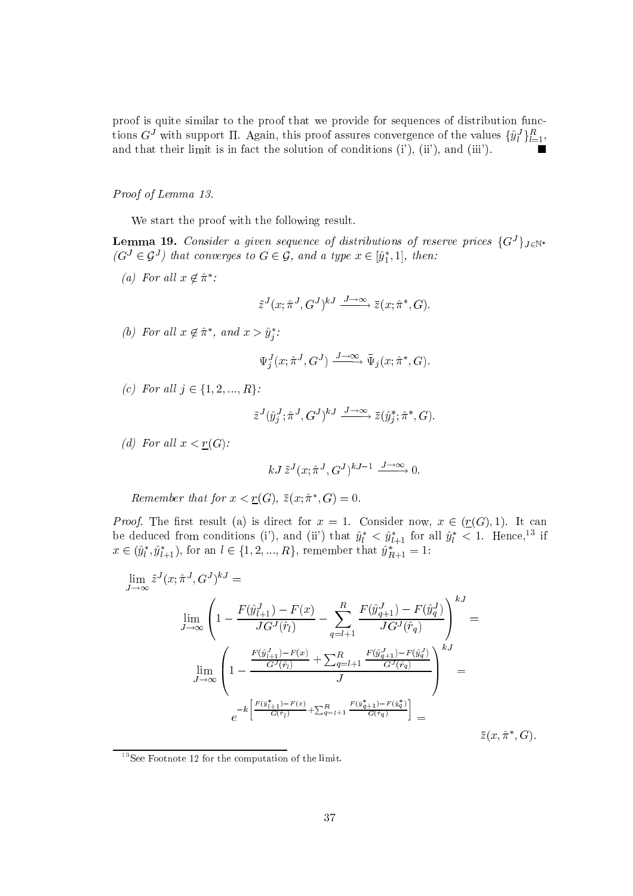proof is quite similar to the proof that we provide for sequences of distribution functions  $G^J$  with support II. Again, this proof assures convergence of the values  $\{\hat{y}_l^J\}_{l=1}^R$ , and that their limit is in fact the solution of conditions (i'), (ii'), and (iii').

### Proof of Lemma 13.

We start the proof with the following result.

**Lemma 19.** Consider a given sequence of distributions of reserve prices  $\{G^J\}_{J \in \mathbb{N}^*}$  $(G^J \in \mathcal{G}^J)$  that converges to  $G \in \mathcal{G}$ , and a type  $x \in [\hat{y}_1^*, 1]$ , then:

(a) For all  $x \notin \hat{\pi}^*$ :

$$
\tilde{z}^J(x; \hat{\pi}^J, G^J)^{kJ} \xrightarrow{J \to \infty} \bar{z}(x; \hat{\pi}^*, G).
$$

(b) For all  $x \notin \hat{\pi}^*$ , and  $x > \hat{y}_i^*$ :

$$
\Psi_j^J(x; \hat{\pi}^J, G^J) \xrightarrow{J \to \infty} \bar{\Psi}_j(x; \hat{\pi}^*, G)
$$

(c) For all  $j \in \{1, 2, ..., R\}$ :

$$
\tilde{z}^{J}(\hat{y}_j^{J}; \hat{\pi}^{J}, G^{J})^{kJ} \xrightarrow{J \to \infty} \bar{z}(\hat{y}_j^*; \hat{\pi}^*, G).
$$

(d) For all  $x < \underline{r}(G)$ :

$$
kJ\,\tilde{z}^{J}(x;\hat{\pi}^{J},G^{J})^{kJ-1} \xrightarrow{J\to\infty} 0.
$$

Remember that for  $x < r(G)$ ,  $\overline{z}(x; \hat{\pi}^*, G) = 0$ .

*Proof.* The first result (a) is direct for  $x = 1$ . Consider now,  $x \in (r(G), 1)$ . It can be deduced from conditions (i'), and (ii') that  $\hat{y}_l^* < \hat{y}_{l+1}^*$  for all  $\hat{y}_l^* < 1$ . Hence,<sup>13</sup> if  $x \in (\hat{y}_l^*, \hat{y}_{l+1}^*)$ , for an  $l \in \{1, 2, ..., R\}$ , remember that  $\hat{y}_{R+1}^* = 1$ :

$$
\lim_{J \to \infty} \tilde{z}^{J}(x; \hat{\pi}^{J}, G^{J})^{kJ} =
$$
\n
$$
\lim_{J \to \infty} \left( 1 - \frac{F(\hat{y}_{l+1}^{J}) - F(x)}{JG^{J}(\hat{r}_{l})} - \sum_{q=l+1}^{R} \frac{F(\hat{y}_{q+1}^{J}) - F(\hat{y}_{q}^{J})}{JG^{J}(\hat{r}_{q})} \right)^{kJ} =
$$
\n
$$
\lim_{J \to \infty} \left( 1 - \frac{\frac{F(\hat{y}_{l+1}^{J}) - F(x)}{G^{J}(\hat{r}_{l})} + \sum_{q=l+1}^{R} \frac{F(\hat{y}_{q+1}^{J}) - F(\hat{y}_{q}^{J})}{G^{J}(\hat{r}_{q})}}{J} \right)^{kJ} =
$$
\n
$$
e^{-k \left[ \frac{F(\hat{y}_{l+1}^{*}) - F(x)}{G(\hat{r}_{l})} + \sum_{q=l+1}^{R} \frac{F(\hat{y}_{q+1}^{*}) - F(\hat{y}_{q}^{*})}{G(\hat{r}_{q})} \right]} = \tilde{z}(x, \hat{\pi}^{*}, G).
$$

 $13$ See Footnote 12 for the computation of the limit.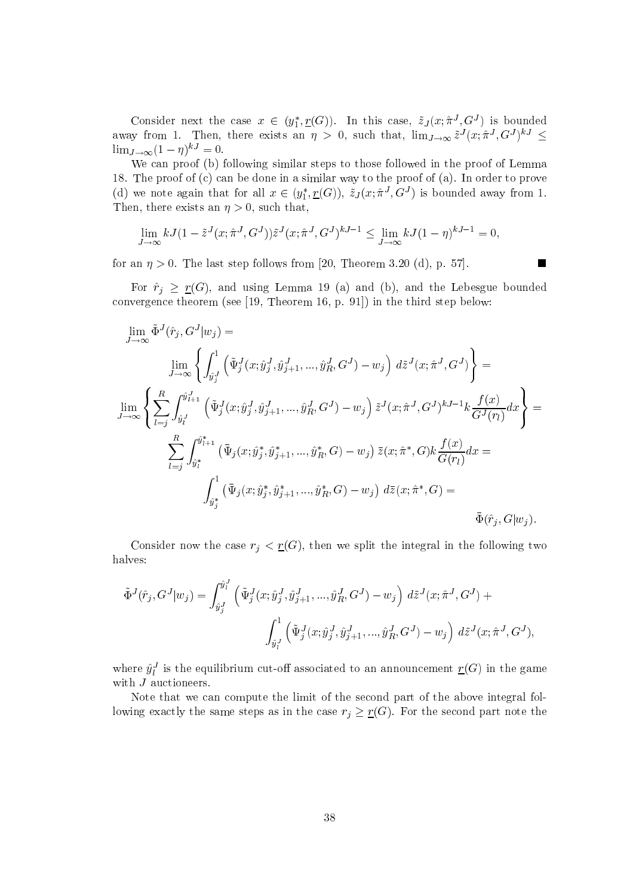Consider next the case  $x \in (y_1^*, \underline{r}(G))$ . In this case,  $\tilde{z}_J(x; \hat{\pi}^J, G^J)$  is bounded away from 1. Then, there exists an  $\eta > 0$ , such that,  $\lim_{J\to\infty} \tilde{z}^{J}(x; \hat{\pi}^{J}, G^{J})^{kJ} \leq$  $\lim_{J\to\infty}(1-\eta)^{kJ}=0.$ 

We can proof (b) following similar steps to those followed in the proof of Lemma 18. The proof of  $(c)$  can be done in a similar way to the proof of  $(a)$ . In order to prove (d) we note again that for all  $x \in (y_1^*, \underline{r}(G)), \tilde{z}_J(x; \hat{\pi}^J, G^J)$  is bounded away from 1. Then, there exists an  $\eta > 0$ , such that,

$$
\lim_{J \to \infty} kJ(1 - \tilde{z}^{J}(x; \hat{\pi}^{J}, G^{J})) \tilde{z}^{J}(x; \hat{\pi}^{J}, G^{J})^{kJ-1} \le \lim_{J \to \infty} kJ(1 - \eta)^{kJ-1} = 0,
$$

for an  $\eta > 0$ . The last step follows from [20, Theorem 3.20 (d), p. 57].

For  $\hat{r}_j \geq \underline{r}(G)$ , and using Lemma 19 (a) and (b), and the Lebesgue bounded convergence theorem (see  $[19,$  Theorem 16, p. 91]) in the third step below:

 $\overline{\phantom{a}}$ 

$$
\lim_{J \to \infty} \tilde{\Phi}^{J}(\hat{r}_{j}, G^{J} | w_{j}) =
$$
\n
$$
\lim_{J \to \infty} \left\{ \int_{\hat{y}_{j}^{J}}^{1} (\tilde{\Psi}_{j}^{J}(x; \hat{y}_{j}^{J}, \hat{y}_{j+1}^{J}, ..., \hat{y}_{R}^{J}, G^{J}) - w_{j}) \ d\tilde{z}^{J}(x; \hat{\pi}^{J}, G^{J}) \right\} =
$$
\n
$$
\lim_{J \to \infty} \left\{ \sum_{l=j}^{R} \int_{\hat{y}_{l}^{J}}^{\hat{y}_{l+1}^{J}} (\tilde{\Psi}_{j}^{J}(x; \hat{y}_{j}^{J}, \hat{y}_{j+1}^{J}, ..., \hat{y}_{R}^{J}, G^{J}) - w_{j}) \ \tilde{z}^{J}(x; \hat{\pi}^{J}, G^{J})^{kJ-1} k \frac{f(x)}{G^{J}(r_{l})} dx \right\} =
$$
\n
$$
\sum_{l=j}^{R} \int_{\hat{y}_{l}^{*}}^{\hat{y}_{l+1}^{*}} (\bar{\Psi}_{j}(x; \hat{y}_{j}^{*}, \hat{y}_{j+1}^{*}, ..., \hat{y}_{R}^{*}, G) - w_{j}) \ \tilde{z}(x; \hat{\pi}^{*}, G) k \frac{f(x)}{G(r_{l})} dx =
$$
\n
$$
\int_{\hat{y}_{j}^{*}}^{1} (\bar{\Psi}_{j}(x; \hat{y}_{j}^{*}, \hat{y}_{j+1}^{*}, ..., \hat{y}_{R}^{*}, G) - w_{j}) \ d\tilde{z}(x; \hat{\pi}^{*}, G) =
$$
\n
$$
\bar{\Phi}(\hat{r}_{j}, G | w_{j}).
$$

Consider now the case  $r_j < r(G)$ , then we split the integral in the following two halves:

$$
\tilde{\Phi}^{J}(\hat{r}_{j}, G^{J}|w_{j}) = \int_{\hat{y}_{j}^{J}}^{\hat{y}_{l}^{J}} \left( \tilde{\Psi}_{j}^{J}(x; \hat{y}_{j}^{J}, \hat{y}_{j+1}^{J}, ..., \hat{y}_{R}^{J}, G^{J}) - w_{j} \right) d\tilde{z}^{J}(x; \hat{\pi}^{J}, G^{J}) +
$$
\n
$$
\int_{\hat{y}_{l}^{J}}^{1} \left( \tilde{\Psi}_{j}^{J}(x; \hat{y}_{j}^{J}, \hat{y}_{j+1}^{J}, ..., \hat{y}_{R}^{J}, G^{J}) - w_{j} \right) d\tilde{z}^{J}(x; \hat{\pi}^{J}, G^{J}),
$$

where  $\hat{y}_l^J$  is the equilibrium cut-off associated to an announcement  $\underline{r}(G)$  in the game with  $J$  auctioneers.

Note that we can compute the limit of the second part of the above integral following exactly the same steps as in the case  $r_j \geq r(G)$ . For the second part note the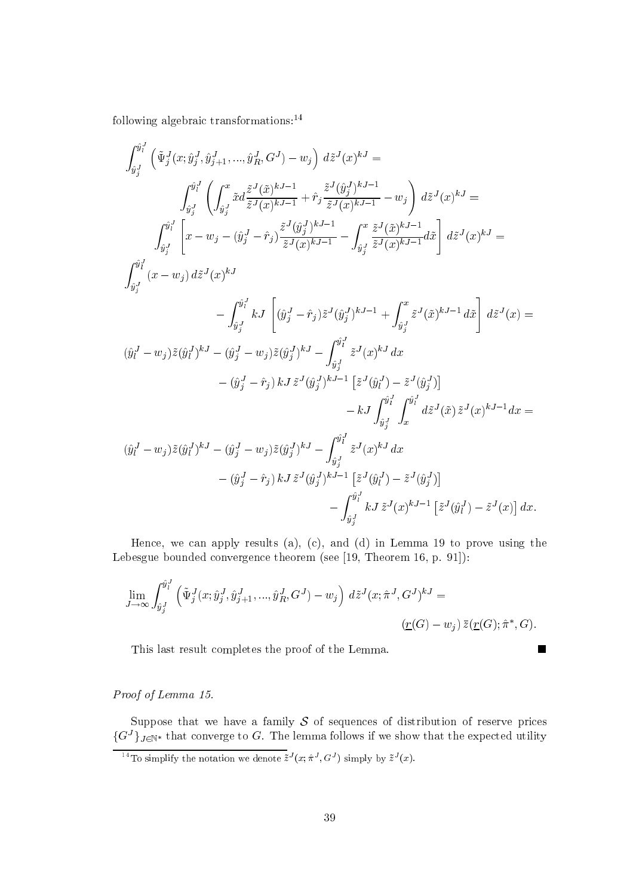following algebraic transformations: $^{14}$ 

$$
\int_{\hat{y}_{j}^{J}}^{\hat{y}_{l}^{J}} \left( \tilde{\Psi}_{j}^{J}(x; \hat{y}_{j}^{J}, \hat{y}_{j+1}^{J}, ..., \hat{y}_{R}^{J}, G^{J}) - w_{j} \right) d\tilde{z}^{J}(x)^{kJ} =
$$
\n
$$
\int_{\hat{y}_{j}^{J}}^{\hat{y}_{l}^{J}} \left( \int_{\hat{y}_{j}^{J}} \tilde{x} d \frac{\tilde{z}^{J}(\tilde{x})^{kJ-1}}{\tilde{z}^{J}(x)^{kJ-1}} + \hat{r}_{j} \frac{\tilde{z}^{J}(\hat{y}_{j}^{J})^{kJ-1}}{\tilde{z}^{J}(x)^{kJ-1}} - w_{j} \right) d\tilde{z}^{J}(x)^{kJ} =
$$
\n
$$
\int_{\hat{y}_{j}^{J}}^{\hat{y}_{l}^{J}} \left[ x - w_{j} - (\hat{y}_{j}^{J} - \hat{r}_{j}) \frac{\tilde{z}^{J}(\hat{y}_{j}^{J})^{kJ-1}}{\tilde{z}^{J}(x)^{kJ-1}} - \int_{\hat{y}_{j}^{J}} \frac{\tilde{z}^{J}(\tilde{x})^{kJ-1}}{\tilde{z}^{J}(x)^{kJ-1}} d\tilde{x} \right] d\tilde{z}^{J}(x)^{kJ} =
$$
\n
$$
\int_{\hat{y}_{j}^{J}}^{\hat{y}_{l}^{J}} (x - w_{j}) d\tilde{z}^{J}(x)^{kJ}
$$
\n
$$
- \int_{\hat{y}_{j}^{J}}^{\hat{y}_{l}^{J}} kJ \left[ (\hat{y}_{j}^{J} - \hat{r}_{j}) \tilde{z}^{J}(\hat{y}_{j}^{J})^{kJ-1} + \int_{\hat{y}_{j}^{J}} \tilde{z}^{J}(\tilde{x})^{kJ-1} d\tilde{x} \right] d\tilde{z}^{J}(x) =
$$
\n
$$
(\hat{y}_{l}^{J} - w_{j}) \tilde{z}(\hat{y}_{l}^{J})^{kJ} - (\hat{y}_{j}^{J} - w_{j}) \tilde{z}(\hat{y}_{j}^{J})^{kJ} - \int_{\hat{y}_{j}^{J}}^{\hat{y}_{l}^{J}} \tilde{z}^{J}(x)^{kJ} d x
$$
\

Hence, we can apply results (a), (c), and (d) in Lemma 19 to prove using the Lebesgue bounded convergence theorem (see [19, Theorem 16, p. 91]):

$$
\lim_{J \to \infty} \int_{\hat{y}_j^J}^{\hat{y}_l^J} \left( \tilde{\Psi}_j^J(x; \hat{y}_j^J, \hat{y}_{j+1}^J, ..., \hat{y}_R^J, G^J) - w_j \right) d\tilde{z}^J(x; \hat{\pi}^J, G^J)^{kJ} =
$$
\n
$$
\underbrace{(r(G) - w_j) \,\bar{z}(r(G); \hat{\pi}^*, G)}.
$$

 $\blacksquare$ 

This last result completes the proof of the Lemma.

Proof of Lemma 15.

Suppose that we have a family  $S$  of sequences of distribution of reserve prices  $\{G^{J}\}_{J\in\mathbb{N}^*}$  that converge to G. The lemma follows if we show that the expected utility

<sup>&</sup>lt;sup>14</sup>To simplify the notation we denote  $\tilde{z}^J(x; \hat{\pi}^J, G^J)$  simply by  $\tilde{z}^J(x)$ .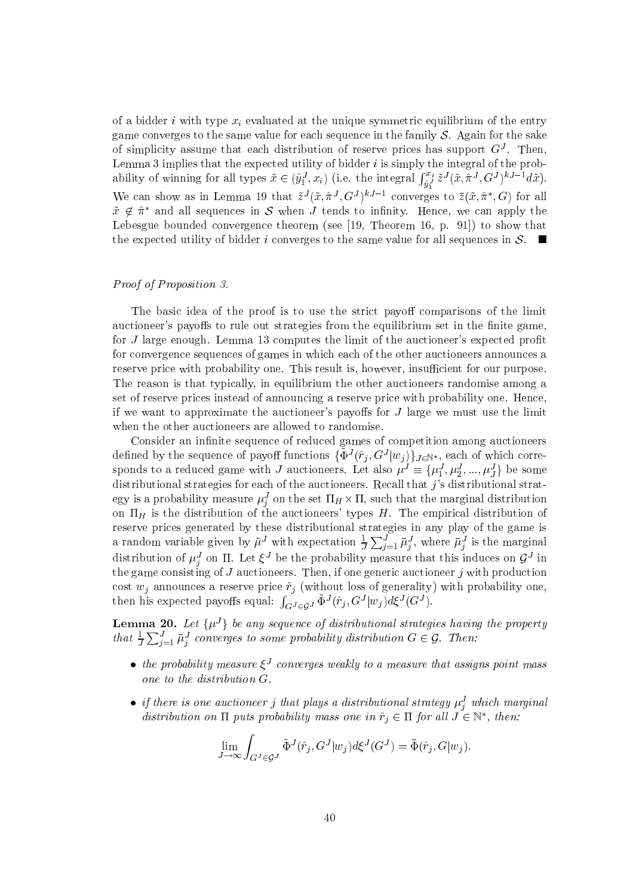of a bidder i with type  $x_i$  evaluated at the unique symmetric equilibrium of the entry game converges to the same value for each sequence in the family  $S$ . Again for the sake of simplicity assume that each distribution of reserve prices has support  $G<sup>J</sup>$ . Then, Lemma 3 implies that the expected utility of bidder  $i$  is simply the integral of the probability of winning for all types  $\tilde{x} \in (\hat{y}_1^J, x_i)$  (i.e. the integral  $\int_{\hat{y}_1^J}^{x_i} \tilde{z}^J(\tilde{x}, \tilde{\pi}^J, G^J)^{kJ-1} d\tilde{x}$ ). We can show as in Lemma 19 that  $\tilde{z}^{J}(\tilde{x}, \hat{\pi}^{J}, G^{J})^{kJ-1}$  converges to  $\bar{z}(\tilde{x}, \hat{\pi}^{*}, G)$  for all  $\tilde{x} \notin \hat{\pi}^*$  and all sequences in S when J tends to infinity. Hence, we can apply the Lebesgue bounded convergence theorem (see [19, Theorem 16, p. 91]) to show that the expected utility of bidder i converges to the same value for all sequences in  $\mathcal{S}$ .

### Proof of Proposition 3.

The basic idea of the proof is to use the strict payoff comparisons of the limit auctioneer's payoffs to rule out strategies from the equilibrium set in the finite game, for J large enough. Lemma 13 computes the limit of the auctioneer's expected profit for convergence sequences of games in which each of the other auctioneers announces a reserve price with probability one. This result is, however, insufficient for our purpose. The reason is that typically, in equilibrium the other auctioneers randomise among a set of reserve prices instead of announcing a reserve price with probability one. Hence, if we want to approximate the auctioneer's payoffs for  $J$  large we must use the limit when the other auctioneers are allowed to randomise.

Consider an infinite sequence of reduced games of competition among auctioneers defined by the sequence of payoff functions  $\{\tilde{\Phi}^{J}(\hat{r}_j, G^{J}|w_j)\}_{J \in \mathbb{N}^*}$ , each of which corresponds to a reduced game with J auctioneers. Let also  $\mu^{J} \equiv {\mu_1^{J}, \mu_2^{J}, ..., \mu_J^{J}}$  be some distributional strategies for each of the auctioneers. Recall that  $j$ 's distributional strategy is a probability measure  $\mu_i^J$  on the set  $\Pi_H \times \Pi$ , such that the marginal distribution on  $\Pi_H$  is the distribution of the auctioneers' types H. The empirical distribution of reserve prices generated by these distributional strategies in any play of the game is a random variable given by  $\tilde{\mu}^J$  with expectation  $\frac{1}{J}\sum_{j=1}^J \bar{\mu}_j^J$ , where  $\bar{\mu}_j^J$  is the marginal distribution of  $\mu_i^J$  on  $\Pi$ . Let  $\xi^J$  be the probability measure that this induces on  $\mathcal{G}^J$  in the game consisting of  $J$  auctioneers. Then, if one generic auctioneer  $j$  with production cost  $w_j$  announces a reserve price  $\hat{r}_j$  (without loss of generality) with probability one,<br>then his expected payoffs equal:  $\int_{G^J \in G^J} \tilde{\Phi}^J(\hat{r}_j, G^J | w_j) d\xi^J(G^J)$ .

**Lemma 20.** Let  $\{\mu^{J}\}\$ be any sequence of distributional strategies having the property that  $\frac{1}{J}\sum_{j=1}^{J}\bar{\mu}_{j}^{J}$  converges to some probability distribution  $G \in \mathcal{G}$ . Then:

- the probability measure  $\xi^J$  converges weakly to a measure that assigns point mass one to the distribution  $G$ .
- if there is one auctioneer j that plays a distributional strategy  $\mu_i^J$  which marginal distribution on  $\Pi$  puts probability mass one in  $\hat{r}_i \in \Pi$  for all  $J \in \mathbb{N}^*$ , then:

$$
\lim_{J \to \infty} \int_{G^J \in \mathcal{G}^J} \tilde{\Phi}^J(\hat{r}_j, G^J | w_j) d\xi^J(G^J) = \bar{\Phi}(\hat{r}_j, G | w_j)
$$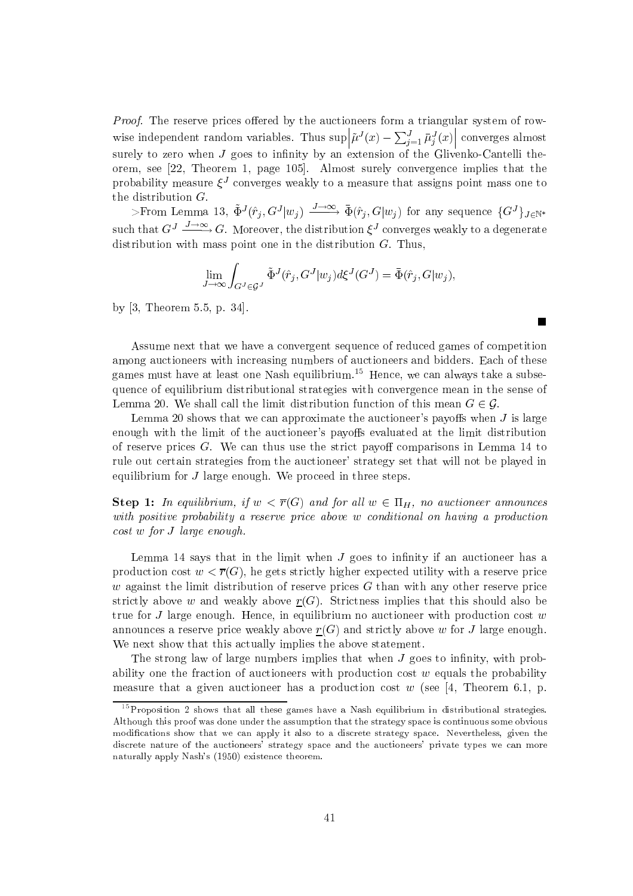*Proof.* The reserve prices offered by the auctioneers form a triangular system of rowwise independent random variables. Thus  $\sup_{\tilde{\mu}} |\tilde{\mu}^J(x) - \sum_{j=1}^J \bar{\mu}_j^J(x)|$  converges almost surely to zero when J goes to infinity by an extension of the Glivenko-Cantelli theorem, see [22, Theorem 1, page 105]. Almost surely convergence implies that the probability measure  $\xi^J$  converges weakly to a measure that assigns point mass one to the distribution  $G$ .

>From Lemma 13,  $\tilde{\Phi}^{J}(\hat{r}_i, G^{J}|w_i) \xrightarrow{J \to \infty} \bar{\Phi}(\hat{r}_i, G|w_i)$  for any sequence  $\{G^{J}\}_{J \in \mathbb{N}^*}$ such that  $G^J \xrightarrow{J \to \infty} G$ . Moreover, the distribution  $\xi^J$  converges weakly to a degenerate distribution with mass point one in the distribution  $G$ . Thus,

$$
\lim_{J \to \infty} \int_{G^J \in \mathcal{G}^J} \tilde{\Phi}^J(\hat{r}_j, G^J | w_j) d\xi^J(G^J) = \bar{\Phi}(\hat{r}_j, G | w_j),
$$

 $\blacksquare$ 

by  $[3,$  Theorem 5.5, p. 34.

Assume next that we have a convergent sequence of reduced games of competition among auctioneers with increasing numbers of auctioneers and bidders. Each of these games must have at least one Nash equilibrium.<sup>15</sup> Hence, we can always take a subsequence of equilibrium distributional strategies with convergence mean in the sense of Lemma 20. We shall call the limit distribution function of this mean  $G \in \mathcal{G}$ .

Lemma 20 shows that we can approximate the auctioneer's payoffs when  $J$  is large enough with the limit of the auctioneer's payoffs evaluated at the limit distribution of reserve prices  $G$ . We can thus use the strict payoff comparisons in Lemma 14 to rule out certain strategies from the auctioneer' strategy set that will not be played in equilibrium for  $J$  large enough. We proceed in three steps.

**Step 1:** In equilibrium, if  $w < \overline{r}(G)$  and for all  $w \in \Pi_H$ , no auctioneer announces with positive probability a reserve price above w conditional on having a production  $cost\ w\ for\ J\ large\ enough.$ 

Lemma 14 says that in the limit when  $J$  goes to infinity if an auctioneer has a production cost  $w < \overline{r}(G)$ , he gets strictly higher expected utility with a reserve price  $w$  against the limit distribution of reserve prices  $G$  than with any other reserve price strictly above w and weakly above  $r(G)$ . Strictness implies that this should also be true for J large enough. Hence, in equilibrium no auctioneer with production cost  $w$ announces a reserve price weakly above  $r(G)$  and strictly above w for J large enough. We next show that this actually implies the above statement.

The strong law of large numbers implies that when J goes to infinity, with probability one the fraction of auctioneers with production cost  $w$  equals the probability measure that a given auctioneer has a production cost w (see [4, Theorem 6.1, p.

 $15$  Proposition 2 shows that all these games have a Nash equilibrium in distributional strategies. Although this proof was done under the assumption that the strategy space is continuous some obvious modifications show that we can apply it also to a discrete strategy space. Nevertheless, given the discrete nature of the auctioneers' strategy space and the auctioneers' private types we can more naturally apply Nash's (1950) existence theorem.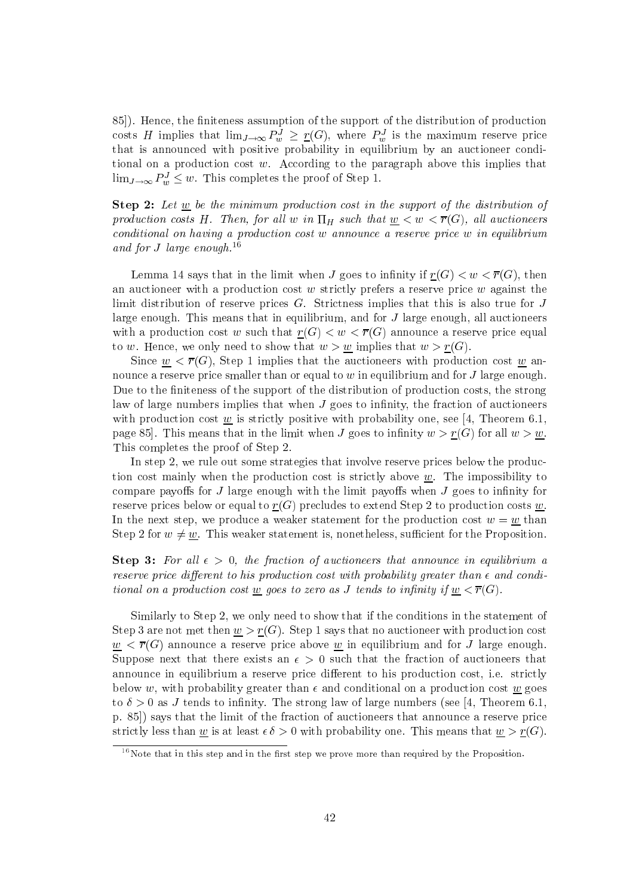85]). Hence, the finiteness assumption of the support of the distribution of production costs H implies that  $\lim_{J\to\infty} P_w^J \geq \underline{r}(G)$ , where  $P_w^J$  is the maximum reserve price that is announced with positive probability in equilibrium by an auctioneer conditional on a production cost  $w$ . According to the paragraph above this implies that  $\lim_{J\to\infty} P_w^J \leq w$ . This completes the proof of Step 1.

**Step 2:** Let  $\underline{w}$  be the minimum production cost in the support of the distribution of production costs H. Then, for all w in  $\Pi_H$  such that  $\underline{w} < w < \overline{r}(G)$ , all auctioneers conditional on having a production cost w announce a reserve price w in equilibrium and for J large enough.<sup>16</sup>

Lemma 14 says that in the limit when J goes to infinity if  $r(G) < w < \overline{r}(G)$ , then an auctioneer with a production cost w strictly prefers a reserve price w against the limit distribution of reserve prices  $G$ . Strictness implies that this is also true for  $J$ large enough. This means that in equilibrium, and for  $J$  large enough, all auctioneers with a production cost w such that  $r(G) < w < \overline{r}(G)$  announce a reserve price equal to w. Hence, we only need to show that  $w > w$  implies that  $w > r(G)$ .

Since  $w < \overline{r}(G)$ , Step 1 implies that the auctioneers with production cost w announce a reserve price smaller than or equal to  $w$  in equilibrium and for  $J$  large enough. Due to the finiteness of the support of the distribution of production costs, the strong law of large numbers implies that when  $J$  goes to infinity, the fraction of auctioneers with production cost  $\underline{w}$  is strictly positive with probability one, see [4, Theorem 6.1, page 85. This means that in the limit when J goes to infinity  $w > r(G)$  for all  $w > w$ . This completes the proof of Step 2.

In step 2, we rule out some strategies that involve reserve prices below the production cost mainly when the production cost is strictly above  $w$ . The impossibility to compare payoffs for  $J$  large enough with the limit payoffs when  $J$  goes to infinity for reserve prices below or equal to  $r(G)$  precludes to extend Step 2 to production costs w. In the next step, we produce a weaker statement for the production cost  $w = w$  than Step 2 for  $w \neq w$ . This weaker statement is, nonetheless, sufficient for the Proposition.

**Step 3:** For all  $\epsilon > 0$ , the fraction of auctioneers that announce in equilibrium a reserve price different to his production cost with probability greater than  $\epsilon$  and conditional on a production cost <u>w</u> goes to zero as J tends to infinity if  $\underline{w} < \overline{r}(G)$ .

Similarly to Step 2, we only need to show that if the conditions in the statement of Step 3 are not met then  $\underline{w} > \underline{r}(G)$ . Step 1 says that no auctioneer with production cost  $w < \overline{r}(G)$  announce a reserve price above w in equilibrium and for J large enough. Suppose next that there exists an  $\epsilon > 0$  such that the fraction of auctioneers that announce in equilibrium a reserve price different to his production cost, *i.e.* strictly below w, with probability greater than  $\epsilon$  and conditional on a production cost w goes to  $\delta > 0$  as J tends to infinity. The strong law of large numbers (see [4, Theorem 6.1, p. 85) says that the limit of the fraction of auctioneers that announce a reserve price strictly less than w is at least  $\epsilon \delta > 0$  with probability one. This means that  $w > r(G)$ .

 $16$  Note that in this step and in the first step we prove more than required by the Proposition.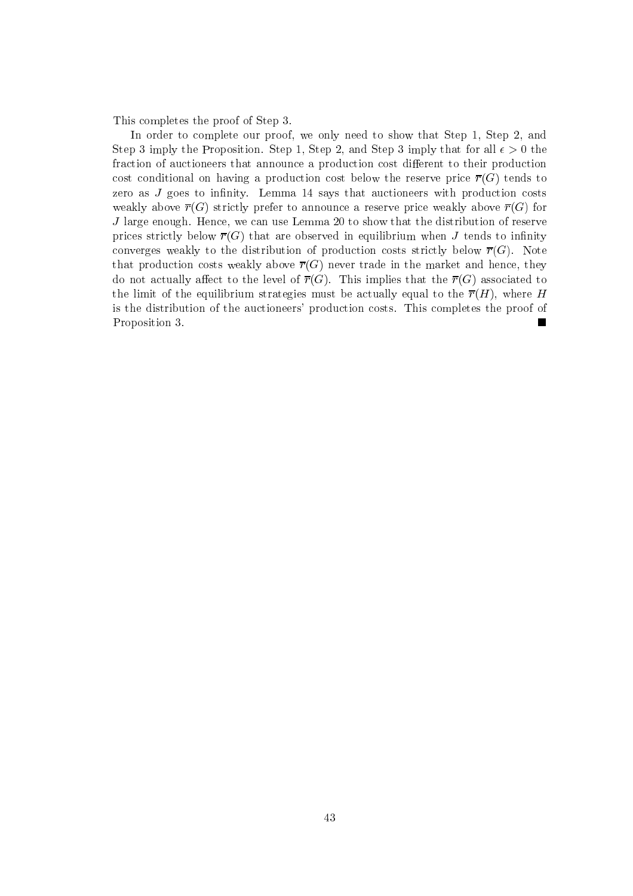This completes the proof of Step 3.

In order to complete our proof, we only need to show that Step 1, Step 2, and Step 3 imply the Proposition. Step 1, Step 2, and Step 3 imply that for all  $\epsilon > 0$  the fraction of auctioneers that announce a production cost different to their production cost conditional on having a production cost below the reserve price  $\overline{r}(G)$  tends to zero as  $J$  goes to infinity. Lemma 14 says that auctioneers with production costs weakly above  $\overline{r}(G)$  strictly prefer to announce a reserve price weakly above  $\overline{r}(G)$  for  $J$  large enough. Hence, we can use Lemma 20 to show that the distribution of reserve prices strictly below  $\overline{r}(G)$  that are observed in equilibrium when J tends to infinity converges weakly to the distribution of production costs strictly below  $\overline{r}(G)$ . Note that production costs weakly above  $\overline{r}(G)$  never trade in the market and hence, they do not actually affect to the level of  $\overline{r}(G)$ . This implies that the  $\overline{r}(G)$  associated to the limit of the equilibrium strategies must be actually equal to the  $\overline{r}(H)$ , where H is the distribution of the auctioneers' production costs. This completes the proof of Proposition 3.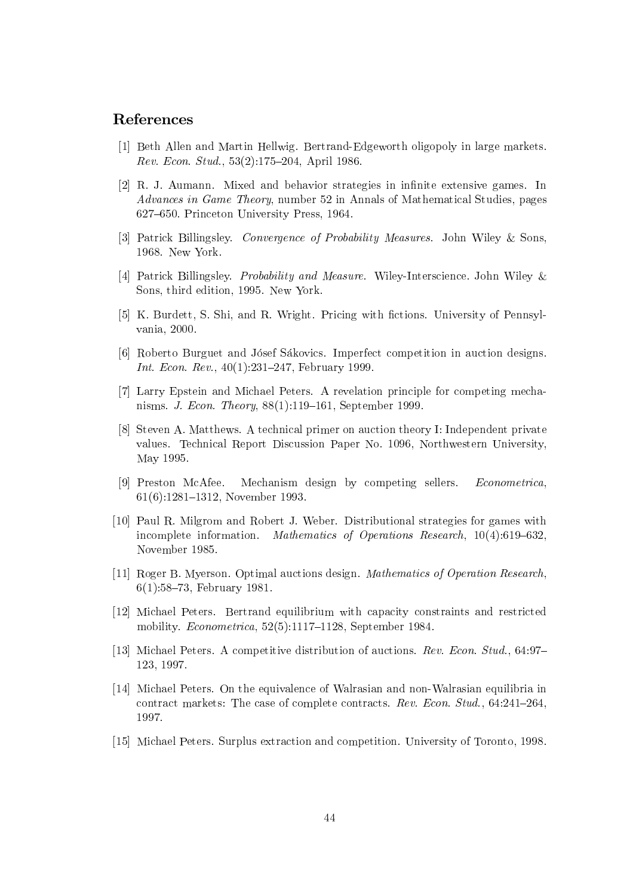## **References**

- <sup>[1]</sup> Beth Allen and Martin Hellwig. Bertrand-Edgeworth oligopoly in large markets. Rev. Econ. Stud.,  $53(2):175-204$ , April 1986.
- $[2]$  R. J. Aumann. Mixed and behavior strategies in infinite extensive games. In Advances in Game Theory, number 52 in Annals of Mathematical Studies, pages 627-650. Princeton University Press, 1964.
- [3] Patrick Billingsley. Convergence of Probability Measures. John Wiley & Sons, 1968. New York.
- [4] Patrick Billingsley. Probability and Measure. Wiley-Interscience. John Wiley & Sons, third edition, 1995. New York.
- [5] K. Burdett, S. Shi, and R. Wright. Pricing with fictions. University of Pennsylvania, 2000.
- <sup>[6]</sup> Roberto Burguet and Jósef Sákovics. Imperfect competition in auction designs. *Int. Econ. Rev.*,  $40(1):231-247$ . February 1999.
- [7] Larry Epstein and Michael Peters. A revelation principle for competing mechanisms. J. Econ. Theory,  $88(1):119-161$ , September 1999
- $[8]$  Steven A. Matthews. A technical primer on auction theory I: Independent private values. Technical Report Discussion Paper No. 1096, Northwestern University, May 1995.
- [9] Preston McAfee. Mechanism design by competing sellers. *Econometrica*.  $61(6):1281-1312$ , November 1993.
- [10] Paul R. Milgrom and Robert J. Weber. Distributional strategies for games with incomplete information. Mathematics of Operations Research,  $10(4)$ :619–632. November 1985.
- [11] Roger B. Myerson. Optimal auctions design. *Mathematics of Operation Research*,  $6(1):58-73$ , February 1981.
- [12] Michael Peters. Bertrand equilibrium with capacity constraints and restricted mobility.  $Econometrica$ , 52(5):1117-1128, September 1984.
- [13] Michael Peters. A competitive distribution of auctions. *Rev. Econ. Stud.*, 64:97-123, 1997.
- $[14]$  Michael Peters. On the equivalence of Walrasian and non-Walrasian equilibria in contract markets: The case of complete contracts. Rev. Econ. Stud.,  $64:241-264$ . 1997.
- $[15]$  Michael Peters. Surplus extraction and competition. University of Toronto, 1998.